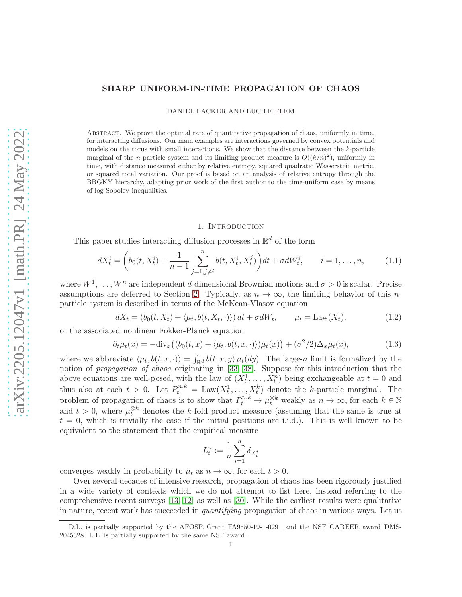# SHARP UNIFORM-IN-TIME PROPAGATION OF CHAOS

DANIEL LACKER AND LUC LE FLEM

Abstract. We prove the optimal rate of quantitative propagation of chaos, uniformly in time, for interacting diffusions. Our main examples are interactions governed by convex potentials and models on the torus with small interactions. We show that the distance between the  $k$ -particle marginal of the *n*-particle system and its limiting product measure is  $O((k/n)^2)$ , uniformly in time, with distance measured either by relative entropy, squared quadratic Wasserstein metric, or squared total variation. Our proof is based on an analysis of relative entropy through the BBGKY hierarchy, adapting prior work of the first author to the time-uniform case by means of log-Sobolev inequalities.

## <span id="page-0-0"></span>1. Introduction

This paper studies interacting diffusion processes in  $\mathbb{R}^d$  of the form

$$
dX_t^i = \left(b_0(t, X_t^i) + \frac{1}{n-1} \sum_{j=1, j \neq i}^n b(t, X_t^i, X_t^j)\right)dt + \sigma dW_t^i, \qquad i = 1, \dots, n,
$$
 (1.1)

where  $W^1, \ldots, W^n$  are independent d-dimensional Brownian motions and  $\sigma > 0$  is scalar. Precise assumptions are deferred to Section [2.](#page-3-0) Typically, as  $n \to \infty$ , the limiting behavior of this *n*particle system is described in terms of the McKean-Vlasov equation

$$
dX_t = (b_0(t, X_t) + \langle \mu_t, b(t, X_t, \cdot) \rangle) dt + \sigma dW_t, \qquad \mu_t = \text{Law}(X_t), \tag{1.2}
$$

or the associated nonlinear Fokker-Planck equation

$$
\partial_t \mu_t(x) = -\text{div}_x \big( (b_0(t, x) + \langle \mu_t, b(t, x, \cdot) \rangle) \mu_t(x) \big) + (\sigma^2/2) \Delta_x \mu_t(x), \tag{1.3}
$$

where we abbreviate  $\langle \mu_t, b(t, x, \cdot) \rangle = \int_{\mathbb{R}^d} b(t, x, y) \mu_t(dy)$ . The large-n limit is formalized by the notion of *propagation of chaos* originating in [\[33,](#page-32-0) [38\]](#page-32-1). Suppose for this introduction that the above equations are well-posed, with the law of  $(X_t^1, \ldots, X_t^n)$  being exchangeable at  $t = 0$  and  $t, \ldots, \Lambda_t$ thus also at each  $t > 0$ . Let  $P_t^{n,k} = \text{Law}(X_t^1, \ldots, X_t^k)$  denote the k-particle marginal. The problem of propagation of chaos is to show that  $P_t^{n,k} \to \mu_t^{\otimes k}$  weakly as  $n \to \infty$ , for each  $k \in \mathbb{N}$ and  $t > 0$ , where  $\mu_t^{\otimes k}$  denotes the k-fold product measure (assuming that the same is true at  $t = 0$ , which is trivially the case if the initial positions are i.i.d.). This is well known to be equivalent to the statement that the empirical measure

$$
L_t^n:=\frac{1}{n}\sum_{i=1}^n\delta_{X_t^i}
$$

converges weakly in probability to  $\mu_t$  as  $n \to \infty$ , for each  $t > 0$ .

Over several decades of intensive research, propagation of chaos has been rigorously justified in a wide variety of contexts which we do not attempt to list here, instead referring to the comprehensive recent surveys [\[13,](#page-32-2) [12\]](#page-32-3) as well as [\[30\]](#page-32-4). While the earliest results were qualitative in nature, recent work has succeeded in *quantifying* propagation of chaos in various ways. Let us

D.L. is partially supported by the AFOSR Grant FA9550-19-1-0291 and the NSF CAREER award DMS-2045328. L.L. is partially supported by the same NSF award.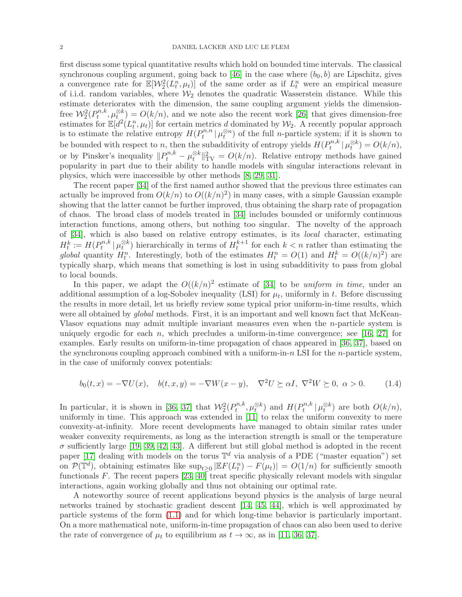first discuss some typical quantitative results which hold on bounded time intervals. The classical synchronous coupling argument, going back to [\[46\]](#page-33-0) in the case where  $(b_0, b)$  are Lipschitz, gives a convergence rate for  $\mathbb{E}[\mathcal{W}_2^2(L_t^n, \mu_t)]$  of the same order as if  $L_t^n$  were an empirical measure of i.i.d. random variables, where  $\mathcal{W}_2$  denotes the quadratic Wasserstein distance. While this estimate deteriorates with the dimension, the same coupling argument yields the dimensionfree  $\mathcal{W}^2_2(P^{n,k}_t)$  $(u_t^{n,k}, \mu_{t}^{\otimes k}) = O(k/n)$ , and we note also the recent work [\[26\]](#page-32-5) that gives dimension-free estimates for  $\mathbb{E}[d^2(L_t^n, \mu_t)]$  for certain metrics d dominated by  $\mathcal{W}_2$ . A recently popular approach is to estimate the relative entropy  $H(P_t^{n,n})$  $\mathcal{L}^{n,n}_{t} | \mu_t^{\otimes n}$  of the full *n*-particle system; if it is shown to be bounded with respect to n, then the subadditivity of entropy yields  $H(P_t^{n,k})$  $b_t^{n,k} | \mu_t^{\otimes k}) = O(k/n),$ or by Pinsker's inequality  $||P_t^{n,k} - \mu_t^{\otimes k}||_{TV}^2 = O(k/n)$ . Relative entropy methods have gained popularity in part due to their ability to handle models with singular interactions relevant in physics, which were inaccessible by other methods [\[8,](#page-31-0) [29,](#page-32-6) [31\]](#page-32-7).

The recent paper [\[34\]](#page-32-8) of the first named author showed that the previous three estimates can actually be improved from  $O(k/n)$  to  $O((k/n)^2)$  in many cases, with a simple Gaussian example showing that the latter cannot be further improved, thus obtaining the sharp rate of propagation of chaos. The broad class of models treated in [\[34\]](#page-32-8) includes bounded or uniformly continuous interaction functions, among others, but nothing too singular. The novelty of the approach of [\[34\]](#page-32-8), which is also based on relative entropy estimates, is its *local* character, estimating  $H_t^k := H(P_t^{n,k})$  $\int_t^{n,k} |\mu_t^{\otimes k}|$  hierarchically in terms of  $H_t^{k+1}$  for each  $k < n$  rather than estimating the global quantity  $H_t^n$ . Interestingly, both of the estimates  $H_t^n = O(1)$  and  $H_t^k = O((k/n)^2)$  are typically sharp, which means that something is lost in using subadditivity to pass from global to local bounds.

In this paper, we adapt the  $O((k/n)^2)$  estimate of [\[34\]](#page-32-8) to be *uniform in time*, under an additional assumption of a log-Sobolev inequality (LSI) for  $\mu_t$ , uniformly in t. Before discussing the results in more detail, let us briefly review some typical prior uniform-in-time results, which were all obtained by *global* methods. First, it is an important and well known fact that McKean-Vlasov equations may admit multiple invariant measures even when the n-particle system is uniquely ergodic for each n, which precludes a uniform-in-time convergence; see [\[16,](#page-32-9) [27\]](#page-32-10) for examples. Early results on uniform-in-time propagation of chaos appeared in [\[36,](#page-32-11) [37\]](#page-32-12), based on the synchronous coupling approach combined with a uniform-in- $n$  LSI for the *n*-particle system, in the case of uniformly convex potentials:

<span id="page-1-0"></span>
$$
b_0(t,x) = -\nabla U(x), \quad b(t,x,y) = -\nabla W(x-y), \quad \nabla^2 U \succeq \alpha I, \quad \nabla^2 W \succeq 0, \quad \alpha > 0. \tag{1.4}
$$

In particular, it is shown in [\[36,](#page-32-11) [37\]](#page-32-12) that  $\mathcal{W}_2^2(P_t^{n,k})$  $h_t^{n,k}, \mu_t^{\otimes k}$  and  $H(P_t^{n,k})$  $\mathcal{L}_t^{n,k} | \mu_t^{\otimes k}$  are both  $O(k/n)$ , uniformly in time. This approach was extended in [\[11\]](#page-31-1) to relax the uniform convexity to mere convexity-at-infinity. More recent developments have managed to obtain similar rates under weaker convexity requirements, as long as the interaction strength is small or the temperature  $\sigma$  sufficiently large [\[19,](#page-32-13) [39,](#page-32-14) [42,](#page-33-1) [43\]](#page-33-2). A different but still global method is adopted in the recent paper [\[17\]](#page-32-15) dealing with models on the torus  $\mathbb{T}^d$  via analysis of a PDE ("master equation") set on  $\mathcal{P}(\mathbb{T}^d)$ , obtaining estimates like  $\sup_{t\geq 0} |\mathbb{E} F(L_t^n) - F(\mu_t)| = O(1/n)$  for sufficiently smooth functionals  $F$ . The recent papers  $[23, 40]$  $[23, 40]$  treat specific physically relevant models with singular interactions, again working globally and thus not obtaining our optimal rate.

A noteworthy source of recent applications beyond physics is the analysis of large neural networks trained by stochastic gradient descent [\[14,](#page-32-17) [45,](#page-33-4) [44\]](#page-33-5), which is well approximated by particle systems of the form [\(1.1\)](#page-0-0) and for which long-time behavior is particularly important. On a more mathematical note, uniform-in-time propagation of chaos can also been used to derive the rate of convergence of  $\mu_t$  to equilibrium as  $t \to \infty$ , as in [\[11,](#page-31-1) [36,](#page-32-11) [37\]](#page-32-12).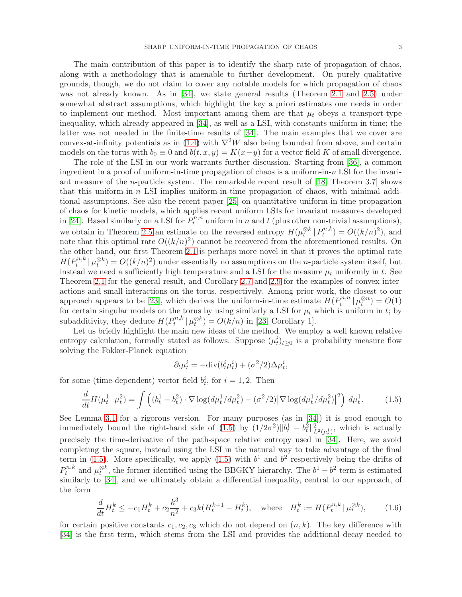The main contribution of this paper is to identify the sharp rate of propagation of chaos, along with a methodology that is amenable to further development. On purely qualitative grounds, though, we do not claim to cover any notable models for which propagation of chaos was not already known. As in [\[34\]](#page-32-8), we state general results (Theorem [2.1](#page-4-0) and [2.5\)](#page-6-0) under somewhat abstract assumptions, which highlight the key a priori estimates one needs in order to implement our method. Most important among them are that  $\mu_t$  obeys a transport-type inequality, which already appeared in [\[34\]](#page-32-8), as well as a LSI, with constants uniform in time; the latter was not needed in the finite-time results of [\[34\]](#page-32-8). The main examples that we cover are convex-at-infinity potentials as in [\(1.4\)](#page-1-0) with  $\nabla^2 W$  also being bounded from above, and certain models on the torus with  $b_0 \equiv 0$  and  $b(t, x, y) = K(x-y)$  for a vector field K of small divergence.

The role of the LSI in our work warrants further discussion. Starting from [\[36\]](#page-32-11), a common ingredient in a proof of uniform-in-time propagation of chaos is a uniform-in- $n$  LSI for the invariant measure of the *n*-particle system. The remarkable recent result of  $[18,$  Theorem 3.7 shows that this uniform-in-n LSI implies uniform-in-time propagation of chaos, with minimal additional assumptions. See also the recent paper [\[25\]](#page-32-19) on quantitative uniform-in-time propagation of chaos for kinetic models, which applies recent uniform LSIs for invariant measures developed in [\[24\]](#page-32-20). Based similarly on a LSI for  $\tilde{P}_t^{n,n}$  uniform in n and t (plus other non-trivial assumptions), we obtain in Theorem [2.5](#page-6-0) an estimate on the reversed entropy  $H(\mu_t^{\otimes k} | P_t^{n,k})$  $b_t^{n,k}$ ) =  $O((k/n)^2)$ , and note that this optimal rate  $O((k/n)^2)$  cannot be recovered from the aforementioned results. On the other hand, our first Theorem [2.1](#page-4-0) is perhaps more novel in that it proves the optimal rate  $H(P_t^{n,k})$  $\mu_t^{n,k} | \mu_t^{\otimes k}$  =  $O((k/n)^2)$  under essentially no assumptions on the *n*-particle system itself, but instead we need a sufficiently high temperature and a LSI for the measure  $\mu_t$  uniformly in t. See Theorem [2.1](#page-4-0) for the general result, and Corollary [2.7](#page-7-0) and [2.9](#page-9-0) for the examples of convex interactions and small interactions on the torus, respectively. Among prior work, the closest to our approach appears to be [\[23\]](#page-32-16), which derives the uniform-in-time estimate  $H(P_t^{n,n})$  $b_t^{n,n} | \mu_t^{\otimes n}) = O(1)$ for certain singular models on the torus by using similarly a LSI for  $\mu_t$  which is uniform in t; by subadditivity, they deduce  $H(P_t^{n,k})$  $\mathcal{U}_t^{n,k} | \mu_t^{\otimes k} = O(k/n)$  in [\[23,](#page-32-16) Corollary 1].

Let us briefly highlight the main new ideas of the method. We employ a well known relative entropy calculation, formally stated as follows. Suppose  $(\mu_t^i)_{t\geq 0}$  is a probability measure flow solving the Fokker-Planck equation

<span id="page-2-1"></span><span id="page-2-0"></span>
$$
\partial_t \mu_t^i = -\text{div}(b_t^i \mu_t^i) + (\sigma^2/2)\Delta \mu_t^i,
$$

for some (time-dependent) vector field  $b_t^i$ , for  $i = 1, 2$ . Then

$$
\frac{d}{dt}H(\mu_t^1 \mid \mu_t^2) = \int \left( (b_t^1 - b_t^2) \cdot \nabla \log(d\mu_t^1 / d\mu_t^2) - (\sigma^2 / 2) |\nabla \log(d\mu_t^1 / d\mu_t^2)|^2 \right) d\mu_t^1. \tag{1.5}
$$

See Lemma [3.1](#page-10-0) for a rigorous version. For many purposes (as in [\[34\]](#page-32-8)) it is good enough to immediately bound the right-hand side of  $(1.5)$  by  $(1/2\sigma^2)\|b_t^1 - b_t^2\|_{L^2(\mu_t^1)}^2$ , which is actually precisely the time-derivative of the path-space relative entropy used in [\[34\]](#page-32-8). Here, we avoid completing the square, instead using the LSI in the natural way to take advantage of the final term in [\(1.5\)](#page-2-0). More specifically, we apply (1.5) with  $b<sup>1</sup>$  and  $b<sup>2</sup>$  respectively being the drifts of  $P_t^{n,k}$  $t^{n,k}$  and  $\mu_t^{\otimes k}$ , the former identified using the BBGKY hierarchy. The  $b^1 - b^2$  term is estimated similarly to [\[34\]](#page-32-8), and we ultimately obtain a differential inequality, central to our approach, of the form

$$
\frac{d}{dt}H_t^k \le -c_1 H_t^k + c_2 \frac{k^3}{n^2} + c_3 k (H_t^{k+1} - H_t^k), \quad \text{where} \quad H_t^k := H(P_t^{n,k} | \mu_t^{\otimes k}), \tag{1.6}
$$

for certain positive constants  $c_1, c_2, c_3$  which do not depend on  $(n, k)$ . The key difference with [\[34\]](#page-32-8) is the first term, which stems from the LSI and provides the additional decay needed to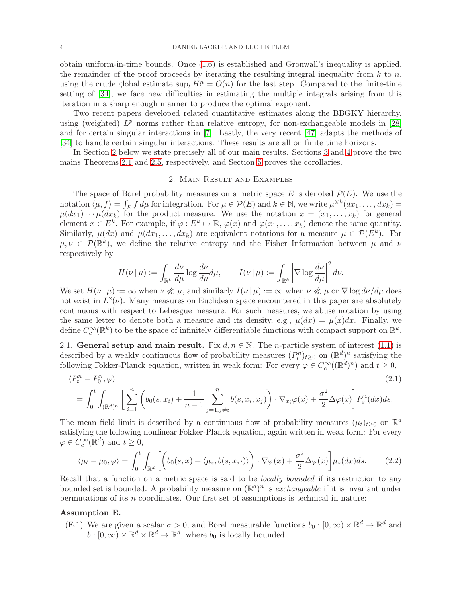obtain uniform-in-time bounds. Once [\(1.6\)](#page-2-1) is established and Gronwall's inequality is applied, the remainder of the proof proceeds by iterating the resulting integral inequality from  $k$  to  $n$ , using the crude global estimate  $\sup_t H_t^n = O(n)$  for the last step. Compared to the finite-time setting of [\[34\]](#page-32-8), we face new difficulties in estimating the multiple integrals arising from this iteration in a sharp enough manner to produce the optimal exponent.

Two recent papers developed related quantitative estimates along the BBGKY hierarchy, using (weighted)  $L^p$  norms rather than relative entropy, for non-exchangeable models in [\[28\]](#page-32-21) and for certain singular interactions in [\[7\]](#page-31-2). Lastly, the very recent [\[47\]](#page-33-6) adapts the methods of [\[34\]](#page-32-8) to handle certain singular interactions. These results are all on finite time horizons.

<span id="page-3-0"></span>In Section [2](#page-3-0) below we state precisely all of our main results. Sections [3](#page-9-1) and [4](#page-21-0) prove the two mains Theorems [2.1](#page-4-0) and [2.5,](#page-6-0) respectively, and Section [5](#page-23-0) proves the corollaries.

## 2. Main Result and Examples

The space of Borel probability measures on a metric space E is denoted  $\mathcal{P}(E)$ . We use the notation  $\langle \mu, f \rangle = \int_E f d\mu$  for integration. For  $\mu \in \mathcal{P}(E)$  and  $k \in \mathbb{N}$ , we write  $\mu^{\otimes k}(dx_1, \dots, dx_k) =$  $\mu(dx_1)\cdots\mu(dx_k)$  for the product measure. We use the notation  $x=(x_1,\ldots,x_k)$  for general element  $x \in E^k$ . For example, if  $\varphi : E^k \mapsto \mathbb{R}$ ,  $\varphi(x)$  and  $\varphi(x_1, \ldots, x_k)$  denote the same quantity. Similarly,  $\mu(dx)$  and  $\mu(dx_1, \ldots, dx_k)$  are equivalent notations for a measure  $\mu \in \mathcal{P}(E^k)$ . For  $\mu, \nu \in \mathcal{P}(\mathbb{R}^k)$ , we define the relative entropy and the Fisher Information between  $\mu$  and  $\nu$ respectively by

<span id="page-3-2"></span>
$$
H(\nu \,|\, \mu) := \int_{\mathbb{R}^k} \frac{d\nu}{d\mu} \log \frac{d\nu}{d\mu} d\mu, \qquad I(\nu \,|\, \mu) := \int_{\mathbb{R}^k} \left| \nabla \log \frac{d\nu}{d\mu} \right|^2 d\nu.
$$

We set  $H(\nu \mid \mu) := \infty$  when  $\nu \nleq \mu$ , and similarly  $I(\nu \mid \mu) := \infty$  when  $\nu \nleq \mu$  or  $\nabla \log d\nu/d\mu$  does not exist in  $L^2(\nu)$ . Many measures on Euclidean space encountered in this paper are absolutely continuous with respect to Lebesgue measure. For such measures, we abuse notation by using the same letter to denote both a measure and its density, e.g.,  $\mu(dx) = \mu(x)dx$ . Finally, we define  $C_c^{\infty}(\mathbb{R}^k)$  to be the space of infinitely differentiable functions with compact support on  $\mathbb{R}^k$ .

2.1. General setup and main result. Fix  $d, n \in \mathbb{N}$ . The *n*-particle system of interest [\(1.1\)](#page-0-0) is described by a weakly continuous flow of probability measures  $(P_t^n)_{t\geq 0}$  on  $(\mathbb{R}^d)^n$  satisfying the following Fokker-Planck equation, written in weak form: For every  $\varphi \in C_c^{\infty}((\mathbb{R}^d)^n)$  and  $t \ge 0$ ,

$$
\langle P_t^n - P_0^n, \varphi \rangle
$$
\n
$$
= \int_0^t \int_{(\mathbb{R}^d)^n} \left[ \sum_{i=1}^n \left( b_0(s, x_i) + \frac{1}{n-1} \sum_{j=1, j \neq i}^n b(s, x_i, x_j) \right) \cdot \nabla_{x_i} \varphi(x) + \frac{\sigma^2}{2} \Delta \varphi(x) \right] P_s^n(dx) ds.
$$
\n(2.1)

The mean field limit is described by a continuous flow of probability measures  $(\mu_t)_{t\geq 0}$  on  $\mathbb{R}^d$ satisfying the following nonlinear Fokker-Planck equation, again written in weak form: For every  $\varphi \in C_c^{\infty}(\mathbb{R}^d)$  and  $t \geq 0$ ,

<span id="page-3-1"></span>
$$
\langle \mu_t - \mu_0, \varphi \rangle = \int_0^t \int_{\mathbb{R}^d} \left[ \left( b_0(s, x) + \langle \mu_s, b(s, x, \cdot) \rangle \right) \cdot \nabla \varphi(x) + \frac{\sigma^2}{2} \Delta \varphi(x) \right] \mu_s(dx) ds. \tag{2.2}
$$

Recall that a function on a metric space is said to be *locally bounded* if its restriction to any bounded set is bounded. A probability measure on  $(\mathbb{R}^d)^n$  is *exchangeable* if it is invariant under permutations of its  $n$  coordinates. Our first set of assumptions is technical in nature:

#### <span id="page-3-3"></span>Assumption E.

(E.1) We are given a scalar  $\sigma > 0$ , and Borel measurable functions  $b_0 : [0, \infty) \times \mathbb{R}^d \to \mathbb{R}^d$  and  $b : [0, \infty) \times \mathbb{R}^d \times \mathbb{R}^d \to \mathbb{R}^d$ , where  $b_0$  is locally bounded.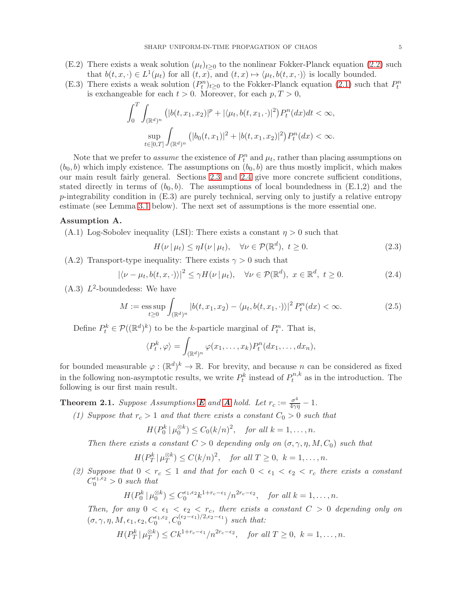- (E.2) There exists a weak solution  $(\mu_t)_{t>0}$  to the nonlinear Fokker-Planck equation [\(2.2\)](#page-3-1) such that  $b(t, x, \cdot) \in L^1(\mu_t)$  for all  $(t, x)$ , and  $(t, x) \mapsto \langle \mu_t, b(t, x, \cdot) \rangle$  is locally bounded.
- (E.3) There exists a weak solution  $(P_t^n)_{t\geq 0}$  to the Fokker-Planck equation [\(2.1\)](#page-3-2) such that  $P_t^n$ is exchangeable for each  $t > 0$ . Moreover, for each  $p, T > 0$ ,

$$
\int_0^T \int_{(\mathbb{R}^d)^n} \left( |b(t, x_1, x_2)|^p + |\langle \mu_t, b(t, x_1, \cdot) |^2 \right) P_t^n(dx) dt < \infty,
$$
\n
$$
\sup_{t \in [0, T]} \int_{(\mathbb{R}^d)^n} \left( |b_0(t, x_1)|^2 + |b(t, x_1, x_2)|^2 \right) P_t^n(dx) < \infty.
$$

Note that we prefer to *assume* the existence of  $P_t^n$  and  $\mu_t$ , rather than placing assumptions on  $(b_0, b)$  which imply existence. The assumptions on  $(b_0, b)$  are thus mostly implicit, which makes our main result fairly general. Sections [2.3](#page-7-1) and [2.4](#page-8-0) give more concrete sufficient conditions, stated directly in terms of  $(b_0, b)$ . The assumptions of local boundedness in  $(E.1,2)$  and the p-integrability condition in  $(E.3)$  are purely technical, serving only to justify a relative entropy estimate (see Lemma [3.1](#page-10-0) below). The next set of assumptions is the more essential one.

#### <span id="page-4-1"></span>Assumption A.

(A.1) Log-Sobolev inequality (LSI): There exists a constant  $\eta > 0$  such that

<span id="page-4-4"></span><span id="page-4-3"></span><span id="page-4-2"></span>
$$
H(\nu \mid \mu_t) \le \eta I(\nu \mid \mu_t), \quad \forall \nu \in \mathcal{P}(\mathbb{R}^d), \ t \ge 0.
$$
 (2.3)

(A.2) Transport-type inequality: There exists  $\gamma > 0$  such that

$$
|\langle \nu - \mu_t, b(t, x, \cdot) \rangle|^2 \le \gamma H(\nu \mid \mu_t), \quad \forall \nu \in \mathcal{P}(\mathbb{R}^d), \ x \in \mathbb{R}^d, \ t \ge 0.
$$
 (2.4)

 $(A.3)$   $L^2$ -boundedess: We have

$$
M := \operatorname{ess} \sup_{t \ge 0} \int_{(\mathbb{R}^d)^n} |b(t, x_1, x_2) - \langle \mu_t, b(t, x_1, \cdot) \rangle|^2 P_t^n(dx) < \infty. \tag{2.5}
$$

Define  $P_t^k \in \mathcal{P}((\mathbb{R}^d)^k)$  to be the k-particle marginal of  $P_t^n$ . That is,

$$
\langle P_t^k, \varphi \rangle = \int_{(\mathbb{R}^d)^n} \varphi(x_1, \dots, x_k) P_t^n(dx_1, \dots, dx_n),
$$

for bounded measurable  $\varphi: (\mathbb{R}^d)^k \to \mathbb{R}$ . For brevity, and because n can be considered as fixed in the following non-asymptotic results, we write  $P_t^k$  instead of  $P_t^{n,k}$  $t^{n,\kappa}$  as in the introduction. The following is our first main result.

<span id="page-4-0"></span>**Theorem 2.1.** *Suppose [A](#page-4-1)ssumptions* **[E](#page-3-3)** and **A** hold. Let  $r_c := \frac{\sigma^4}{4\gamma\eta} - 1$ .

*(1) Suppose that*  $r_c > 1$  *and that there exists a constant*  $C_0 > 0$  *such that* 

$$
H(P_0^k | \mu_0^{\otimes k}) \le C_0 (k/n)^2, \quad \text{for all } k = 1, \dots, n.
$$

*Then there exists a constant*  $C > 0$  *depending only on*  $(\sigma, \gamma, \eta, M, C_0)$  *such that* 

$$
H(P_T^k | \mu_T^{\otimes k}) \le C(k/n)^2, \quad \text{for all } T \ge 0, \ k = 1, \dots, n.
$$

(2) Suppose that  $0 < r_c \leq 1$  and that for each  $0 < \epsilon_1 < \epsilon_2 < r_c$  there exists a constant  $C_0^{\epsilon_1,\epsilon_2} > 0$  such that

$$
H(P_0^k | \mu_0^{\otimes k}) \le C_0^{\epsilon_1, \epsilon_2} k^{1+r_c-\epsilon_1} / n^{2r_c-\epsilon_2}, \quad \text{for all } k = 1, \dots, n.
$$

*Then, for any*  $0 < \epsilon_1 < \epsilon_2 < r_c$ , there exists a constant  $C > 0$  depending only on  $(\sigma, \gamma, \eta, M, \epsilon_1, \epsilon_2, C_0^{\epsilon_1, \epsilon_2}, C_0^{(\epsilon_2 - \epsilon_1)/2, \epsilon_2 - \epsilon_1})$  such that:

$$
H(P_T^k \mid \mu_T^{\otimes k}) \leq C k^{1+r_c-\epsilon_1}/n^{2r_c-\epsilon_2}, \quad \text{for all } T \geq 0, \ k = 1, \dots, n.
$$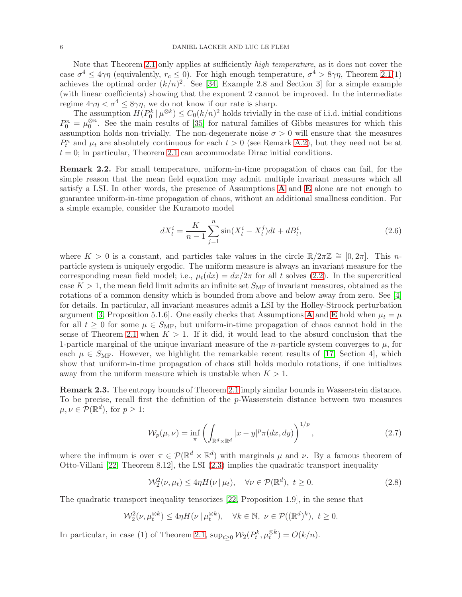Note that Theorem [2.1](#page-4-0) only applies at sufficiently *high temperature*, as it does not cover the case  $\sigma^4 \leq 4\gamma\eta$  (equivalently,  $r_c \leq 0$ ). For high enough temperature,  $\sigma^4 > 8\gamma\eta$ , Theorem [2.1\(](#page-4-0)1) achieves the optimal order  $(k/n)^2$ . See [\[34,](#page-32-8) Example 2.8 and Section 3] for a simple example (with linear coefficients) showing that the exponent 2 cannot be improved. In the intermediate regime  $4\gamma\eta < \sigma^4 \leq 8\gamma\eta$ , we do not know if our rate is sharp.

The assumption  $H(P_0^k | \mu^{\otimes k}) \leq C_0 (k/n)^2$  holds trivially in the case of i.i.d. initial conditions  $P_0^n = \mu_0^{\otimes n}$ . See the main results of [\[35\]](#page-32-22) for natural families of Gibbs measures for which this assumption holds non-trivially. The non-degenerate noise  $\sigma > 0$  will ensure that the measures  $P_t^n$  and  $\mu_t$  are absolutely continuous for each  $t > 0$  (see Remark [A.2\)](#page-26-0), but they need not be at  $t = 0$ ; in particular, Theorem [2.1](#page-4-0) can accommodate Dirac initial conditions.

<span id="page-5-1"></span>Remark 2.2. For small temperature, uniform-in-time propagation of chaos can fail, for the simple reason that the mean field equation may admit multiple invariant measures which all satisfy a LSI. In other words, the presence of Assumptions [A](#page-4-1) and [E](#page-3-3) alone are not enough to guarantee uniform-in-time propagation of chaos, without an additional smallness condition. For a simple example, consider the Kuramoto model

<span id="page-5-2"></span>
$$
dX_t^i = \frac{K}{n-1} \sum_{j=1}^n \sin(X_t^i - X_t^j) dt + dB_t^i,
$$
\n(2.6)

where  $K > 0$  is a constant, and particles take values in the circle  $\mathbb{R}/2\pi\mathbb{Z} \cong [0, 2\pi]$ . This nparticle system is uniquely ergodic. The uniform measure is always an invariant measure for the corresponding mean field model; i.e.,  $\mu_t(dx) = dx/2\pi$  for all t solves [\(2.2\)](#page-3-1). In the supercritical case  $K > 1$ , the mean field limit admits an infinite set  $S_{\text{MF}}$  of invariant measures, obtained as the rotations of a common density which is bounded from above and below away from zero. See [\[4\]](#page-31-3) for details. In particular, all invariant measures admit a LSI by the Holley-Stroock perturbation argument [\[3,](#page-31-4) Proposition 5.1.6]. One easily checks that [A](#page-4-1)ssumptions **A** and **[E](#page-3-3)** hold when  $\mu_t = \mu$ for all  $t \geq 0$  for some  $\mu \in S_{\text{MF}}$ , but uniform-in-time propagation of chaos cannot hold in the sense of Theorem [2.1](#page-4-0) when  $K > 1$ . If it did, it would lead to the absurd conclusion that the 1-particle marginal of the unique invariant measure of the *n*-particle system converges to  $\mu$ , for each  $\mu \in S_{\text{MF}}$ . However, we highlight the remarkable recent results of [\[17,](#page-32-15) Section 4], which show that uniform-in-time propagation of chaos still holds modulo rotations, if one initializes away from the uniform measure which is unstable when  $K > 1$ .

<span id="page-5-0"></span>Remark 2.3. The entropy bounds of Theorem [2.1](#page-4-0) imply similar bounds in Wasserstein distance. To be precise, recall first the definition of the p-Wasserstein distance between two measures  $\mu, \nu \in \mathcal{P}(\mathbb{R}^d)$ , for  $p \geq 1$ :

$$
\mathcal{W}_p(\mu,\nu) = \inf_{\pi} \left( \int_{\mathbb{R}^d \times \mathbb{R}^d} |x - y|^p \pi(dx, dy) \right)^{1/p},\tag{2.7}
$$

where the infimum is over  $\pi \in \mathcal{P}(\mathbb{R}^d \times \mathbb{R}^d)$  with marginals  $\mu$  and  $\nu$ . By a famous theorem of Otto-Villani [\[22,](#page-32-23) Theorem 8.12], the LSI [\(2.3\)](#page-4-2) implies the quadratic transport inequality

<span id="page-5-3"></span>
$$
\mathcal{W}_2^2(\nu, \mu_t) \le 4\eta H(\nu \mid \mu_t), \quad \forall \nu \in \mathcal{P}(\mathbb{R}^d), \ t \ge 0.
$$
 (2.8)

The quadratic transport inequality tensorizes [\[22,](#page-32-23) Proposition 1.9], in the sense that

$$
\mathcal{W}_2^2(\nu, \mu_t^{\otimes k}) \le 4\eta H(\nu \mid \mu_t^{\otimes k}), \quad \forall k \in \mathbb{N}, \ \nu \in \mathcal{P}((\mathbb{R}^d)^k), \ t \ge 0.
$$

In particular, in case (1) of Theorem [2.1,](#page-4-0)  $\sup_{t\geq 0} \mathcal{W}_2(P_t^k, \mu_t^{\otimes k}) = O(k/n)$ .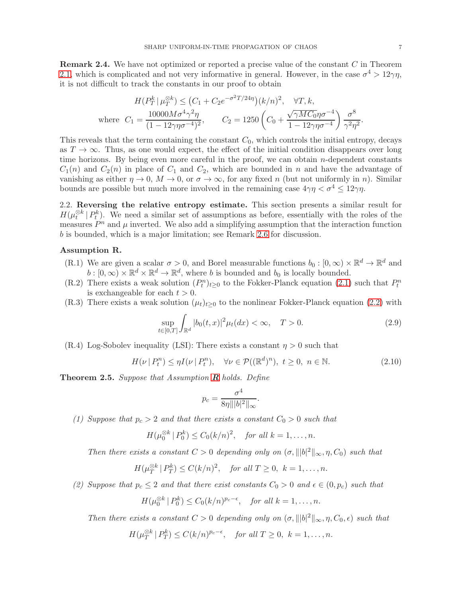$$
H(P_T^k | \mu_T^{\otimes k}) \le (C_1 + C_2 e^{-\sigma^2 T/24\eta})(k/n)^2, \quad \forall T, k,
$$
  
where  $C_1 = \frac{10000 M \sigma^4 \gamma^2 \eta}{(1 - 12\gamma \eta \sigma^{-4})^2}, \qquad C_2 = 1250 \left(C_0 + \frac{\sqrt{\gamma M C_0 \eta \sigma^{-4}}}{1 - 12\gamma \eta \sigma^{-4}}\right) \frac{\sigma^8}{\gamma^2 \eta^2}.$ 

This reveals that the term containing the constant  $C_0$ , which controls the initial entropy, decays as  $T \to \infty$ . Thus, as one would expect, the effect of the initial condition disappears over long time horizons. By being even more careful in the proof, we can obtain  $n$ -dependent constants  $C_1(n)$  and  $C_2(n)$  in place of  $C_1$  and  $C_2$ , which are bounded in n and have the advantage of vanishing as either  $\eta \to 0$ ,  $M \to 0$ , or  $\sigma \to \infty$ , for any fixed n (but not uniformly in n). Similar bounds are possible but much more involved in the remaining case  $4\gamma\eta < \sigma^4 \leq 12\gamma\eta$ .

2.2. Reversing the relative entropy estimate. This section presents a similar result for  $H(\mu_t^{\otimes k} | P_t^k)$ . We need a similar set of assumptions as before, essentially with the roles of the measures  $P^n$  and  $\mu$  inverted. We also add a simplifying assumption that the interaction function b is bounded, which is a major limitation; see Remark [2.6](#page-7-2) for discussion.

## <span id="page-6-1"></span>Assumption R.

- (R.1) We are given a scalar  $\sigma > 0$ , and Borel measurable functions  $b_0 : [0, \infty) \times \mathbb{R}^d \to \mathbb{R}^d$  and  $b : [0, \infty) \times \mathbb{R}^d \times \mathbb{R}^d \to \mathbb{R}^d$ , where b is bounded and  $b_0$  is locally bounded.
- (R.2) There exists a weak solution  $(P_t^n)_{t\geq 0}$  to the Fokker-Planck equation [\(2.1\)](#page-3-2) such that  $P_t^n$ is exchangeable for each  $t > 0$ .
- (R.3) There exists a weak solution  $(\mu_t)_{t>0}$  to the nonlinear Fokker-Planck equation [\(2.2\)](#page-3-1) with

$$
\sup_{t \in [0,T]} \int_{\mathbb{R}^d} |b_0(t,x)|^2 \mu_t(dx) < \infty, \quad T > 0. \tag{2.9}
$$

 $(R.4)$  Log-Sobolev inequality (LSI): There exists a constant  $\eta > 0$  such that

$$
H(\nu \mid P_t^n) \le \eta I(\nu \mid P_t^n), \quad \forall \nu \in \mathcal{P}((\mathbb{R}^d)^n), \ t \ge 0, \ n \in \mathbb{N}.
$$

<span id="page-6-0"></span>Theorem 2.5. *Suppose that Assumption* [R](#page-6-1) *holds. Define*

<span id="page-6-3"></span><span id="page-6-2"></span>
$$
p_c = \frac{\sigma^4}{8\eta |||b|^2 ||\infty}.
$$

*(1) Suppose that*  $p_c > 2$  *and that there exists a constant*  $C_0 > 0$  *such that* 

$$
H(\mu_0^{\otimes k} \mid P_0^k) \le C_0 (k/n)^2, \quad \text{for all } k = 1, \dots, n.
$$

*Then there exists a constant*  $C > 0$  *depending only on*  $(\sigma, |||b|^2||_{\infty}, \eta, C_0)$  *such that* 

$$
H(\mu_T^{\otimes k} \mid P_T^k) \le C(k/n)^2, \quad \text{for all } T \ge 0, \ k = 1, \dots, n.
$$

*(2) Suppose that*  $p_c \leq 2$  *and that there exist constants*  $C_0 > 0$  *and*  $\epsilon \in (0, p_c)$  *such that* 

$$
H(\mu_0^{\otimes k} \mid P_0^k) \le C_0 (k/n)^{p_c - \epsilon}, \quad \text{for all } k = 1, \dots, n.
$$

*Then there exists a constant*  $C > 0$  *depending only on*  $(\sigma, |||b|^2||_{\infty}, \eta, C_0, \epsilon)$  *such that* 

$$
H(\mu_T^{\otimes k} \mid P_T^k) \le C(k/n)^{p_c - \epsilon}, \quad \text{for all } T \ge 0, \ k = 1, \dots, n.
$$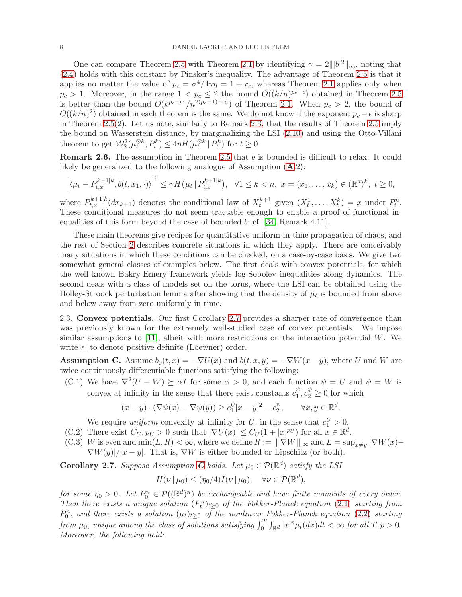One can compare Theorem [2.5](#page-6-0) with Theorem [2.1](#page-4-0) by identifying  $\gamma = 2||b|^2 \sim$ , noting that [\(2.4\)](#page-4-3) holds with this constant by Pinsker's inequality. The advantage of Theorem [2.5](#page-6-0) is that it applies no matter the value of  $p_c = \sigma^4/4\gamma\eta = 1 + r_c$ , whereas Theorem [2.1](#page-4-0) applies only when  $p_c > 1$ . Moreover, in the range  $1 < p_c \leq 2$  the bound  $O((k/n)^{p_c-\epsilon})$  obtained in Theorem [2.5](#page-6-0) is better than the bound  $O(k^{p_c-\epsilon_1}/n^{2(p_c-1)-\epsilon_2})$  of Theorem [2.1.](#page-4-0) When  $p_c > 2$ , the bound of  $O((k/n)^2)$  obtained in each theorem is the same. We do not know if the exponent  $p_c - \epsilon$  is sharp in Theorem [2.5\(](#page-6-0)2). Let us note, similarly to Remark [2.3,](#page-5-0) that the results of Theorem [2.5](#page-6-0) imply the bound on Wasserstein distance, by marginalizing the LSI [\(2.10\)](#page-6-2) and using the Otto-Villani theorem to get  $\mathcal{W}_2^2(\mu_t^{\otimes k}, P_t^k) \leq 4\eta H(\mu_t^{\otimes k} | P_t^k)$  for  $t \geq 0$ .

<span id="page-7-2"></span>Remark 2.6. The assumption in Theorem [2.5](#page-6-0) that b is bounded is difficult to relax. It could likely be generalized to the following analogue of [A](#page-4-1)ssumption  $(A.2)$ :

$$
\left| \langle \mu_t - P_{t,x}^{k+1|k}, b(t, x_1, \cdot) \rangle \right|^2 \leq \gamma H(\mu_t | P_{t,x}^{k+1|k}), \quad \forall 1 \leq k < n, \ x = (x_1, \dots, x_k) \in (\mathbb{R}^d)^k, \ t \geq 0,
$$

where  $P_{t,x}^{k+1|k}(dx_{k+1})$  denotes the conditional law of  $X_t^{k+1}$  given  $(X_t^1,\ldots,X_t^k)=x$  under  $P_t^n$ . These conditional measures do not seem tractable enough to enable a proof of functional inequalities of this form beyond the case of bounded b; cf. [\[34,](#page-32-8) Remark 4.11].

These main theorems give recipes for quantitative uniform-in-time propagation of chaos, and the rest of Section [2](#page-3-0) describes concrete situations in which they apply. There are conceivably many situations in which these conditions can be checked, on a case-by-case basis. We give two somewhat general classes of examples below. The first deals with convex potentials, for which the well known Bakry-Emery framework yields log-Sobolev inequalities along dynamics. The second deals with a class of models set on the torus, where the LSI can be obtained using the Holley-Stroock perturbation lemma after showing that the density of  $\mu_t$  is bounded from above and below away from zero uniformly in time.

<span id="page-7-1"></span>2.3. Convex potentials. Our first Corollary [2.7](#page-7-0) provides a sharper rate of convergence than was previously known for the extremely well-studied case of convex potentials. We impose similar assumptions to [\[11\]](#page-31-1), albeit with more restrictions on the interaction potential  $W$ . We write  $\succeq$  to denote positive definite (Loewner) order.

<span id="page-7-3"></span>**Assumption C.** Assume  $b_0(t, x) = -\nabla U(x)$  and  $b(t, x, y) = -\nabla W(x - y)$ , where U and W are twice continuously differentiable functions satisfying the following:

(C.1) We have  $\nabla^2(U+W) \succeq \alpha I$  for some  $\alpha > 0$ , and each function  $\psi = U$  and  $\psi = W$  is convex at infinity in the sense that there exist constants  $c_1^{\psi}$  $y_1^{\psi}, c_2^{\psi} \ge 0$  for which

$$
(x - y) \cdot (\nabla \psi(x) - \nabla \psi(y)) \ge c_1^{\psi} |x - y|^2 - c_2^{\psi}, \qquad \forall x, y \in \mathbb{R}^d.
$$

We require *uniform* convexity at infinity for U, in the sense that  $c_1^U > 0$ .

- $(C.2)$  There exist  $C_U, p_U > 0$  such that  $|\nabla U(x)| \leq C_U (1 + |x|^{p_U})$  for all  $x \in \mathbb{R}^d$ .
- (C.3) W is even and  $\min(L, R) < \infty$ , where we define  $R := |||\nabla W|||_{\infty}$  and  $L = \sup_{x \neq y} |\nabla W(x) -$ 
	- $\nabla W(y)/|x-y|$ . That is,  $\nabla W$  is either bounded or Lipschitz (or both).

<span id="page-7-0"></span>**[C](#page-7-3)orollary 2.7.** Suppose Assumption **C** holds. Let  $\mu_0 \in \mathcal{P}(\mathbb{R}^d)$  satisfy the LSI

 $H(\nu | \mu_0) \leq (\eta_0/4)I(\nu | \mu_0), \quad \forall \nu \in \mathcal{P}(\mathbb{R}^d),$ 

*for some*  $\eta_0 > 0$ *. Let*  $P_0^n \in \mathcal{P}((\mathbb{R}^d)^n)$  *be exchangeable and have finite moments of every order.* Then there exists a unique solution  $(P_t^n)_{t\geq 0}$  of the Fokker-Planck equation [\(2.1\)](#page-3-2) starting from  $P_0^n$ , and there exists a solution  $(\mu_t)_{t\geq 0}$  of the nonlinear Fokker-Planck equation [\(2.2\)](#page-3-1) starting  $f$ *rom*  $\mu_0$ , unique among the class of solutions satisfying  $\int_0^T \int_{\mathbb{R}^d} |x|^p \mu_t(dx) dt < \infty$  for all  $T, p > 0$ . *Moreover, the following hold:*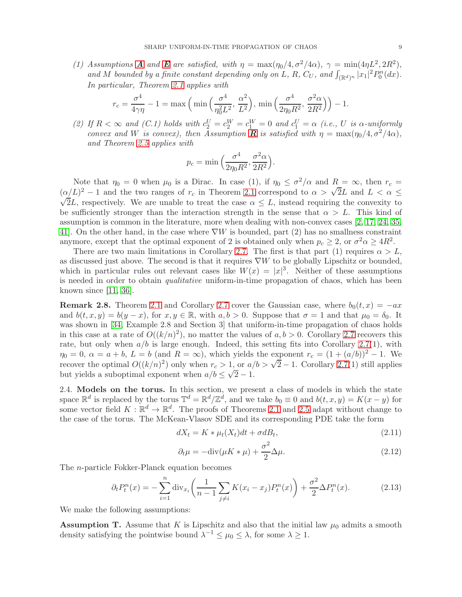(1) [A](#page-4-1)ssumptions **A** and **[E](#page-3-3)** are satisfied, with  $\eta = \max(\eta_0/4, \sigma^2/4\alpha)$ ,  $\gamma = \min(4\eta L^2, 2R^2)$ , and M bounded by a finite constant depending only on L, R,  $C_U$ , and  $\int_{(\mathbb{R}^d)^n} |x_1|^2 P_0^n(dx)$ . *In particular, Theorem [2.1](#page-4-0) applies with*

$$
r_c = \frac{\sigma^4}{4\gamma\eta} - 1 = \max\left(\min\left(\frac{\sigma^4}{\eta_0^2 L^2}, \frac{\alpha^2}{L^2}\right), \min\left(\frac{\sigma^4}{2\eta_0 R^2}, \frac{\sigma^2 \alpha}{2R^2}\right)\right) - 1.
$$

(2) If  $R < \infty$  and (C.1) holds with  $c_2^U = c_2^W = c_1^W = 0$  and  $c_1^U = \alpha$  (i.e., U is  $\alpha$ -uniformly *convex and W is convex), then Assumption* **[R](#page-6-1)** *is satisfied with*  $\eta = \max(\eta_0/4, \sigma^2/4\alpha)$ , *and Theorem [2.5](#page-6-0) applies with*

$$
p_c = \min\Big(\frac{\sigma^4}{2\eta_0 R^2}, \frac{\sigma^2 \alpha}{2R^2}\Big).
$$

Note that  $\eta_0 = 0$  when  $\mu_0$  is a Dirac. In case (1), if  $\eta_0 \leq \sigma^2/\alpha$  and  $R = \infty$ , then  $r_c =$  $(\alpha/L)^2 - 1$  and the two ranges of  $r_c$  in Theorem [2.1](#page-4-0) correspond to  $\alpha > \sqrt{2}L$  and  $L < \alpha \le$  $\sqrt{2L}$ , respectively. We are unable to treat the case  $\alpha \leq L$ , instead requiring the convexity to be sufficiently stronger than the interaction strength in the sense that  $\alpha > L$ . This kind of assumption is common in the literature, more when dealing with non-convex cases [\[2,](#page-31-5) [17,](#page-32-15) [24,](#page-32-20) [35,](#page-32-22) [41\]](#page-33-7). On the other hand, in the case where  $\nabla W$  is bounded, part (2) has no smallness constraint anymore, except that the optimal exponent of 2 is obtained only when  $p_c \ge 2$ , or  $\sigma^2 \alpha \ge 4R^2$ .

There are two main limitations in Corollary [2.7.](#page-7-0) The first is that part (1) requires  $\alpha > L$ , as discussed just above. The second is that it requires  $\nabla W$  to be globally Lipschitz or bounded, which in particular rules out relevant cases like  $W(x) = |x|^3$ . Neither of these assumptions is needed in order to obtain *qualitative* uniform-in-time propagation of chaos, which has been known since [\[11,](#page-31-1) [36\]](#page-32-11).

**Remark 2.8.** Theorem [2.1](#page-4-0) and Corollary [2.7](#page-7-0) cover the Gaussian case, where  $b_0(t, x) = -ax$ and  $b(t, x, y) = b(y - x)$ , for  $x, y \in \mathbb{R}$ , with  $a, b > 0$ . Suppose that  $\sigma = 1$  and that  $\mu_0 = \delta_0$ . It was shown in [\[34,](#page-32-8) Example 2.8 and Section 3] that uniform-in-time propagation of chaos holds in this case at a rate of  $O((k/n)^2)$ , no matter the values of  $a, b > 0$ . Corollary [2.7](#page-7-0) recovers this rate, but only when  $a/b$  is large enough. Indeed, this setting fits into Corollary [2.7\(](#page-7-0)1), with  $\eta_0 = 0$ ,  $\alpha = a + b$ ,  $L = b$  (and  $R = \infty$ ), which yields the exponent  $r_c = (1 + (a/b))^2 - 1$ . We recover the optimal  $O((k/n)^2)$  only when  $r_c > 1$ , or  $a/b > \sqrt{2} - 1$ . Corollary [2.7\(](#page-7-0)1) still applies but yields a suboptimal exponent when  $a/b \leq \sqrt{2}-1$ .

<span id="page-8-0"></span>2.4. Models on the torus. In this section, we present a class of models in which the state space  $\mathbb{R}^d$  is replaced by the torus  $\mathbb{T}^d = \mathbb{R}^d / \mathbb{Z}^d$ , and we take  $b_0 \equiv 0$  and  $b(t, x, y) = K(x - y)$  for some vector field  $K : \mathbb{R}^d \to \mathbb{R}^d$ . The proofs of Theorems [2.1](#page-4-0) and [2.5](#page-6-0) adapt without change to the case of the torus. The McKean-Vlasov SDE and its corresponding PDE take the form

<span id="page-8-4"></span>
$$
dX_t = K * \mu_t(X_t)dt + \sigma dB_t, \qquad (2.11)
$$

<span id="page-8-3"></span><span id="page-8-1"></span>
$$
\partial_t \mu = -\text{div}(\mu K * \mu) + \frac{\sigma^2}{2} \Delta \mu. \tag{2.12}
$$

The n-particle Fokker-Planck equation becomes

$$
\partial_t P_t^n(x) = -\sum_{i=1}^n \text{div}_{x_i} \left( \frac{1}{n-1} \sum_{j \neq i} K(x_i - x_j) P_t^n(x) \right) + \frac{\sigma^2}{2} \Delta P_t^n(x). \tag{2.13}
$$

We make the following assumptions:

<span id="page-8-2"></span>**Assumption T.** Assume that K is Lipschitz and also that the initial law  $\mu_0$  admits a smooth density satisfying the pointwise bound  $\lambda^{-1} \leq \mu_0 \leq \lambda$ , for some  $\lambda \geq 1$ .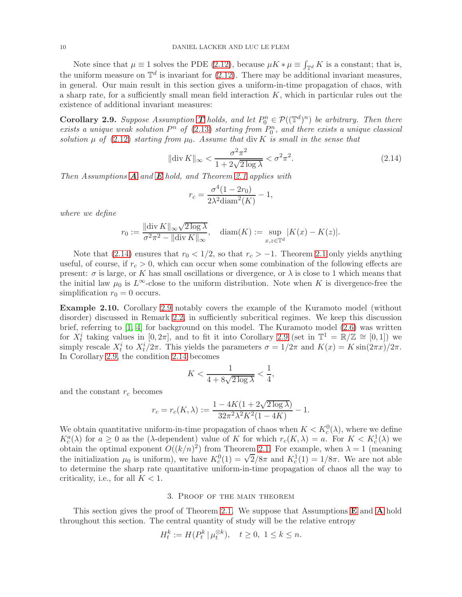Note since that  $\mu \equiv 1$  solves the PDE [\(2.12\)](#page-8-1), because  $\mu K * \mu \equiv \int_{\mathbb{T}^d} K$  is a constant; that is, the uniform measure on  $\mathbb{T}^d$  is invariant for [\(2.12\)](#page-8-1). There may be additional invariant measures, in general. Our main result in this section gives a uniform-in-time propagation of chaos, with a sharp rate, for a sufficiently small mean field interaction  $K$ , which in particular rules out the existence of additional invariant measures:

<span id="page-9-0"></span>**Corollary 2.9.** Suppose Assumption **[T](#page-8-2)** holds, and let  $P_0^n \in \mathcal{P}((\mathbb{T}^d)^n)$  be arbitrary. Then there  $exists a unique weak solution P<sup>n</sup> of (2.13) starting from P<sub>0</sub><sup>n</sup>, and there exists a unique classical$  $exists a unique weak solution P<sup>n</sup> of (2.13) starting from P<sub>0</sub><sup>n</sup>, and there exists a unique classical$  $exists a unique weak solution P<sup>n</sup> of (2.13) starting from P<sub>0</sub><sup>n</sup>, and there exists a unique classical$ *solution*  $\mu$  *of* [\(2.12\)](#page-8-1) *starting from*  $\mu_0$ *. Assume that* div K *is small in the sense that* 

$$
\|\text{div}\,K\|_{\infty} < \frac{\sigma^2 \pi^2}{1 + 2\sqrt{2\log\lambda}} < \sigma^2 \pi^2. \tag{2.14}
$$

*Then Assumptions* [A](#page-4-1) *and* [E](#page-3-3) *hold, and Theorem [2.1](#page-4-0) applies with*

<span id="page-9-2"></span>
$$
r_c = \frac{\sigma^4 (1 - 2r_0)}{2\lambda^2 \text{diam}^2(K)} - 1,
$$

*where we define*

$$
r_0 := \frac{\|\text{div}\,K\|_{\infty}\sqrt{2\log\lambda}}{\sigma^2\pi^2 - \|\text{div}\,K\|_{\infty}}, \quad \text{diam}(K) := \sup_{x,z\in\mathbb{T}^d} |K(x) - K(z)|.
$$

Note that [\(2.14\)](#page-9-2) ensures that  $r_0 < 1/2$ , so that  $r_c > -1$ . Theorem [2.1](#page-4-0) only yields anything useful, of course, if  $r_c > 0$ , which can occur when some combination of the following effects are present:  $\sigma$  is large, or K has small oscillations or divergence, or  $\lambda$  is close to 1 which means that the initial law  $\mu_0$  is L<sup>∞</sup>-close to the uniform distribution. Note when K is divergence-free the simplification  $r_0 = 0$  occurs.

Example 2.10. Corollary [2.9](#page-9-0) notably covers the example of the Kuramoto model (without disorder) discussed in Remark [2.2,](#page-5-1) in sufficiently subcritical regimes. We keep this discussion brief, referring to [\[1,](#page-31-6) [4\]](#page-31-3) for background on this model. The Kuramoto model [\(2.6\)](#page-5-2) was written for  $X_t^i$  taking values in  $[0, 2\pi]$ , and to fit it into Corollary [2.9](#page-9-0) (set in  $\mathbb{T}^1 = \mathbb{R}/\mathbb{Z} \cong [0, 1]$ ) we simply rescale  $X_t^i$  to  $X_t^i/2\pi$ . This yields the parameters  $\sigma = 1/2\pi$  and  $K(x) = K \sin(2\pi x)/2\pi$ . In Corollary [2.9,](#page-9-0) the condition [2.14](#page-9-2) becomes

$$
K < \frac{1}{4 + 8\sqrt{2\log\lambda}} < \frac{1}{4},
$$

and the constant  $r_c$  becomes

$$
r_c = r_c(K, \lambda) := \frac{1 - 4K(1 + 2\sqrt{2\log\lambda})}{32\pi^2\lambda^2K^2(1 - 4K)} - 1.
$$

We obtain quantitative uniform-in-time propagation of chaos when  $K < K_c^0(\lambda)$ , where we define  $K_c^a(\lambda)$  for  $a \geq 0$  as the ( $\lambda$ -dependent) value of K for which  $r_c(K, \lambda) = a$ . For  $K < K_c^1(\lambda)$  we obtain the optimal exponent  $O((k/n)^2)$  from Theorem [2.1.](#page-4-0) For example, when  $\lambda = 1$  (meaning the initialization  $\mu_0$  is uniform), we have  $K_c^0(1) = \sqrt{2}/8\pi$  and  $K_c^1(1) = 1/8\pi$ . We are not able to determine the sharp rate quantitative uniform-in-time propagation of chaos all the way to criticality, i.e., for all  $K < 1$ .

#### 3. Proof of the main theorem

<span id="page-9-1"></span>This section gives the proof of Theorem [2.1.](#page-4-0) We suppose that [A](#page-4-1)ssumptions **[E](#page-3-3)** and **A** hold throughout this section. The central quantity of study will be the relative entropy

$$
H_t^k := H(P_t^k | \mu_t^{\otimes k}), \quad t \ge 0, \ 1 \le k \le n.
$$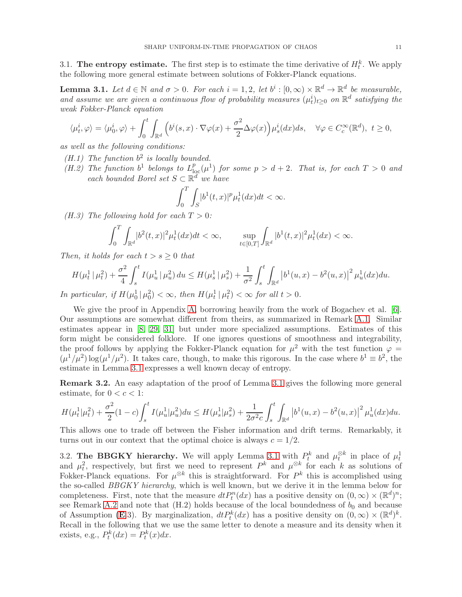3.1. The entropy estimate. The first step is to estimate the time derivative of  $H_t^k$ . We apply the following more general estimate between solutions of Fokker-Planck equations.

<span id="page-10-0"></span>**Lemma 3.1.** Let  $d \in \mathbb{N}$  and  $\sigma > 0$ . For each  $i = 1, 2$ , let  $b^i : [0, \infty) \times \mathbb{R}^d \to \mathbb{R}^d$  be measurable, and assume we are given a continuous flow of probability measures  $(\mu_t^i)_{t\geq 0}$  on  $\mathbb{R}^d$  satisfying the *weak Fokker-Planck equation*

$$
\langle \mu_t^i, \varphi \rangle = \langle \mu_0^i, \varphi \rangle + \int_0^t \int_{\mathbb{R}^d} \left( b^i(s, x) \cdot \nabla \varphi(x) + \frac{\sigma^2}{2} \Delta \varphi(x) \right) \mu_s^i(dx) ds, \quad \forall \varphi \in C_c^{\infty}(\mathbb{R}^d), \ t \ge 0,
$$

*as well as the following conditions:*

- *(H.1) The function* b 2 *is locally bounded.*
- *(H.2)* The function  $b^1$  belongs to  $L_{loc}^p(\mu^1)$  for some  $p > d+2$ . That is, for each  $T > 0$  and *each bounded Borel set*  $S \subset \mathbb{R}^d$  *we have*

$$
\int_0^T \int_S |b^1(t,x)|^p \mu_t^1(dx) dt < \infty.
$$

*(H.3)* The following hold for each  $T > 0$ :

$$
\int_0^T \int_{\mathbb{R}^d} |b^2(t,x)|^2 \mu_t^1(dx) dt < \infty, \qquad \sup_{t \in [0,T]} \int_{\mathbb{R}^d} |b^1(t,x)|^2 \mu_t^1(dx) < \infty.
$$

*Then, it holds for each*  $t > s \geq 0$  *that* 

$$
H(\mu_t^1 \mid \mu_t^2) + \frac{\sigma^2}{4} \int_s^t I(\mu_u^1 \mid \mu_u^2) du \le H(\mu_s^1 \mid \mu_s^2) + \frac{1}{\sigma^2} \int_s^t \int_{\mathbb{R}^d} \left| b^1(u, x) - b^2(u, x) \right|^2 \mu_u^1(dx) du.
$$

*In particular, if*  $H(\mu_0^1 | \mu_0^2) < \infty$ *, then*  $H(\mu_t^1 | \mu_t^2) < \infty$  for all  $t > 0$ *.* 

We give the proof in Appendix [A,](#page-25-0) borrowing heavily from the work of Bogachev et al. [\[6\]](#page-31-7). Our assumptions are somewhat different from theirs, as summarized in Remark [A.1.](#page-25-1) Similar estimates appear in [\[8,](#page-31-0) [29,](#page-32-6) [31\]](#page-32-7) but under more specialized assumptions. Estimates of this form might be considered folklore. If one ignores questions of smoothness and integrability, the proof follows by applying the Fokker-Planck equation for  $\mu^2$  with the test function  $\varphi =$  $(\mu^1/\mu^2) \log(\mu^1/\mu^2)$ . It takes care, though, to make this rigorous. In the case where  $b^1 \equiv b^2$ , the estimate in Lemma [3.1](#page-10-0) expresses a well known decay of entropy.

Remark 3.2. An easy adaptation of the proof of Lemma [3.1](#page-10-0) gives the following more general estimate, for  $0 < c < 1$ :

$$
H(\mu_t^1 | \mu_t^2) + \frac{\sigma^2}{2} (1 - c) \int_s^t I(\mu_u^1 | \mu_u^2) du \le H(\mu_s^1 | \mu_s^2) + \frac{1}{2\sigma^2 c} \int_s^t \int_{\mathbb{R}^d} |b^1(u, x) - b^2(u, x)|^2 \mu_u^1(dx) du.
$$

This allows one to trade off between the Fisher information and drift terms. Remarkably, it turns out in our context that the optimal choice is always  $c = 1/2$ .

3.2. The BBGKY hierarchy. We will apply Lemma [3.1](#page-10-0) with  $P_t^k$  and  $\mu_t^{\otimes k}$  in place of  $\mu_t^1$ and  $\mu_t^2$ , respectively, but first we need to represent  $P^k$  and  $\mu^{\otimes k}$  for each k as solutions of Fokker-Planck equations. For  $\mu^{\otimes k}$  this is straightforward. For  $P^k$  this is accomplished using the so-called *BBGKY hierarchy*, which is well known, but we derive it in the lemma below for completeness. First, note that the measure  $dt P_t^n(dx)$  has a positive density on  $(0, \infty) \times (\mathbb{R}^d)^n$ ; see Remark [A.2](#page-26-0) and note that  $(H.2)$  holds because of the local boundedness of  $b_0$  and because of Assumption ([E](#page-3-3).3). By marginalization,  $dt P_t^k(dx)$  has a positive density on  $(0, \infty) \times (\mathbb{R}^d)^k$ . Recall in the following that we use the same letter to denote a measure and its density when it exists, e.g.,  $P_t^k(dx) = P_t^k(x)dx$ .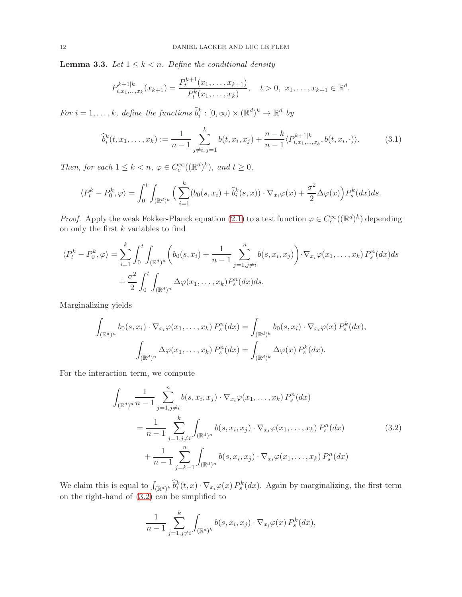<span id="page-11-1"></span>**Lemma 3.3.** *Let*  $1 \leq k < n$ *. Define the conditional density* 

<span id="page-11-2"></span>
$$
P_{t,x_1,\ldots,x_k}^{k+1|k}(x_{k+1}) = \frac{P_t^{k+1}(x_1,\ldots,x_{k+1})}{P_t^k(x_1,\ldots,x_k)}, \quad t > 0, \ x_1,\ldots,x_{k+1} \in \mathbb{R}^d.
$$

For  $i = 1, ..., k$ , define the functions  $\widehat{b}_i^k : [0, \infty) \times (\mathbb{R}^d)^k \to \mathbb{R}^d$  by

$$
\widehat{b}_i^k(t, x_1, \dots, x_k) := \frac{1}{n-1} \sum_{j \neq i, j=1}^k b(t, x_i, x_j) + \frac{n-k}{n-1} \langle P_{t, x_1, \dots, x_k}^{k+1|k}, b(t, x_i, \cdot) \rangle.
$$
 (3.1)

*Then, for each*  $1 \leq k < n$ ,  $\varphi \in C_c^{\infty}((\mathbb{R}^d)^k)$ *, and*  $t \geq 0$ *,* 

$$
\langle P_t^k - P_0^k, \varphi \rangle = \int_0^t \int_{(\mathbb{R}^d)^k} \Big( \sum_{i=1}^k (b_0(s, x_i) + \widehat{b}_i^k(s, x)) \cdot \nabla_{x_i} \varphi(x) + \frac{\sigma^2}{2} \Delta \varphi(x) \Big) P_s^k(dx) ds.
$$

*Proof.* Apply the weak Fokker-Planck equation [\(2.1\)](#page-3-2) to a test function  $\varphi \in C_c^{\infty}((\mathbb{R}^d)^k)$  depending on only the first  $k$  variables to find

$$
\langle P_t^k - P_0^k, \varphi \rangle = \sum_{i=1}^k \int_0^t \int_{(\mathbb{R}^d)^n} \left( b_0(s, x_i) + \frac{1}{n-1} \sum_{j=1, j \neq i}^n b(s, x_i, x_j) \right) \cdot \nabla_{x_i} \varphi(x_1, \dots, x_k) P_s^n(dx) ds
$$
  
+ 
$$
\frac{\sigma^2}{2} \int_0^t \int_{(\mathbb{R}^d)^n} \Delta \varphi(x_1, \dots, x_k) P_s^n(dx) ds.
$$

Marginalizing yields

$$
\int_{(\mathbb{R}^d)^n} b_0(s, x_i) \cdot \nabla_{x_i} \varphi(x_1, \dots, x_k) P_s^n(dx) = \int_{(\mathbb{R}^d)^k} b_0(s, x_i) \cdot \nabla_{x_i} \varphi(x) P_s^k(dx),
$$

$$
\int_{(\mathbb{R}^d)^n} \Delta \varphi(x_1, \dots, x_k) P_s^n(dx) = \int_{(\mathbb{R}^d)^k} \Delta \varphi(x) P_s^k(dx).
$$

For the interaction term, we compute

$$
\int_{(\mathbb{R}^d)^n} \frac{1}{n-1} \sum_{j=1,j\neq i}^n b(s, x_i, x_j) \cdot \nabla_{x_i} \varphi(x_1, \dots, x_k) P_s^n(dx)
$$
\n
$$
= \frac{1}{n-1} \sum_{j=1,j\neq i}^k \int_{(\mathbb{R}^d)^n} b(s, x_i, x_j) \cdot \nabla_{x_i} \varphi(x_1, \dots, x_k) P_s^n(dx)
$$
\n
$$
+ \frac{1}{n-1} \sum_{j=k+1}^n \int_{(\mathbb{R}^d)^n} b(s, x_i, x_j) \cdot \nabla_{x_i} \varphi(x_1, \dots, x_k) P_s^n(dx)
$$
\n(3.2)

We claim this is equal to  $\int_{(\mathbb{R}^d)^k} \tilde{b}_i^k(t,x) \cdot \nabla_{x_i} \varphi(x) P_s^k(dx)$ . Again by marginalizing, the first term on the right-hand of [\(3.2\)](#page-11-0) can be simplified to

<span id="page-11-0"></span>
$$
\frac{1}{n-1} \sum_{j=1, j \neq i}^{k} \int_{(\mathbb{R}^d)^k} b(s, x_i, x_j) \cdot \nabla_{x_i} \varphi(x) P_s^k(dx),
$$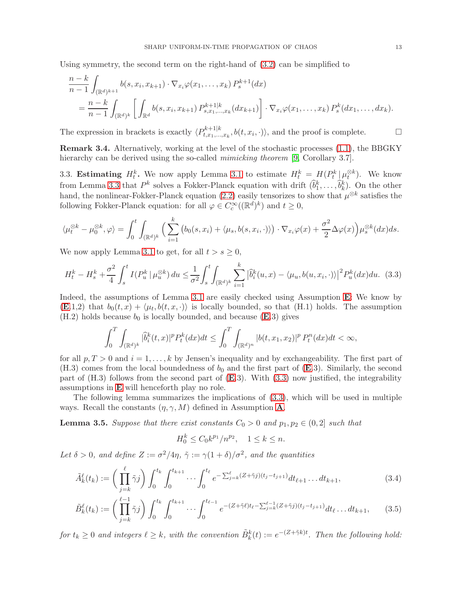Using symmetry, the second term on the right-hand of [\(3.2\)](#page-11-0) can be simplified to

$$
\frac{n-k}{n-1} \int_{(\mathbb{R}^d)^{k+1}} b(s, x_i, x_{k+1}) \cdot \nabla_{x_i} \varphi(x_1, \dots, x_k) P_s^{k+1}(dx)
$$
\n
$$
= \frac{n-k}{n-1} \int_{(\mathbb{R}^d)^k} \left[ \int_{\mathbb{R}^d} b(s, x_i, x_{k+1}) P_{s, x_1, \dots, x_k}^{k+1|k}(dx_{k+1}) \right] \cdot \nabla_{x_i} \varphi(x_1, \dots, x_k) P_s^k(dx_1, \dots, dx_k).
$$

The expression in brackets is exactly  $\langle P_{t,x_1,...}^{k+1|k}\rangle$  $t^{k+1|k}_{t,x_1,\dots,x_k}, b(t,x_i,\cdot) \rangle$ , and the proof is complete.  $\Box$ 

Remark 3.4. Alternatively, working at the level of the stochastic processes [\(1.1\)](#page-0-0), the BBGKY hierarchy can be derived using the so-called *mimicking theorem* [\[9,](#page-31-8) Corollary 3.7].

3.3. Estimating  $H_t^k$ . We now apply Lemma [3.1](#page-10-0) to estimate  $H_t^k = H(P_t^k | \mu_t^{\otimes k})$ . We know from Lemma [3.3](#page-11-1) that  $P^k$  solves a Fokker-Planck equation with drift  $(\hat{b}_1^k, \ldots, \hat{b}_k^k)$ . On the other hand, the nonlinear-Fokker-Planck equation [\(2.2\)](#page-3-1) easily tensorizes to show that  $\mu^{\otimes k}$  satisfies the following Fokker-Planck equation: for all  $\varphi \in C_c^{\infty}((\mathbb{R}^d)^k)$  and  $t \geq 0$ ,

$$
\langle \mu_t^{\otimes k} - \mu_0^{\otimes k}, \varphi \rangle = \int_0^t \int_{(\mathbb{R}^d)^k} \Big( \sum_{i=1}^k \big( b_0(s, x_i) + \langle \mu_s, b(s, x_i, \cdot) \rangle \Big) \cdot \nabla_{x_i} \varphi(x) + \frac{\sigma^2}{2} \Delta \varphi(x) \Big) \mu_s^{\otimes k}(dx) ds.
$$

We now apply Lemma [3.1](#page-10-0) to get, for all  $t > s \geq 0$ ,

$$
H_t^k - H_s^k + \frac{\sigma^2}{4} \int_s^t I(P_u^k \mid \mu_u^{\otimes k}) \, du \le \frac{1}{\sigma^2} \int_s^t \int_{(\mathbb{R}^d)^k} \sum_{i=1}^k |\hat{b}_i^k(u, x) - \langle \mu_u, b(u, x_i, \cdot) \rangle|^2 P_u^k(dx) du. \tag{3.3}
$$

Indeed, the assumptions of Lemma [3.1](#page-10-0) are easily checked using Assumption [E](#page-3-3): We know by  $(E.1,2)$  $(E.1,2)$  $(E.1,2)$  that  $b_0(t,x) + \langle \mu_t, b(t,x, \cdot) \rangle$  is locally bounded, so that  $(H.1)$  holds. The assumption  $(H.2)$  holds because  $b_0$  is locally bounded, and because  $(E.3)$  $(E.3)$  $(E.3)$  gives

$$
\int_0^T \int_{(\mathbb{R}^d)^k} |\widehat{b}_i^k(t,x)|^p P_t^k(dx) dt \le \int_0^T \int_{(\mathbb{R}^d)^n} |b(t,x_1,x_2)|^p P_t^n(dx) dt < \infty,
$$

for all  $p, T > 0$  and  $i = 1, \ldots, k$  by Jensen's inequality and by exchangeability. The first part of  $(H.3)$  comes from the local boundedness of  $b_0$  and the first part of  $(E.3)$  $(E.3)$  $(E.3)$ . Similarly, the second part of  $(H.3)$  follows from the second part of  $(E.3)$  $(E.3)$  $(E.3)$ . With  $(3.3)$  now justified, the integrability assumptions in [E](#page-3-3) will henceforth play no role.

The following lemma summarizes the implications of [\(3.3\)](#page-12-0), which will be used in multiple ways. Recall the constants  $(\eta, \gamma, M)$  defined in [A](#page-4-1)ssumption A.

<span id="page-12-1"></span>**Lemma 3.5.** *Suppose that there exist constants*  $C_0 > 0$  *and*  $p_1, p_2 \in (0, 2]$  *such that* 

<span id="page-12-3"></span><span id="page-12-2"></span><span id="page-12-0"></span>
$$
H_0^k \le C_0 k^{p_1} / n^{p_2}, \quad 1 \le k \le n.
$$

Let  $\delta > 0$ , and define  $Z := \frac{\sigma^2}{4\eta}$ ,  $\tilde{\gamma} := \gamma(1 + \delta)/\sigma^2$ , and the quantities

$$
\tilde{A}_k^{\ell}(t_k) := \left(\prod_{j=k}^{\ell} \tilde{\gamma}_j\right) \int_0^{t_k} \int_0^{t_{k+1}} \cdots \int_0^{t_{\ell}} e^{-\sum_{j=k}^{\ell} (Z+\tilde{\gamma}_j)(t_j-t_{j+1})} dt_{\ell+1} \cdots dt_{k+1},\tag{3.4}
$$

$$
\tilde{B}_k^{\ell}(t_k) := \left(\prod_{j=k}^{\ell-1} \tilde{\gamma}_j\right) \int_0^{t_k} \int_0^{t_{k+1}} \cdots \int_0^{t_{\ell-1}} e^{-(Z+\tilde{\gamma}\ell)t_{\ell} - \sum_{j=k}^{\ell-1} (Z+\tilde{\gamma}_j)(t_j - t_{j+1})} dt_{\ell} \dots dt_{k+1}, \qquad (3.5)
$$

 $for t_k \geq 0$  and integers  $\ell \geq k$ , with the convention  $\tilde{B}_k^k(t) := e^{-(Z + \tilde{\gamma}k)t}$ . Then the following hold: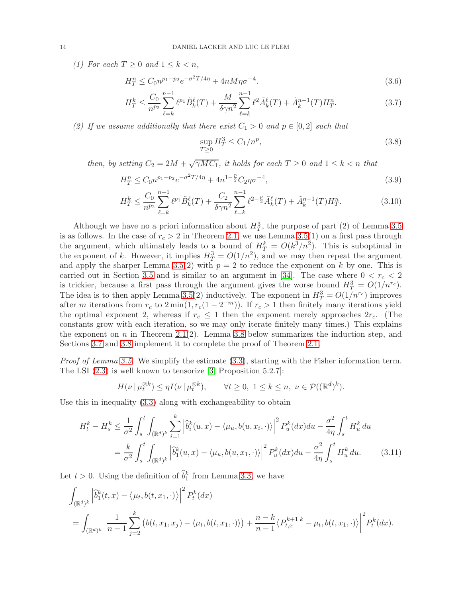*(1)* For each  $T \geq 0$  and  $1 \leq k \leq n$ ,

$$
H_T^n \le C_0 n^{p_1 - p_2} e^{-\sigma^2 T / 4\eta} + 4n M \eta \sigma^{-4}.
$$
\n(3.6)

$$
H_T^k \le \frac{C_0}{n^{p_2}} \sum_{\ell=k}^{n-1} \ell^{p_1} \tilde{B}_k^{\ell}(T) + \frac{M}{\delta \gamma n^2} \sum_{\ell=k}^{n-1} \ell^2 \tilde{A}_k^{\ell}(T) + \tilde{A}_k^{n-1}(T) H_T^n. \tag{3.7}
$$

*(2) If we assume additionally that there exist*  $C_1 > 0$  *and*  $p \in [0,2]$  *such that* 

<span id="page-13-3"></span><span id="page-13-2"></span><span id="page-13-0"></span>
$$
\sup_{T \ge 0} H_T^3 \le C_1/n^p,\tag{3.8}
$$

*then, by setting*  $C_2 = 2M + \sqrt{\gamma M C_1}$ *, it holds for each*  $T \geq 0$  *and*  $1 \leq k < n$  *that* 

$$
H_T^n \le C_0 n^{p_1 - p_2} e^{-\sigma^2 T / 4\eta} + 4n^{1 - \frac{p}{2}} C_2 \eta \sigma^{-4},\tag{3.9}
$$

$$
H_T^k \le \frac{C_0}{n^{p_2}} \sum_{\ell=k}^{n-1} \ell^{p_1} \tilde{B}_k^{\ell}(T) + \frac{C_2}{\delta \gamma n^2} \sum_{\ell=k}^{n-1} \ell^{2-\frac{p}{2}} \tilde{A}_k^{\ell}(T) + \tilde{A}_k^{n-1}(T) H_T^n. \tag{3.10}
$$

Although we have no a priori information about  $H_T^3$ , the purpose of part (2) of Lemma [3.5](#page-12-1) is as follows. In the case of  $r_c > 2$  in Theorem [2.1,](#page-4-0) we use Lemma [3.5\(](#page-12-1)1) on a first pass through the argument, which ultimately leads to a bound of  $H_T^k = O(k^3/n^2)$ . This is suboptimal in the exponent of k. However, it implies  $H_T^3 = O(1/n^2)$ , and we may then repeat the argument and apply the sharper Lemma [3.5\(](#page-12-1)2) with  $p = 2$  to reduce the exponent on k by one. This is carried out in Section [3.5](#page-18-0) and is similar to an argument in [\[34\]](#page-32-8). The case where  $0 < r_c < 2$ is trickier, because a first pass through the argument gives the worse bound  $H_T^3 = O(1/n^{r_c})$ . The idea is to then apply Lemma [3.5\(](#page-12-1)2) inductively. The exponent in  $H_T^3 = O(1/n^{r_c})$  improves after m iterations from  $r_c$  to  $2 \min(1, r_c(1 - 2^{-m}))$ . If  $r_c > 1$  then finitely many iterations yield the optimal exponent 2, whereas if  $r_c \leq 1$  then the exponent merely approaches  $2r_c$ . (The constants grow with each iteration, so we may only iterate finitely many times.) This explains the exponent on n in Theorem [2.1\(](#page-4-0)2). Lemma [3.8](#page-18-1) below summarizes the induction step, and Sections [3.7](#page-20-0) and [3.8](#page-20-1) implement it to complete the proof of Theorem [2.1.](#page-4-0)

*Proof of Lemma [3.5.](#page-12-1)* We simplify the estimate [\(3.3\)](#page-12-0), starting with the Fisher information term. The LSI [\(2.3\)](#page-4-2) is well known to tensorize [\[3,](#page-31-4) Proposition 5.2.7]:

<span id="page-13-1"></span>
$$
H(\nu \mid \mu_t^{\otimes k}) \le \eta I(\nu \mid \mu_t^{\otimes k}), \qquad \forall t \ge 0, \ 1 \le k \le n, \ \nu \in \mathcal{P}((\mathbb{R}^d)^k).
$$

Use this in inequality [\(3.3\)](#page-12-0) along with exchangeability to obtain

$$
H_t^k - H_s^k \le \frac{1}{\sigma^2} \int_s^t \int_{(\mathbb{R}^d)^k} \sum_{i=1}^k \left| \hat{b}_i^k(u, x) - \langle \mu_u, b(u, x_i, \cdot) \rangle \right|^2 P_u^k(dx) du - \frac{\sigma^2}{4\eta} \int_s^t H_u^k du
$$
  
= 
$$
\frac{k}{\sigma^2} \int_s^t \int_{(\mathbb{R}^d)^k} \left| \hat{b}_1^k(u, x) - \langle \mu_u, b(u, x_1, \cdot) \rangle \right|^2 P_u^k(dx) du - \frac{\sigma^2}{4\eta} \int_s^t H_u^k du.
$$
 (3.11)

Let  $t > 0$ . Using the definition of  $\hat{b}_1^k$  from Lemma [3.3,](#page-11-1) we have

$$
\int_{(\mathbb{R}^d)^k} \left| \hat{b}_1^k(t,x) - \langle \mu_t, b(t,x_1, \cdot) \rangle \right|^2 P_t^k(dx)
$$
\n
$$
= \int_{(\mathbb{R}^d)^k} \left| \frac{1}{n-1} \sum_{j=2}^k \left( b(t,x_1,x_j) - \langle \mu_t, b(t,x_1, \cdot) \rangle \right) + \frac{n-k}{n-1} \langle P_{t,x}^{k+1|k} - \mu_t, b(t,x_1, \cdot) \rangle \right|^2 P_t^k(dx).
$$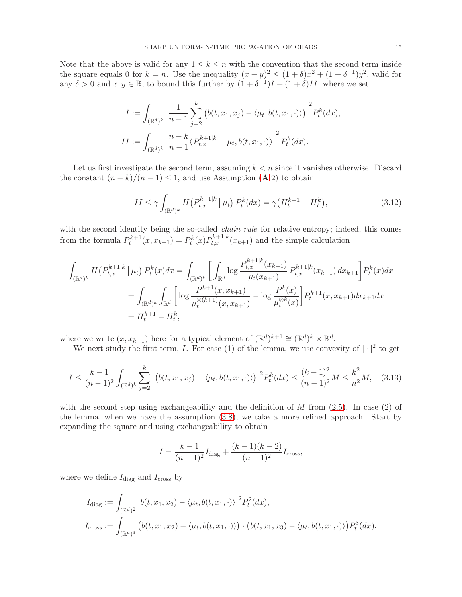Note that the above is valid for any  $1 \leq k \leq n$  with the convention that the second term inside the square equals 0 for  $k = n$ . Use the inequality  $(x + y)^2 \le (1 + \delta)x^2 + (1 + \delta^{-1})y^2$ , valid for any  $\delta > 0$  and  $x, y \in \mathbb{R}$ , to bound this further by  $(1 + \delta^{-1})I + (1 + \delta)II$ , where we set

$$
I := \int_{(\mathbb{R}^d)^k} \left| \frac{1}{n-1} \sum_{j=2}^k \left( b(t, x_1, x_j) - \langle \mu_t, b(t, x_1, \cdot) \rangle \right) \right|^2 P_t^k(dx),
$$
  

$$
II := \int_{(\mathbb{R}^d)^k} \left| \frac{n-k}{n-1} \langle P_{t,x}^{k+1|k} - \mu_t, b(t, x_1, \cdot) \rangle \right|^2 P_t^k(dx).
$$

Let us first investigate the second term, assuming  $k < n$  since it vanishes otherwise. Discard the constant  $(n-k)/(n-1) \leq 1$ , and use [A](#page-4-1)ssumption (A.2) to obtain

<span id="page-14-1"></span>
$$
II \le \gamma \int_{(\mathbb{R}^d)^k} H\big(P_{t,x}^{k+1|k} \mid \mu_t\big) P_t^k(dx) = \gamma \big(H_t^{k+1} - H_t^k\big),\tag{3.12}
$$

with the second identity being the so-called *chain rule* for relative entropy; indeed, this comes from the formula  $P_t^{k+1}(x, x_{k+1}) = P_t^k(x) P_{t,x}^{k+1|k}(x_{k+1})$  and the simple calculation

$$
\int_{(\mathbb{R}^d)^k} H(P_{t,x}^{k+1|k} | \mu_t) P_t^k(x) dx = \int_{(\mathbb{R}^d)^k} \left[ \int_{\mathbb{R}^d} \log \frac{P_{t,x}^{k+1|k}(x_{k+1})}{\mu_t(x_{k+1})} P_{t,x}^{k+1|k}(x_{k+1}) dx_{k+1} \right] P_t^k(x) dx
$$

$$
= \int_{(\mathbb{R}^d)^k} \int_{\mathbb{R}^d} \left[ \log \frac{P_{t,x}^{k+1}(x, x_{k+1})}{\mu_t^{\otimes (k+1)}(x, x_{k+1})} - \log \frac{P^k(x)}{\mu_t^{\otimes k}(x)} \right] P_t^{k+1}(x, x_{k+1}) dx_{k+1} dx
$$

$$
= H_t^{k+1} - H_t^k,
$$

where we write  $(x, x_{k+1})$  here for a typical element of  $(\mathbb{R}^d)^{k+1} \cong (\mathbb{R}^d)^k \times \mathbb{R}^d$ .

We next study the first term, I. For case (1) of the lemma, we use convexity of  $|\cdot|^2$  to get

<span id="page-14-0"></span>
$$
I \le \frac{k-1}{(n-1)^2} \int_{(\mathbb{R}^d)^k} \sum_{j=2}^k \left| \left( b(t, x_1, x_j) - \langle \mu_t, b(t, x_1, \cdot) \rangle \right) \right|^2 P_t^k(dx) \le \frac{(k-1)^2}{(n-1)^2} M \le \frac{k^2}{n^2} M, \quad (3.13)
$$

with the second step using exchangeability and the definition of  $M$  from  $(2.5)$ . In case  $(2)$  of the lemma, when we have the assumption [\(3.8\)](#page-13-0), we take a more refined approach. Start by expanding the square and using exchangeability to obtain

$$
I = \frac{k-1}{(n-1)^2} I_{\text{diag}} + \frac{(k-1)(k-2)}{(n-1)^2} I_{\text{cross}},
$$

where we define  $I_\mathrm{diag}$  and  $I_\mathrm{cross}$  by

$$
I_{\text{diag}} := \int_{(\mathbb{R}^d)^2} \left| b(t, x_1, x_2) - \langle \mu_t, b(t, x_1, \cdot) \rangle \right|^2 P_t^2(dx),
$$
  

$$
I_{\text{cross}} := \int_{(\mathbb{R}^d)^3} \left( b(t, x_1, x_2) - \langle \mu_t, b(t, x_1, \cdot) \rangle \right) \cdot \left( b(t, x_1, x_3) - \langle \mu_t, b(t, x_1, \cdot) \rangle \right) P_t^3(dx).
$$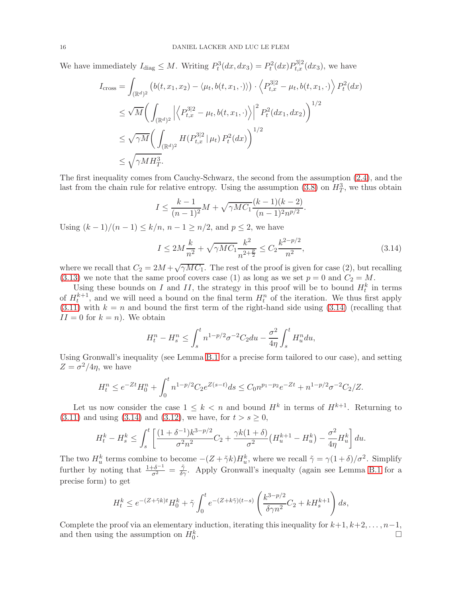We have immediately  $I_{\text{diag}} \leq M$ . Writing  $P_t^3(dx, dx_3) = P_t^2(dx) P_{t,x}^{3|2}(dx_3)$ , we have

$$
I_{\text{cross}} = \int_{(\mathbb{R}^d)^2} \left( b(t, x_1, x_2) - \langle \mu_t, b(t, x_1, \cdot) \rangle \right) \cdot \left\langle P_{t, x}^{3|2} - \mu_t, b(t, x_1, \cdot) \right\rangle P_t^2(dx)
$$
  
\n
$$
\leq \sqrt{M} \left( \int_{(\mathbb{R}^d)^2} \left| \left\langle P_{t, x}^{3|2} - \mu_t, b(t, x_1, \cdot) \right\rangle \right|^2 P_t^2(dx_1, dx_2) \right)^{1/2}
$$
  
\n
$$
\leq \sqrt{\gamma M} \left( \int_{(\mathbb{R}^d)^2} H(P_{t, x}^{3|2} | \mu_t) P_t^2(dx) \right)^{1/2}
$$
  
\n
$$
\leq \sqrt{\gamma M H_T^3}.
$$

The first inequality comes from Cauchy-Schwarz, the second from the assumption [\(2.4\)](#page-4-3), and the last from the chain rule for relative entropy. Using the assumption [\(3.8\)](#page-13-0) on  $H_T^3$ , we thus obtain

$$
I \le \frac{k-1}{(n-1)^2}M + \sqrt{\gamma M C_1} \frac{(k-1)(k-2)}{(n-1)^2 n^{p/2}}.
$$

Using  $(k-1)/(n-1) \leq k/n$ ,  $n-1 \geq n/2$ , and  $p \leq 2$ , we have

<span id="page-15-0"></span>
$$
I \le 2M\frac{k}{n^2} + \sqrt{\gamma MC_1}\frac{k^2}{n^{2+\frac{p}{2}}} \le C_2 \frac{k^{2-p/2}}{n^2},\tag{3.14}
$$

where we recall that  $C_2 = 2M + \sqrt{\gamma M C_1}$ . The rest of the proof is given for case (2), but recalling [\(3.13\)](#page-14-0) we note that the same proof covers case (1) as long as we set  $p = 0$  and  $C_2 = M$ .

Using these bounds on I and II, the strategy in this proof will be to bound  $H_t^k$  in terms of  $H_t^{k+1}$ , and we will need a bound on the final term  $H_t^n$  of the iteration. We thus first apply  $(3.11)$  with  $k = n$  and bound the first term of the right-hand side using  $(3.14)$  (recalling that  $II = 0$  for  $k = n$ ). We obtain

$$
H_t^n - H_s^n \le \int_s^t n^{1-p/2} \sigma^{-2} C_2 du - \frac{\sigma^2}{4\eta} \int_s^t H_u^n du,
$$

Using Gronwall's inequality (see Lemma [B.1](#page-31-9) for a precise form tailored to our case), and setting  $Z = \sigma^2/4\eta$ , we have

$$
H_t^n \le e^{-Zt} H_0^n + \int_0^t n^{1-p/2} C_2 e^{Z(s-t)} ds \le C_0 n^{p_1-p_2} e^{-Zt} + n^{1-p/2} \sigma^{-2} C_2/Z.
$$

Let us now consider the case  $1 \leq k < n$  and bound  $H^k$  in terms of  $H^{k+1}$ . Returning to [\(3.11\)](#page-13-1) and using [\(3.14\)](#page-15-0) and [\(3.12\)](#page-14-1), we have, for  $t > s \ge 0$ ,

$$
H_t^k - H_s^k \le \int_s^t \left[ \frac{(1+\delta^{-1})k^{3-p/2}}{\sigma^2 n^2} C_2 + \frac{\gamma k(1+\delta)}{\sigma^2} \left( H_u^{k+1} - H_u^k \right) - \frac{\sigma^2}{4\eta} H_u^k \right] du.
$$

The two  $H_u^k$  terms combine to become  $-(Z+\tilde{\gamma}k)H_u^k$ , where we recall  $\tilde{\gamma} = \gamma(1+\delta)/\sigma^2$ . Simplify further by noting that  $\frac{1+\delta^{-1}}{\sigma^2} = \frac{\tilde{\gamma}}{\delta \gamma}$ . Apply Gronwall's inequalty (again see Lemma [B.1](#page-31-9) for a precise form) to get

$$
H_t^k \leq e^{-(Z+\tilde{\gamma}k)t}H_0^k + \tilde{\gamma} \int_0^t e^{-(Z+k\tilde{\gamma})(t-s)}\left(\frac{k^{3-p/2}}{\delta \gamma n^2}C_2 + kH_s^{k+1}\right)ds,
$$

Complete the proof via an elementary induction, iterating this inequality for  $k+1, k+2, \ldots, n-1$ , and then using the assumption on  $H_0^k$ .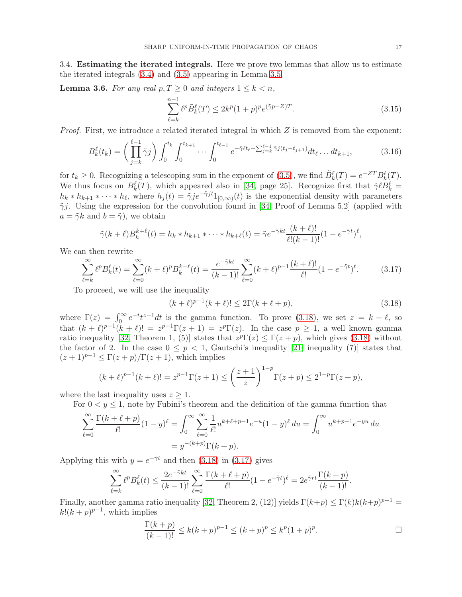3.4. Estimating the iterated integrals. Here we prove two lemmas that allow us to estimate the iterated integrals [\(3.4\)](#page-12-2) and [\(3.5\)](#page-12-3) appearing in Lemma [3.5.](#page-12-1)

<span id="page-16-3"></span>**Lemma 3.6.** For any real  $p, T \geq 0$  and integers  $1 \leq k < n$ ,

<span id="page-16-2"></span>
$$
\sum_{\ell=k}^{n-1} \ell^p \tilde{B}_k^{\ell}(T) \le 2k^p (1+p)^p e^{(\tilde{\gamma}p - Z)T}.
$$
\n(3.15)

*Proof.* First, we introduce a related iterated integral in which Z is removed from the exponent:

$$
B_k^{\ell}(t_k) = \left(\prod_{j=k}^{\ell-1} \tilde{\gamma}^j\right) \int_0^{t_k} \int_0^{t_{k+1}} \cdots \int_0^{t_{\ell-1}} e^{-\tilde{\gamma}\ell t_{\ell} - \sum_{j=k}^{\ell-1} \tilde{\gamma}^j(t_j - t_{j+1})} dt_{\ell} \dots dt_{k+1},\tag{3.16}
$$

for  $t_k \geq 0$ . Recognizing a telescoping sum in the exponent of [\(3.5\)](#page-12-3), we find  $\tilde{B}_k^{\ell}(T) = e^{-ZT} B_k^{\ell}(T)$ . We thus focus on  $B_k^{\ell}(T)$ , which appeared also in [\[34,](#page-32-8) page 25]. Recognize first that  $\tilde{\gamma} \ell B_k^{\ell} =$  $h_k * h_{k+1} * \cdots * h_{\ell}$ , where  $h_j(t) = \tilde{\gamma} j e^{-\tilde{\gamma} j t} 1_{[0,\infty)}(t)$  is the exponential density with parameters  $\tilde{\gamma}j$ . Using the expression for the convolution found in [\[34,](#page-32-8) Proof of Lemma 5.2] (applied with  $a = \tilde{\gamma}k$  and  $b = \tilde{\gamma}$ , we obtain

$$
\tilde{\gamma}(k+\ell)B_{k}^{k+\ell}(t) = h_{k} * h_{k+1} * \cdots * h_{k+\ell}(t) = \tilde{\gamma}e^{-\tilde{\gamma}kt}\frac{(k+\ell)!}{\ell!(k-1)!}(1-e^{-\tilde{\gamma}t})^{\ell},
$$

We can then rewrite

$$
\sum_{\ell=k}^{\infty} \ell^p B_k^{\ell}(t) = \sum_{\ell=0}^{\infty} (k+\ell)^p B_k^{k+\ell}(t) = \frac{e^{-\tilde{\gamma}kt}}{(k-1)!} \sum_{\ell=0}^{\infty} (k+\ell)^{p-1} \frac{(k+\ell)!}{\ell!} (1 - e^{-\tilde{\gamma}t})^{\ell}.
$$
 (3.17)

To proceed, we will use the inequality

<span id="page-16-1"></span><span id="page-16-0"></span>
$$
(k+\ell)^{p-1}(k+\ell)! \le 2\Gamma(k+\ell+p),
$$
\n(3.18)

where  $\Gamma(z) = \int_0^\infty e^{-t} t^{z-1} dt$  is the gamma function. To prove [\(3.18\)](#page-16-0), we set  $z = k + \ell$ , so that  $(k + \ell)^{p-1}(k + \ell)! = z^{p-1}\Gamma(z + 1) = z^p\Gamma(z)$ . In the case  $p \ge 1$ , a well known gamma ratio inequality [\[32,](#page-32-24) Theorem 1, (5)] states that  $z^p \Gamma(z) \leq \Gamma(z+p)$ , which gives [\(3.18\)](#page-16-0) without the factor of 2. In the case  $0 \leq p < 1$ , Gautschi's inequality [\[21,](#page-32-25) inequality (7)] states that  $(z + 1)^{p-1} \leq \Gamma(z + p)/\Gamma(z + 1)$ , which implies

$$
(k+\ell)^{p-1}(k+\ell)! = z^{p-1}\Gamma(z+1) \le \left(\frac{z+1}{z}\right)^{1-p} \Gamma(z+p) \le 2^{1-p}\Gamma(z+p),
$$

where the last inequality uses  $z \geq 1$ .

For  $0 \lt y \leq 1$ , note by Fubini's theorem and the definition of the gamma function that

$$
\sum_{\ell=0}^{\infty} \frac{\Gamma(k+\ell+p)}{\ell!} (1-y)^{\ell} = \int_0^{\infty} \sum_{\ell=0}^{\infty} \frac{1}{\ell!} u^{k+\ell+p-1} e^{-u} (1-y)^{\ell} du = \int_0^{\infty} u^{k+p-1} e^{-yu} du
$$

$$
= y^{-(k+p)} \Gamma(k+p).
$$

Applying this with  $y = e^{-\tilde{\gamma}t}$  and then [\(3.18\)](#page-16-0) in [\(3.17\)](#page-16-1) gives

$$
\sum_{\ell=k}^{\infty} \ell^p B_k^{\ell}(t) \le \frac{2e^{-\tilde{\gamma}kt}}{(k-1)!} \sum_{\ell=0}^{\infty} \frac{\Gamma(k+\ell+p)}{\ell!} (1 - e^{-\tilde{\gamma}t})^{\ell} = 2e^{\tilde{\gamma}rt} \frac{\Gamma(k+p)}{(k-1)!}.
$$

Finally, another gamma ratio inequality [\[32,](#page-32-24) Theorem 2, (12)] yields  $\Gamma(k+p) \leq \Gamma(k)k(k+p)^{p-1} =$  $k!(k+p)^{p-1}$ , which implies

$$
\frac{\Gamma(k+p)}{(k-1)!} \le k(k+p)^{p-1} \le (k+p)^p \le k^p (1+p)^p.
$$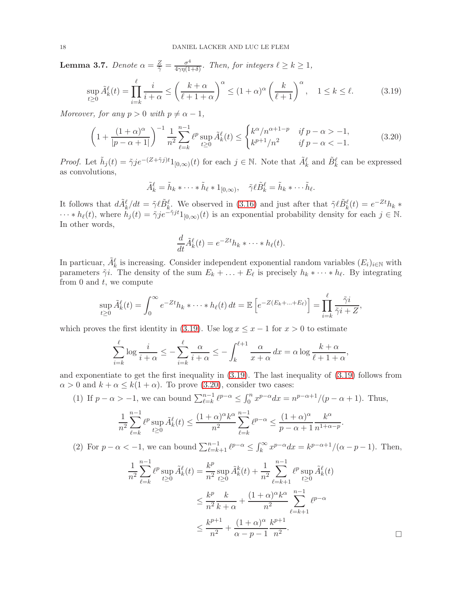<span id="page-17-2"></span>**Lemma 3.7.** *Denote*  $\alpha = \frac{Z}{\tilde{\gamma}} = \frac{\sigma^4}{4\gamma\eta(1-\tilde{\gamma})}$  $\frac{\sigma^4}{4\gamma\eta(1+\delta)}$ *. Then, for integers*  $\ell \geq k \geq 1$ *,* 

$$
\sup_{t\geq 0} \tilde{A}_k^{\ell}(t) = \prod_{i=k}^{\ell} \frac{i}{i+\alpha} \leq \left(\frac{k+\alpha}{\ell+1+\alpha}\right)^{\alpha} \leq (1+\alpha)^{\alpha} \left(\frac{k}{\ell+1}\right)^{\alpha}, \quad 1 \leq k \leq \ell.
$$
 (3.19)

*Moreover, for any*  $p > 0$  *with*  $p \neq \alpha - 1$ *,* 

$$
\left(1 + \frac{(1+\alpha)^{\alpha}}{|p-\alpha+1|}\right)^{-1} \frac{1}{n^2} \sum_{\ell=k}^{n-1} \ell^p \sup_{t \ge 0} \tilde{A}_k^{\ell}(t) \le \begin{cases} k^{\alpha}/n^{\alpha+1-p} & \text{if } p-\alpha > -1, \\ k^{p+1}/n^2 & \text{if } p-\alpha < -1. \end{cases} \tag{3.20}
$$

*Proof.* Let  $\tilde{h}_j(t) = \tilde{\gamma} j e^{-(Z+\tilde{\gamma}j)t} 1_{[0,\infty)}(t)$  for each  $j \in \mathbb{N}$ . Note that  $\tilde{A}_k^{\ell}$  and  $\tilde{B}_k^{\ell}$  can be expressed as convolutions,

$$
\tilde{A}_k^{\ell} = \tilde{h}_k * \cdots * \tilde{h}_{\ell} * 1_{[0,\infty)}, \quad \tilde{\gamma} \ell \tilde{B}_k^{\ell} = \tilde{h}_k * \cdots \tilde{h}_{\ell}.
$$

It follows that  $d\tilde{A}^{\ell}_{k}/dt = \tilde{\gamma} \ell \tilde{B}^{\ell}_{k}$ . We observed in [\(3.16\)](#page-16-2) and just after that  $\tilde{\gamma} \ell \tilde{B}^{\ell}_{k}(t) = e^{-Zt}h_{k} *$  $\cdots * h_{\ell}(t)$ , where  $h_j(t) = \tilde{\gamma} j e^{-\tilde{\gamma} j t} 1_{[0,\infty)}(t)$  is an exponential probability density for each  $j \in \mathbb{N}$ . In other words,

<span id="page-17-1"></span><span id="page-17-0"></span>
$$
\frac{d}{dt}\tilde{A}_k^{\ell}(t) = e^{-Zt}h_k * \cdots * h_{\ell}(t).
$$

In particuar,  $\tilde{A}_k^{\ell}$  is increasing. Consider independent exponential random variables  $(E_i)_{i\in\mathbb{N}}$  with parameters  $\tilde{\gamma}i$ . The density of the sum  $E_k + \ldots + E_\ell$  is precisely  $h_k * \cdots * h_\ell$ . By integrating from 0 and  $t$ , we compute

$$
\sup_{t\geq 0} \tilde{A}_k^{\ell}(t) = \int_0^{\infty} e^{-Zt} h_k * \cdots * h_{\ell}(t) dt = \mathbb{E}\left[e^{-Z(E_k + \ldots + E_{\ell})}\right] = \prod_{i=k}^{\ell} \frac{\tilde{\gamma}i}{\tilde{\gamma}i + Z},
$$

which proves the first identity in [\(3.19\)](#page-17-0). Use  $\log x \leq x - 1$  for  $x > 0$  to estimate

$$
\sum_{i=k}^{\ell} \log \frac{i}{i+\alpha} \le -\sum_{i=k}^{\ell} \frac{\alpha}{i+\alpha} \le -\int_{k}^{\ell+1} \frac{\alpha}{x+\alpha} dx = \alpha \log \frac{k+\alpha}{\ell+1+\alpha},
$$

and exponentiate to get the first inequality in [\(3.19\)](#page-17-0). The last inequality of [\(3.19\)](#page-17-0) follows from  $\alpha > 0$  and  $k + \alpha \leq k(1 + \alpha)$ . To prove [\(3.20\)](#page-17-1), consider two cases:

(1) If 
$$
p - \alpha > -1
$$
, we can bound  $\sum_{\ell=k}^{n-1} \ell^{p-\alpha} \le \int_0^n x^{p-\alpha} dx = n^{p-\alpha+1}/(p-\alpha+1)$ . Thus,  

$$
\frac{1}{n^2} \sum_{\ell=k}^{n-1} \ell^p \sup_{t \ge 0} \tilde{A}_k^{\ell}(t) \le \frac{(1+\alpha)^{\alpha} k^{\alpha}}{n^2} \sum_{\ell=k}^{n-1} \ell^{p-\alpha} \le \frac{(1+\alpha)^{\alpha}}{p-\alpha+1} \frac{k^{\alpha}}{n^{1+\alpha-p}}.
$$

(2) For  $p - \alpha < -1$ , we can bound  $\sum_{\ell=k+1}^{n-1} \ell^{p-\alpha} \leq \int_k^{\infty} x^{p-\alpha} dx = k^{p-\alpha+1}/(\alpha - p - 1)$ . Then,

$$
\frac{1}{n^2} \sum_{\ell=k}^{n-1} \ell^p \sup_{t \ge 0} \tilde{A}_k^{\ell}(t) = \frac{k^p}{n^2} \sup_{t \ge 0} \tilde{A}_k^k(t) + \frac{1}{n^2} \sum_{\ell=k+1}^{n-1} \ell^p \sup_{t \ge 0} \tilde{A}_k^{\ell}(t)
$$

$$
\le \frac{k^p}{n^2} \frac{k}{k+\alpha} + \frac{(1+\alpha)^{\alpha} k^{\alpha}}{n^2} \sum_{\ell=k+1}^{n-1} \ell^{p-\alpha}
$$

$$
\le \frac{k^{p+1}}{n^2} + \frac{(1+\alpha)^{\alpha}}{\alpha - p - 1} \frac{k^{p+1}}{n^2}.
$$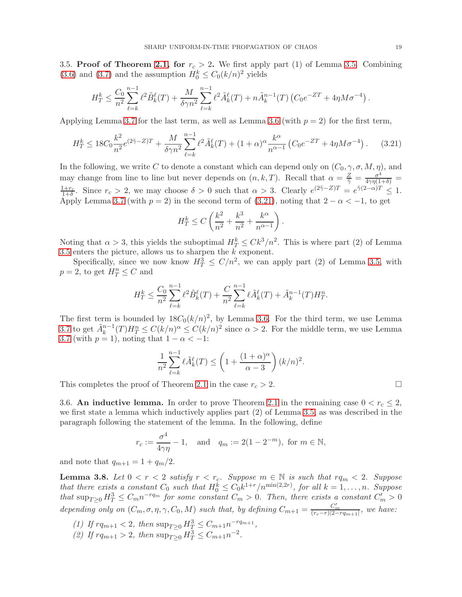<span id="page-18-0"></span>3.5. Proof of Theorem [2.1,](#page-4-0) for  $r_c > 2$ . We first apply part (1) of Lemma [3.5.](#page-12-1) Combining [\(3.6\)](#page-13-2) and [\(3.7\)](#page-13-3) and the assumption  $H_0^k \leq C_0 (k/n)^2$  yields

$$
H_T^k \leq \frac{C_0}{n^2} \sum_{\ell=k}^{n-1} \ell^2 \tilde{B}_k^{\ell}(T) + \frac{M}{\delta \gamma n^2} \sum_{\ell=k}^{n-1} \ell^2 \tilde{A}_k^{\ell}(T) + n \tilde{A}_k^{n-1}(T) \left( C_0 e^{-ZT} + 4\eta M \sigma^{-4} \right).
$$

Applying Lemma [3.7](#page-17-2) for the last term, as well as Lemma [3.6](#page-16-3) (with  $p = 2$ ) for the first term,

$$
H_T^k \le 18C_0 \frac{k^2}{n^2} e^{(2\tilde{\gamma} - Z)T} + \frac{M}{\delta \gamma n^2} \sum_{\ell=k}^{n-1} \ell^2 \tilde{A}_k^{\ell}(T) + (1 + \alpha)^{\alpha} \frac{k^{\alpha}}{n^{\alpha - 1}} \left( C_0 e^{-ZT} + 4\eta M \sigma^{-4} \right). \tag{3.21}
$$

In the following, we write C to denote a constant which can depend only on  $(C_0, \gamma, \sigma, M, \eta)$ , and may change from line to line but never depends on  $(n, k, T)$ . Recall that  $\alpha = \frac{Z}{\tilde{\gamma}} = \frac{\sigma^4}{4\gamma\eta(1+\delta)}$  $\frac{1+r_c}{1+\delta}$ . Since  $r_c > 2$ , we may choose  $\delta > 0$  such that  $\alpha > 3$ . Clearly  $e^{(2\tilde{\gamma}-Z)T} = e^{\tilde{\gamma}(2-\alpha)T} \leq 1$ . Apply Lemma [3.7](#page-17-2) (with  $p = 2$ ) in the second term of [\(3.21\)](#page-18-2), noting that  $2 - \alpha < -1$ , to get

$$
H_T^k \le C\left(\frac{k^2}{n^2} + \frac{k^3}{n^2} + \frac{k^{\alpha}}{n^{\alpha-1}}\right)
$$

<span id="page-18-2"></span>.

Noting that  $\alpha > 3$ , this yields the suboptimal  $H_T^k \leq Ck^3/n^2$ . This is where part (2) of Lemma [3.5](#page-12-1) enters the picture, allows us to sharpen the k exponent.

Specifically, since we now know  $H_T^3 \leq C/n^2$ , we can apply part (2) of Lemma [3.5,](#page-12-1) with  $p = 2$ , to get  $H_T^n \leq C$  and

$$
H_T^k \le \frac{C_0}{n^2} \sum_{\ell=k}^{n-1} \ell^2 \tilde{B}_k^{\ell}(T) + \frac{C}{n^2} \sum_{\ell=k}^{n-1} \ell \tilde{A}_k^{\ell}(T) + \tilde{A}_k^{n-1}(T) H_T^n.
$$

The first term is bounded by  $18C_0(k/n)^2$ , by Lemma [3.6.](#page-16-3) For the third term, we use Lemma [3.7](#page-17-2) to get  $\tilde{A}_k^{n-1}(T)H_T^n \leq C(k/n)^\alpha \leq C(k/n)^2$  since  $\alpha > 2$ . For the middle term, we use Lemma [3.7](#page-17-2) (with  $p = 1$ ), noting that  $1 - \alpha < -1$ :

$$
\frac{1}{n^2} \sum_{\ell=k}^{n-1} \ell \tilde{A}_k^{\ell}(T) \le \left(1 + \frac{(1+\alpha)^{\alpha}}{\alpha - 3}\right) (k/n)^2.
$$

This completes the proof of Theorem [2.1](#page-4-0) in the case  $r_c > 2$ .

3.6. An inductive lemma. In order to prove Theorem [2.1](#page-4-0) in the remaining case  $0 < r_c \leq 2$ , we first state a lemma which inductively applies part (2) of Lemma [3.5,](#page-12-1) as was described in the paragraph following the statement of the lemma. In the following, define

$$
r_c := \frac{\sigma^4}{4\gamma\eta} - 1
$$
, and  $q_m := 2(1 - 2^{-m})$ , for  $m \in \mathbb{N}$ ,

and note that  $q_{m+1} = 1 + q_m/2$ .

<span id="page-18-1"></span>**Lemma 3.8.** Let  $0 < r < 2$  satisfy  $r < r_c$ . Suppose  $m \in \mathbb{N}$  is such that  $rq_m < 2$ . Suppose *that there exists a constant*  $C_0$  *such that*  $H_0^k \leq C_0 k^{1+r}/n^{\min(2,2r)}$ , for all  $k = 1, ..., n$ . Suppose  $\int_0^1 t \, dt \, \sup_{T \geq 0} H_T^3 \leq C_m n^{-r q_m}$  *for some constant*  $C_m > 0$ . Then, there exists a constant  $C'_m > 0$ *depending only on*  $(C_m, \sigma, \eta, \gamma, C_0, M)$  *such that, by defining*  $C_{m+1} = \frac{C'_m}{(r_c-r)[2-rq_{m+1}]}$ *, we have:* 

- (1) If  $rq_{m+1} < 2$ , then  $\sup_{T \geq 0} H_T^3 \leq C_{m+1} n^{-rq_{m+1}}$ ,
- (2) If  $rq_{m+1} > 2$ , then  $\sup_{T \geq 0} H_T^3 \leq C_{m+1} n^{-2}$ .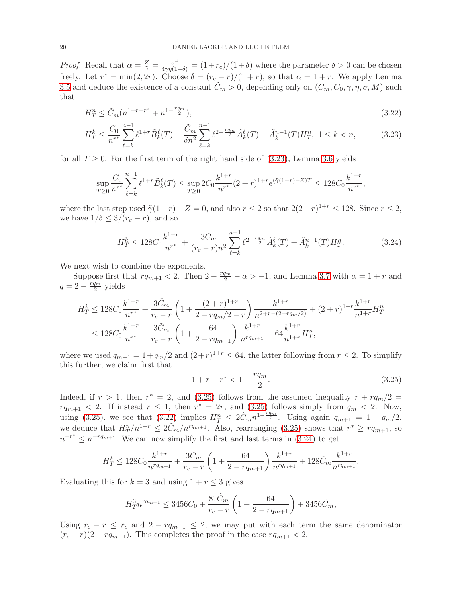*Proof.* Recall that  $\alpha = \frac{Z}{\tilde{\gamma}} = \frac{\sigma^4}{4\gamma\eta(1+\delta)} = (1+r_c)/(1+\delta)$  where the parameter  $\delta > 0$  can be chosen freely. Let  $r^* = \min(2, 2r)$ . Choose  $\delta = (r_c - r)/(1 + r)$ , so that  $\alpha = 1 + r$ . We apply Lemma [3.5](#page-12-1) and deduce the existence of a constant  $\tilde{C}_m > 0$ , depending only on  $(C_m, C_0, \gamma, \eta, \sigma, M)$  such that

$$
H_T^n \le \tilde{C}_m (n^{1+r-r^*} + n^{1-\frac{rq_m}{2}}),\tag{3.22}
$$

$$
H_T^k \le \frac{C_0}{n^{r^*}} \sum_{\ell=k}^{n-1} \ell^{1+r} \tilde{B}_k^{\ell}(T) + \frac{\tilde{C}_m}{\delta n^2} \sum_{\ell=k}^{n-1} \ell^{2-\frac{rqm}{2}} \tilde{A}_k^{\ell}(T) + \tilde{A}_k^{n-1}(T) H_T^n, \ 1 \le k < n,\tag{3.23}
$$

for all  $T \geq 0$ . For the first term of the right hand side of [\(3.23\)](#page-19-0), Lemma [3.6](#page-16-3) yields

$$
\sup_{T\geq 0} \frac{C_0}{n^{r^*}} \sum_{\ell=k}^{n-1} \ell^{1+r} \tilde{B}_k^{\ell}(T) \leq \sup_{T\geq 0} 2C_0 \frac{k^{1+r}}{n^{r^*}} (2+r)^{1+r} e^{(\tilde{\gamma}(1+r)-Z)T} \leq 128 C_0 \frac{k^{1+r}}{n^{r^*}},
$$

where the last step used  $\tilde{\gamma}(1+r) - Z = 0$ , and also  $r \leq 2$  so that  $2(2+r)^{1+r} \leq 128$ . Since  $r \leq 2$ , we have  $1/\delta \leq 3/(r_c - r)$ , and so

<span id="page-19-2"></span><span id="page-19-0"></span>
$$
H_T^k \le 128C_0 \frac{k^{1+r}}{n^{r^*}} + \frac{3\tilde{C}_m}{(r_c - r)n^2} \sum_{\ell=k}^{n-1} \ell^{2 - \frac{rq_m}{2}} \tilde{A}_k^{\ell}(T) + \tilde{A}_k^{n-1}(T) H_T^n. \tag{3.24}
$$

We next wish to combine the exponents.

Suppose first that  $rq_{m+1} < 2$ . Then  $2 - \frac{rq_m}{2} - \alpha > -1$ , and Lemma [3.7](#page-17-2) with  $\alpha = 1 + r$  and  $q = 2 - \frac{rq_m}{2}$  $\frac{q_m}{2}$  yields

$$
H_T^k \le 128C_0 \frac{k^{1+r}}{n^{r^*}} + \frac{3\tilde{C}_m}{r_c - r} \left( 1 + \frac{(2+r)^{1+r}}{2 - r q_m/2 - r} \right) \frac{k^{1+r}}{n^{2+r - (2-rq_m/2)}} + (2+r)^{1+r} \frac{k^{1+r}}{n^{1+r}} H_T^n
$$
  

$$
\le 128C_0 \frac{k^{1+r}}{n^{r^*}} + \frac{3\tilde{C}_m}{r_c - r} \left( 1 + \frac{64}{2 - r q_{m+1}} \right) \frac{k^{1+r}}{n^{r q_{m+1}}} + 64 \frac{k^{1+r}}{n^{1+r}} H_T^n,
$$

where we used  $q_{m+1} = 1 + q_m/2$  and  $(2+r)^{1+r} \le 64$ , the latter following from  $r \le 2$ . To simplify this further, we claim first that

<span id="page-19-3"></span><span id="page-19-1"></span>
$$
1 + r - r^* < 1 - \frac{rq_m}{2}.\tag{3.25}
$$

Indeed, if  $r > 1$ , then  $r^* = 2$ , and [\(3.25\)](#page-19-1) follows from the assumed inequality  $r + r q_m/2 =$  $rq_{m+1} < 2$ . If instead  $r \leq 1$ , then  $r^* = 2r$ , and  $(3.25)$  follows simply from  $q_m < 2$ . Now, using [\(3.25\)](#page-19-1), we see that  $(3.22)$  implies  $H_T^n \leq 2\tilde{C}_m n^{1-\frac{rq_m}{2}}$ . Using again  $q_{m+1} = 1 + q_m/2$ , we deduce that  $H_T^n/n^{1+r} \leq 2\tilde{C}_m/n^{rq_{m+1}}$ . Also, rearranging [\(3.25\)](#page-19-1) shows that  $r^* \geq r q_{m+1}$ , so  $n^{-r^*} \leq n^{-r q_{m+1}}$ . We can now simplify the first and last terms in [\(3.24\)](#page-19-3) to get

$$
H_T^k \le 128C_0 \frac{k^{1+r}}{n^{rq_{m+1}}} + \frac{3\tilde{C}_m}{r_c - r} \left( 1 + \frac{64}{2 - rq_{m+1}} \right) \frac{k^{1+r}}{n^{rq_{m+1}}} + 128\tilde{C}_m \frac{k^{1+r}}{n^{rq_{m+1}}}.
$$

Evaluating this for  $k = 3$  and using  $1 + r \leq 3$  gives

$$
H_T^3 n^{rq_{m+1}} \le 3456C_0 + \frac{81\tilde{C}_m}{r_c - r} \left( 1 + \frac{64}{2 - rq_{m+1}} \right) + 3456\tilde{C}_m,
$$

Using  $r_c - r \le r_c$  and  $2 - r q_{m+1} \le 2$ , we may put with each term the same denominator  $(r_c - r)(2 - rq_{m+1})$ . This completes the proof in the case  $rq_{m+1} < 2$ .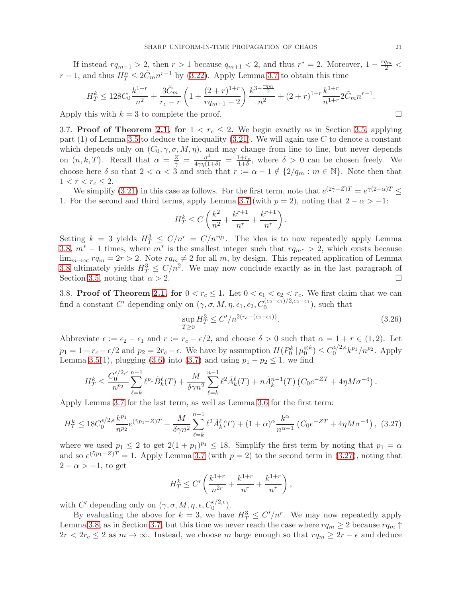If instead  $rq_{m+1} > 2$ , then  $r > 1$  because  $q_{m+1} < 2$ , and thus  $r^* = 2$ . Moreover,  $1 - \frac{rq_m}{2} <$  $r-1$ , and thus  $H^n_T \leq 2\tilde{C}_m n^{r-1}$  by [\(3.22\)](#page-19-2). Apply Lemma [3.7](#page-17-2) to obtain this time

$$
H_T^k \le 128C_0 \frac{k^{1+r}}{n^2} + \frac{3\tilde{C}_m}{r_c - r} \left( 1 + \frac{(2+r)^{1+r}}{rq_{m+1} - 2} \right) \frac{k^{3-\frac{rq_m}{2}}}{n^2} + (2+r)^{1+r} \frac{k^{1+r}}{n^{1+r}} 2\tilde{C}_m n^{r-1}.
$$

<span id="page-20-0"></span>Apply this with  $k = 3$  to complete the proof.

3.7. Proof of Theorem [2.1,](#page-4-0) for  $1 < r_c \leq 2$ . We begin exactly as in Section [3.5,](#page-18-0) applying part  $(1)$  of Lemma [3.5](#page-12-1) to deduce the inequality  $(3.21)$ . We will again use C to denote a constant which depends only on  $(C_0, \gamma, \sigma, M, \eta)$ , and may change from line to line, but never depends on  $(n, k, T)$ . Recall that  $\alpha = \frac{Z}{\tilde{\gamma}} = \frac{\sigma^4}{4\gamma\eta(1+\delta)} = \frac{1+r_c}{1+\delta}$ , where  $\delta > 0$  can be chosen freely. We choose here  $\delta$  so that  $2 < \alpha < 3$  and such that  $r := \alpha - 1 \notin \{2/q_m : m \in \mathbb{N}\}\)$ . Note then that  $1 < r < r_c \leq 2$ .

We simplify [\(3.21\)](#page-18-2) in this case as follows. For the first term, note that  $e^{(2\tilde{\gamma}-Z)T} = e^{\tilde{\gamma}(2-\alpha)T} \le$ 1. For the second and third terms, apply Lemma [3.7](#page-17-2) (with  $p = 2$ ), noting that  $2 - \alpha > -1$ :

$$
H_T^k \le C\left(\frac{k^2}{n^2} + \frac{k^{r+1}}{n^r} + \frac{k^{r+1}}{n^r}\right).
$$

Setting  $k = 3$  yields  $H_T^3 \le C/n^r = C/n^{rq_1}$ . The idea is to now repeatedly apply Lemma [3.8,](#page-18-1)  $m^* - 1$  times, where  $m^*$  is the smallest integer such that  $rq_{m^*} > 2$ , which exists because  $\lim_{m\to\infty} r q_m = 2r > 2$ . Note  $r q_m \neq 2$  for all m, by design. This repeated application of Lemma [3.8](#page-18-1) ultimately yields  $H_T^3 \le C/n^2$ . We may now conclude exactly as in the last paragraph of Section [3.5,](#page-18-0) noting that  $\alpha > 2$ .

<span id="page-20-1"></span>3.8. Proof of Theorem [2.1,](#page-4-0) for  $0 < r_c \leq 1$ . Let  $0 < \epsilon_1 < \epsilon_2 < r_c$ . We first claim that we can find a constant C' depending only on  $(\gamma, \sigma, M, \eta, \epsilon_1, \epsilon_2, C_0^{(\epsilon_2-\epsilon_1)/2, \epsilon_2-\epsilon_1})$ , such that

<span id="page-20-3"></span>
$$
\sup_{T\geq 0} H_T^3 \leq C'/n^{2(r_c - (\epsilon_2 - \epsilon_1))}.\tag{3.26}
$$

Abbreviate  $\epsilon := \epsilon_2 - \epsilon_1$  and  $r := r_c - \epsilon/2$ , and choose  $\delta > 0$  such that  $\alpha = 1 + r \in (1, 2)$ . Let  $p_1 = 1 + r_c - \epsilon/2$  and  $p_2 = 2r_c - \epsilon$ . We have by assumption  $H(P_0^k | \mu_0^{\otimes k}) \leq C_0^{\epsilon/2, \epsilon}$  $\int_0^{\epsilon/2,\epsilon} k^{p_1}/n^{p_2}$ . Apply Lemma [3.5\(](#page-12-1)1), plugging [\(3.6\)](#page-13-2) into [\(3.7\)](#page-13-3) and using  $p_1 - p_2 \le 1$ , we find

$$
H_T^k \leq \frac{C_0^{\epsilon/2,\epsilon}}{n^{p_2}} \sum_{\ell=k}^{n-1} \ell^{p_1} \tilde{B}_k^{\ell}(T) + \frac{M}{\delta \gamma n^2} \sum_{\ell=k}^{n-1} \ell^2 \tilde{A}_k^{\ell}(T) + n \tilde{A}_k^{n-1}(T) \left( C_0 e^{-ZT} + 4\eta M \sigma^{-4} \right).
$$

Apply Lemma [3.7](#page-17-2) for the last term, as well as Lemma [3.6](#page-16-3) for the first term:

$$
H_T^k \le 18C_0^{\epsilon/2,\epsilon} \frac{k^{p_1}}{n^{p_2}} e^{(\tilde{\gamma}p_1 - Z)T} + \frac{M}{\delta \gamma n^2} \sum_{\ell=k}^{n-1} \ell^2 \tilde{A}_k^{\ell}(T) + (1+\alpha)^{\alpha} \frac{k^{\alpha}}{n^{\alpha-1}} \left( C_0 e^{-ZT} + 4\eta M \sigma^{-4} \right),
$$
 (3.27)

where we used  $p_1 \leq 2$  to get  $2(1+p_1)^{p_1} \leq 18$ . Simplify the first term by noting that  $p_1 = \alpha$ and so  $e^{(\tilde{\gamma}p_1 - Z)T} = 1$ . Apply Lemma [3.7](#page-17-2) (with  $p = 2$ ) to the second term in [\(3.27\)](#page-20-2), noting that  $2 - \alpha > -1$ , to get

<span id="page-20-2"></span>
$$
H_T^k \le C' \left( \frac{k^{1+r}}{n^{2r}} + \frac{k^{1+r}}{n^r} + \frac{k^{1+r}}{n^r} \right),\,
$$

with C' depending only on  $(\gamma, \sigma, M, \eta, \epsilon, C_0^{\epsilon/2, \epsilon})$ .

By evaluating the above for  $k = 3$ , we have  $H_T^3 \leq C'/n^r$ . We may now repeatedly apply Lemma [3.8,](#page-18-1) as in Section [3.7,](#page-20-0) but this time we never reach the case where  $rq_m \geq 2$  because  $rq_m \uparrow$  $2r < 2r_c \leq 2$  as  $m \to \infty$ . Instead, we choose m large enough so that  $rq_m \geq 2r - \epsilon$  and deduce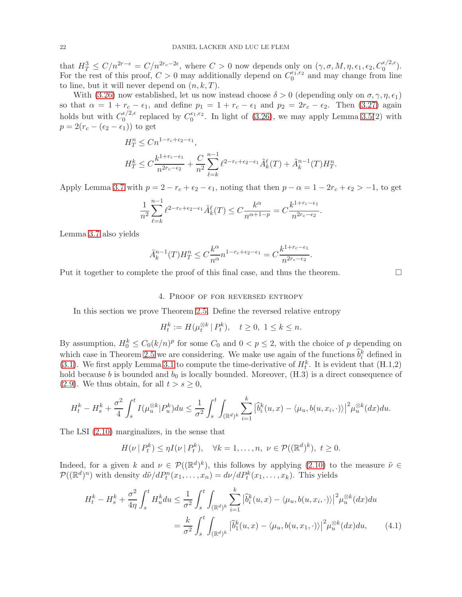that  $H_T^3 \leq C/n^{2r-\epsilon} = C/n^{2r_c-2\epsilon}$ , where  $C > 0$  now depends only on  $(\gamma, \sigma, M, \eta, \epsilon_1, \epsilon_2, C_0^{\epsilon/2, \epsilon})$ . For the rest of this proof,  $C > 0$  may additionally depend on  $C_0^{\epsilon_1,\epsilon_2}$  $_0^{\epsilon_1,\epsilon_2}$  and may change from line to line, but it will never depend on  $(n, k, T)$ .

With [\(3.26\)](#page-20-3) now established, let us now instead choose  $\delta > 0$  (depending only on  $\sigma, \gamma, \eta, \epsilon_1$ ) so that  $\alpha = 1 + r_c - \epsilon_1$ , and define  $p_1 = 1 + r_c - \epsilon_1$  and  $p_2 = 2r_c - \epsilon_2$ . Then [\(3.27\)](#page-20-2) again holds but with  $C_0^{\epsilon/2,\epsilon}$  $C_0^{\epsilon/2,\epsilon}$  replaced by  $C_0^{\epsilon_1,\epsilon_2}$  $_{0}^{\epsilon_{1},\epsilon_{2}}$ . In light of [\(3.26\)](#page-20-3), we may apply Lemma [3.5\(](#page-12-1)2) with  $p = 2(r_c - (\epsilon_2 - \epsilon_1))$  to get

$$
H_T^n \le C n^{1-r_c+\epsilon_2-\epsilon_1},
$$
  
\n
$$
H_T^k \le C \frac{k^{1+r_c-\epsilon_1}}{n^{2r_c-\epsilon_2}} + \frac{C}{n^2} \sum_{\ell=k}^{n-1} \ell^{2-r_c+\epsilon_2-\epsilon_1} \tilde{A}_k^{\ell}(T) + \tilde{A}_k^{n-1}(T) H_T^n.
$$

Apply Lemma [3.7](#page-17-2) with  $p = 2 - r_c + \epsilon_2 - \epsilon_1$ , noting that then  $p - \alpha = 1 - 2r_c + \epsilon_2 > -1$ , to get

$$
\frac{1}{n^2} \sum_{\ell=k}^{n-1} \ell^{2-r_c+\epsilon_2-\epsilon_1} \tilde{A}_k^{\ell}(T) \le C \frac{k^{\alpha}}{n^{\alpha+1-p}} = C \frac{k^{1+r_c-\epsilon_1}}{n^{2r_c-\epsilon_2}}.
$$

Lemma [3.7](#page-17-2) also yields

$$
\tilde{A}_k^{n-1}(T)H_T^n \le C\frac{k^{\alpha}}{n^{\alpha}}n^{1-r_c+\epsilon_2-\epsilon_1} = C\frac{k^{1+r_c-\epsilon_1}}{n^{2r_c-\epsilon_2}}.
$$

<span id="page-21-0"></span>Put it together to complete the proof of this final case, and thus the theorem.  $\Box$ 

#### 4. Proof of for reversed entropy

In this section we prove Theorem [2.5.](#page-6-0) Define the reversed relative entropy

$$
H_t^k := H(\mu_t^{\otimes k} | P_t^k), \quad t \ge 0, \ 1 \le k \le n.
$$

By assumption,  $H_0^k \n\t\le C_0 (k/n)^p$  for some  $C_0$  and  $0 < p \le 2$ , with the choice of p depending on which case in Theorem [2.5](#page-6-0) we are considering. We make use again of the functions  $\hat{b}_i^k$  defined in [\(3.1\)](#page-11-2). We first apply Lemma [3.1](#page-10-0) to compute the time-derivative of  $H_t^k$ . It is evident that (H.1,2) hold because b is bounded and  $b_0$  is locally bounded. Moreover,  $(H.3)$  is a direct consequence of [\(2.9\)](#page-6-3). We thus obtain, for all  $t > s \geq 0$ ,

$$
H_t^k - H_s^k + \frac{\sigma^2}{4} \int_s^t I(\mu_u^{\otimes k} | P_u^k) du \le \frac{1}{\sigma^2} \int_s^t \int_{(\mathbb{R}^d)^k} \sum_{i=1}^k |\hat{b}_i^k(u, x) - \langle \mu_u, b(u, x_i, \cdot) \rangle|^2 \mu_u^{\otimes k}(dx) du.
$$

The LSI [\(2.10\)](#page-6-2) marginalizes, in the sense that

$$
H(\nu \mid P_t^k) \leq \eta I(\nu \mid P_t^k), \quad \forall k = 1, \dots, n, \ \nu \in \mathcal{P}((\mathbb{R}^d)^k), \ t \geq 0.
$$

Indeed, for a given k and  $\nu \in \mathcal{P}((\mathbb{R}^d)^k)$ , this follows by applying  $(2.10)$  to the measure  $\tilde{\nu} \in$  $\mathcal{P}((\mathbb{R}^d)^n)$  with density  $d\tilde{\nu}/dP_t^n(x_1,\ldots,x_n) = d\nu/dP_t^k(x_1,\ldots,x_k)$ . This yields

$$
H_t^k - H_s^k + \frac{\sigma^2}{4\eta} \int_s^t H_u^k du \le \frac{1}{\sigma^2} \int_s^t \int_{(\mathbb{R}^d)^k} \sum_{i=1}^k |\hat{b}_i^k(u, x) - \langle \mu_u, b(u, x_i, \cdot) \rangle|^2 \mu_u^{\otimes k}(dx) du
$$

$$
= \frac{k}{\sigma^2} \int_s^t \int_{(\mathbb{R}^d)^k} |\hat{b}_1^k(u, x) - \langle \mu_u, b(u, x_1, \cdot) \rangle|^2 \mu_u^{\otimes k}(dx) du, \tag{4.1}
$$

<span id="page-21-1"></span>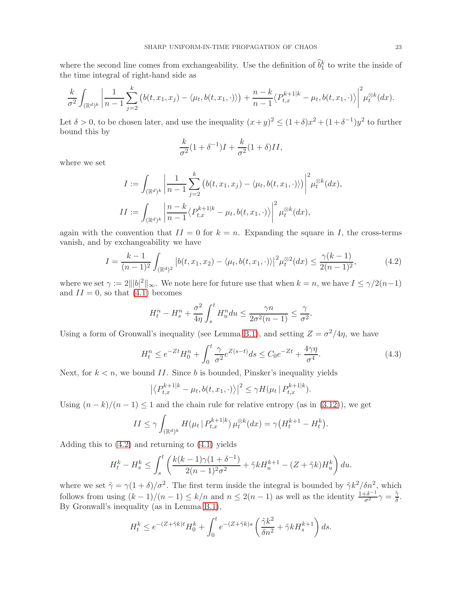where the second line comes from exchangeability. Use the definition of  $\hat{b}_1^k$  to write the inside of the time integral of right-hand side as

$$
\frac{k}{\sigma^2} \int_{(\mathbb{R}^d)^k} \left| \frac{1}{n-1} \sum_{j=2}^k \left( b(t, x_1, x_j) - \langle \mu_t, b(t, x_1, \cdot) \rangle \right) + \frac{n-k}{n-1} \langle P_{t, x}^{k+1|k} - \mu_t, b(t, x_1, \cdot) \rangle \right|^2 \mu_t^{\otimes k}(dx).
$$

Let  $\delta > 0$ , to be chosen later, and use the inequality  $(x+y)^2 \le (1+\delta)x^2 + (1+\delta^{-1})y^2$  to further bound this by

<span id="page-22-0"></span>
$$
\frac{k}{\sigma^2}(1+\delta^{-1})I + \frac{k}{\sigma^2}(1+\delta)II,
$$

where we set

$$
I := \int_{(\mathbb{R}^d)^k} \left| \frac{1}{n-1} \sum_{j=2}^k \left( b(t, x_1, x_j) - \langle \mu_t, b(t, x_1, \cdot) \rangle \right) \right|^2 \mu_t^{\otimes k}(dx),
$$
  

$$
II := \int_{(\mathbb{R}^d)^k} \left| \frac{n-k}{n-1} \langle P_{t,x}^{k+1|k} - \mu_t, b(t, x_1, \cdot) \rangle \right|^2 \mu_t^{\otimes k}(dx),
$$

again with the convention that  $II = 0$  for  $k = n$ . Expanding the square in I, the cross-terms vanish, and by exchangeability we have

$$
I = \frac{k-1}{(n-1)^2} \int_{(\mathbb{R}^d)^2} \left| b(t, x_1, x_2) - \langle \mu_t, b(t, x_1, \cdot) \rangle \right|^2 \mu_t^{\otimes 2}(dx) \le \frac{\gamma(k-1)}{2(n-1)^2},\tag{4.2}
$$

where we set  $\gamma := 2||b|^2||_{\infty}$ . We note here for future use that when  $k = n$ , we have  $I \leq \gamma/2(n-1)$ and  $II = 0$ , so that  $(4.1)$  becomes

$$
H_t^n - H_s^n + \frac{\sigma^2}{4\eta} \int_s^t H_u^n du \le \frac{\gamma n}{2\sigma^2 (n-1)} \le \frac{\gamma}{\sigma^2}.
$$

Using a form of Gronwall's inequality (see Lemma [B.1\)](#page-31-9), and setting  $Z = \sigma^2/4\eta$ , we have

$$
H_t^n \le e^{-Zt} H_0^n + \int_0^t \frac{\gamma}{\sigma^2} e^{Z(s-t)} ds \le C_0 e^{-Zt} + \frac{4\gamma\eta}{\sigma^4}.
$$
 (4.3)

Next, for  $k < n$ , we bound II. Since b is bounded, Pinsker's inequality yields

<span id="page-22-1"></span>
$$
|\langle P_{t,x}^{k+1|k} - \mu_t, b(t, x_1, \cdot) \rangle|^2 \leq \gamma H(\mu_t | P_{t,x}^{k+1|k}).
$$

Using  $(n-k)/(n-1) \leq 1$  and the chain rule for relative entropy (as in [\(3.12\)](#page-14-1)), we get

$$
II \le \gamma \int_{(\mathbb{R}^d)^k} H(\mu_t | P_{t,x}^{k+1|k}) \mu_t^{\otimes k}(dx) = \gamma \big( H_t^{k+1} - H_t^k \big).
$$

Adding this to  $(4.2)$  and returning to  $(4.1)$  yields

$$
H_t^k - H_s^k \le \int_s^t \left( \frac{k(k-1)\gamma(1+\delta^{-1})}{2(n-1)^2\sigma^2} + \tilde{\gamma}k H_u^{k+1} - (Z + \tilde{\gamma}k)H_u^k \right) du.
$$

where we set  $\tilde{\gamma} = \gamma (1 + \delta)/\sigma^2$ . The first term inside the integral is bounded by  $\tilde{\gamma} k^2/\delta n^2$ , which follows from using  $(k-1)/(n-1) \leq k/n$  and  $n \leq 2(n-1)$  as well as the identity  $\frac{1+\delta^{-1}}{\sigma^2}\gamma = \frac{\tilde{\gamma}}{\delta}$  $\frac{\gamma}{\delta}.$ By Gronwall's inequality (as in Lemma [B.1\)](#page-31-9),

$$
H_t^k \le e^{-(Z+\tilde{\gamma}k)t} H_0^k + \int_0^t e^{-(Z+\tilde{\gamma}k)s} \left(\frac{\tilde{\gamma}k^2}{\delta n^2} + \tilde{\gamma}k H_s^{k+1}\right) ds.
$$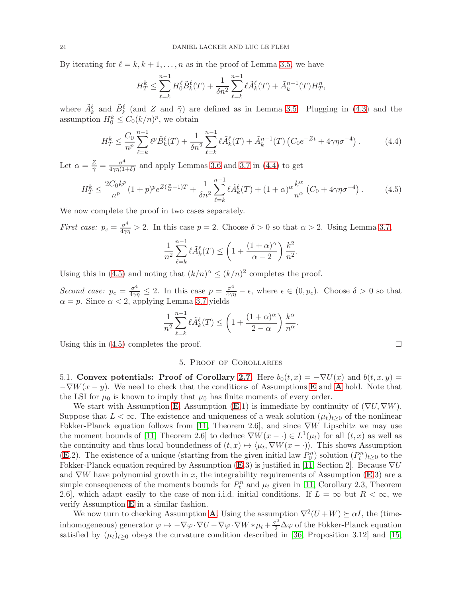By iterating for  $\ell = k, k + 1, \ldots, n$  as in the proof of Lemma [3.5,](#page-12-1) we have

$$
H_T^k \le \sum_{\ell=k}^{n-1} H_0^{\ell} \tilde{B}_k^{\ell}(T) + \frac{1}{\delta n^2} \sum_{\ell=k}^{n-1} \ell \tilde{A}_k^{\ell}(T) + \tilde{A}_k^{n-1}(T) H_T^n,
$$

where  $\tilde{A}_k^{\ell}$  and  $\tilde{B}_k^{\ell}$  (and Z and  $\tilde{\gamma}$ ) are defined as in Lemma [3.5.](#page-12-1) Plugging in [\(4.3\)](#page-22-1) and the assumption  $H_0^k \leq C_0 (k/n)^p$ , we obtain

$$
H_T^k \le \frac{C_0}{n^p} \sum_{\ell=k}^{n-1} \ell^p \tilde{B}_k^{\ell}(T) + \frac{1}{\delta n^2} \sum_{\ell=k}^{n-1} \ell \tilde{A}_k^{\ell}(T) + \tilde{A}_k^{n-1}(T) \left( C_0 e^{-Zt} + 4\gamma \eta \sigma^{-4} \right). \tag{4.4}
$$

Let  $\alpha = \frac{Z}{\tilde{\gamma}} = \frac{\sigma^4}{4\gamma\eta(1)}$  $\frac{\sigma^4}{4\gamma\eta(1+\delta)}$  and apply Lemmas [3.6](#page-16-3) and [3.7](#page-17-2) in [\(4.4\)](#page-23-1) to get

$$
H_T^k \le \frac{2C_0k^p}{n^p} (1+p)^p e^{Z(\frac{p}{\alpha}-1)T} + \frac{1}{\delta n^2} \sum_{\ell=k}^{n-1} \ell \tilde{A}_k^{\ell}(T) + (1+\alpha)^{\alpha} \frac{k^{\alpha}}{n^{\alpha}} \left( C_0 + 4\gamma \eta \sigma^{-4} \right). \tag{4.5}
$$

We now complete the proof in two cases separately.

*First case:*  $p_c = \frac{\sigma^4}{4\gamma\eta} > 2$ . In this case  $p = 2$ . Choose  $\delta > 0$  so that  $\alpha > 2$ . Using Lemma [3.7,](#page-17-2)

$$
\frac{1}{n^2} \sum_{\ell=k}^{n-1} \ell \tilde{A}_k^{\ell}(T) \le \left(1 + \frac{(1+\alpha)^{\alpha}}{\alpha - 2}\right) \frac{k^2}{n^2}.
$$

Using this in [\(4.5\)](#page-23-2) and noting that  $(k/n)^{\alpha} \le (k/n)^2$  completes the proof.

*Second case:*  $p_c = \frac{\sigma^4}{4\gamma\eta} \leq 2$ . In this case  $p = \frac{\sigma^4}{4\gamma\eta} - \epsilon$ , where  $\epsilon \in (0, p_c)$ . Choose  $\delta > 0$  so that  $\alpha = p$ . Since  $\alpha < 2$ , applying Lemma [3.7](#page-17-2) yields

$$
\frac{1}{n^2} \sum_{\ell=k}^{n-1} \ell \tilde{A}_k^{\ell}(T) \le \left(1 + \frac{(1+\alpha)^{\alpha}}{2-\alpha}\right) \frac{k^{\alpha}}{n^{\alpha}}
$$

<span id="page-23-0"></span>Using this in  $(4.5)$  completes the proof.

# 5. Proof of Corollaries

<span id="page-23-1"></span>.

5.1. Convex potentials: Proof of Corollary [2.7.](#page-7-0) Here  $b_0(t, x) = -\nabla U(x)$  and  $b(t, x, y) =$  $-\nabla W(x-y)$ . We need to check that the conditions of [A](#page-4-1)ssumptions **[E](#page-3-3)** and **A** hold. Note that the LSI for  $\mu_0$  is known to imply that  $\mu_0$  has finite moments of every order.

We start with Assumption [E](#page-3-3). Assumption (E.1) is immediate by continuity of  $(\nabla U, \nabla W)$ . Suppose that  $L < \infty$ . The existence and uniqueness of a weak solution  $(\mu_t)_{t>0}$  of the nonlinear Fokker-Planck equation follows from [\[11,](#page-31-1) Theorem 2.6], and since  $\nabla W$  Lipschitz we may use the moment bounds of [\[11,](#page-31-1) Theorem 2.6] to deduce  $\nabla W(x - \cdot) \in L^1(\mu_t)$  for all  $(t, x)$  as well as the continuity and thus local boundedness of  $(t, x) \mapsto \langle \mu_t, \nabla W(x - \cdot) \rangle$ . This shows Assumption ([E](#page-3-3).2). The existence of a unique (starting from the given initial law  $P_0^n$ ) solution  $(P_t^n)_{t\geq 0}$  to the Fokker-Planck equation required by Assumption  $(E.3)$  $(E.3)$  $(E.3)$  is justified in [\[11,](#page-31-1) Section 2]. Because  $\nabla U$ and  $\nabla W$  have polynomial growth in x, the integrability requirements of Assumption ([E](#page-3-3).3) are a simple consequences of the moments bounds for  $P_t^n$  and  $\mu_t$  given in [\[11,](#page-31-1) Corollary 2.3, Theorem 2.6], which adapt easily to the case of non-i.i.d. initial conditions. If  $L = \infty$  but  $R < \infty$ , we verify Assumption [E](#page-3-3) in a similar fashion.

We now turn to checking [A](#page-4-1)ssumption **A**. Using the assumption  $\nabla^2(U+W) \succeq \alpha I$ , the (timeinhomogeneous) generator  $\varphi \mapsto -\nabla \varphi \cdot \nabla U - \nabla \varphi \cdot \nabla W * \mu_t + \frac{\sigma^2}{2} \Delta \varphi$  of the Fokker-Planck equation satisfied by  $(\mu_t)_{t\geq 0}$  obeys the curvature condition described in [\[36,](#page-32-11) Proposition 3.12] and [\[15,](#page-32-26)

<span id="page-23-2"></span>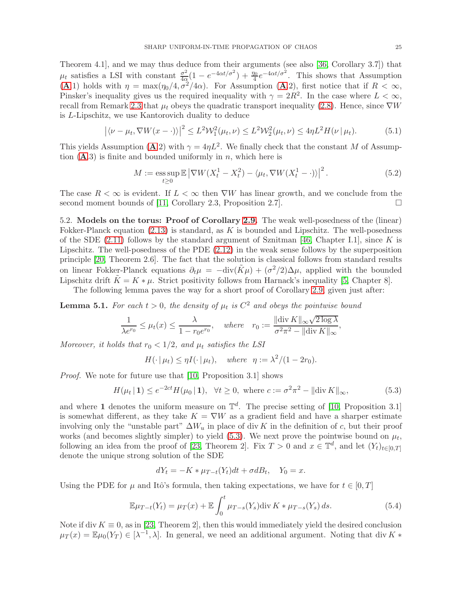Theorem 4.1], and we may thus deduce from their arguments (see also [\[36,](#page-32-11) Corollary 3.7]) that  $\mu_t$  satisfies a LSI with constant  $\frac{\sigma^2}{4\alpha}$  $\frac{\sigma^2}{4\alpha}(1 - e^{-4\alpha t/\sigma^2}) + \frac{\eta_0}{4}e^{-4\alpha t/\sigma^2}$ . This shows that Assumption ([A](#page-4-1).1) holds with  $\eta = \max(\eta_0/4, \overline{\sigma^2}/4\alpha)$ . For Assumption (A.2), first notice that if  $R < \infty$ , Pinsker's inequality gives us the required inequality with  $\gamma = 2R^2$ . In the case where  $L < \infty$ , recall from Remark [2.3](#page-5-0) that  $\mu_t$  obeys the quadratic transport inequality [\(2.8\)](#page-5-3). Hence, since  $\nabla W$ is L-Lipschitz, we use Kantorovich duality to deduce

$$
|\langle \nu - \mu_t, \nabla W(x - \cdot) \rangle|^2 \le L^2 W_1^2(\mu_t, \nu) \le L^2 W_2^2(\mu_t, \nu) \le 4\eta L^2 H(\nu | \mu_t).
$$
 (5.1)

This yields [A](#page-4-1)ssumption (**A**.2) with  $\gamma = 4\eta L^2$ . We finally check that the constant M of Assumption  $(A.3)$  $(A.3)$  $(A.3)$  is finite and bounded uniformly in n, which here is

$$
M := \underset{t \ge 0}{\operatorname{ess\,sup}} \mathbb{E} \left| \nabla W(X_t^1 - X_t^2) - \langle \mu_t, \nabla W(X_t^1 - \cdot) \rangle \right|^2. \tag{5.2}
$$

The case  $R < \infty$  is evident. If  $L < \infty$  then  $\nabla W$  has linear growth, and we conclude from the second moment bounds of [11, Corollary 2.3, Proposition 2.7]. second moment bounds of [\[11,](#page-31-1) Corollary 2.3, Proposition 2.7].

5.2. Models on the torus: Proof of Corollary [2.9.](#page-9-0) The weak well-posedness of the (linear) Fokker-Planck equation  $(2.13)$  is standard, as K is bounded and Lipschitz. The well-posedness of the SDE  $(2.11)$  follows by the standard argument of Sznitman [\[46,](#page-33-0) Chapter I.1], since K is Lipschitz. The well-posedness of the PDE [\(2.12\)](#page-8-1) in the weak sense follows by the superposition principle [\[20,](#page-32-27) Theorem 2.6]. The fact that the solution is classical follows from standard results on linear Fokker-Planck equations  $\partial_t \mu = -\text{div}(\tilde{K}\mu) + (\sigma^2/2)\Delta\mu$ , applied with the bounded Lipschitz drift  $\tilde{K} = K * \mu$ . Strict positivity follows from Harnack's inequality [\[5,](#page-31-10) Chapter 8].

The following lemma paves the way for a short proof of Corollary [2.9,](#page-9-0) given just after:

<span id="page-24-2"></span>**Lemma 5.1.** For each  $t > 0$ , the density of  $\mu_t$  is  $C^2$  and obeys the pointwise bound

$$
\frac{1}{\lambda e^{r_0}} \le \mu_t(x) \le \frac{\lambda}{1 - r_0 e^{r_0}}, \quad \text{where} \quad r_0 := \frac{\|\text{div}\,K\|_{\infty} \sqrt{2\log\lambda}}{\sigma^2 \pi^2 - \|\text{div}\,K\|_{\infty}},
$$

*Moreover, it holds that*  $r_0 < 1/2$ *, and*  $\mu_t$  *satisfies the LSI* 

<span id="page-24-0"></span> $H(\cdot | \mu_t) \leq \eta I(\cdot | \mu_t), \text{ where } \eta := \lambda^2/(1 - 2r_0).$ 

*Proof.* We note for future use that [\[10,](#page-31-11) Proposition 3.1] shows

$$
H(\mu_t \,|\, \mathbf{1}) \le e^{-2ct} H(\mu_0 \,|\, \mathbf{1}), \ \ \forall t \ge 0, \text{ where } c := \sigma^2 \pi^2 - \|\text{div}\, K\|_{\infty},\tag{5.3}
$$

and where 1 denotes the uniform measure on  $\mathbb{T}^d$ . The precise setting of [\[10,](#page-31-11) Proposition 3.1] is somewhat different, as they take  $K = \nabla W$  as a gradient field and have a sharper estimate involving only the "unstable part"  $\Delta W_u$  in place of div K in the definition of c, but their proof works (and becomes slightly simpler) to yield [\(5.3\)](#page-24-0). We next prove the pointwise bound on  $\mu_t$ , following an idea from the proof of [\[23,](#page-32-16) Theorem 2]. Fix  $T > 0$  and  $x \in \mathbb{T}^d$ , and let  $(Y_t)_{t \in [0,T]}$ denote the unique strong solution of the SDE

<span id="page-24-1"></span>
$$
dY_t = -K * \mu_{T-t}(Y_t)dt + \sigma dB_t, \quad Y_0 = x.
$$

Using the PDE for  $\mu$  and Itô's formula, then taking expectations, we have for  $t \in [0, T]$ 

$$
\mathbb{E}\mu_{T-t}(Y_t) = \mu_T(x) + \mathbb{E}\int_0^t \mu_{T-s}(Y_s) \text{div}\,K \ast \mu_{T-s}(Y_s) \,ds. \tag{5.4}
$$

Note if div  $K \equiv 0$ , as in [\[23,](#page-32-16) Theorem 2], then this would immediately yield the desired conclusion  $\mu_T(x) = \mathbb{E}\mu_0(Y_T) \in [\lambda^{-1}, \lambda]$ . In general, we need an additional argument. Noting that div K  $*$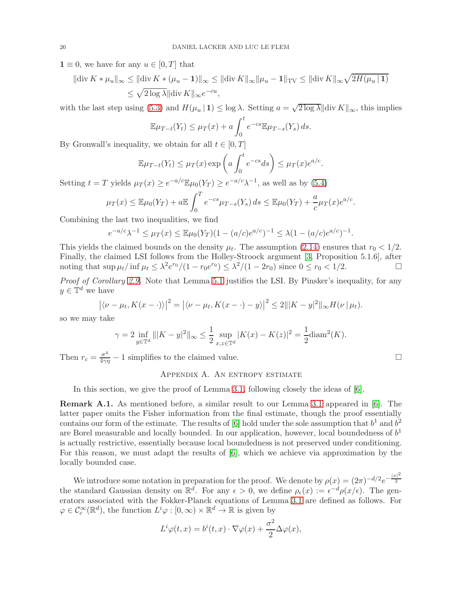$1 \equiv 0$ , we have for any  $u \in [0, T]$  that

$$
\|\text{div}\,K * \mu_u\|_{\infty} \le \|\text{div}\,K * (\mu_u - 1)\|_{\infty} \le \|\text{div}\,K\|_{\infty} \|\mu_u - 1\|_{\text{TV}} \le \|\text{div}\,K\|_{\infty} \sqrt{2H(\mu_u \mid 1)}
$$
  

$$
\le \sqrt{2\log \lambda} \|\text{div}\,K\|_{\infty} e^{-cu},
$$

with the last step using [\(5.3\)](#page-24-0) and  $H(\mu_u | 1) \leq \log \lambda$ . Setting  $a = \sqrt{2 \log \lambda} || \text{div } K ||_{\infty}$ , this implies

$$
\mathbb{E}\mu_{T-t}(Y_t) \leq \mu_T(x) + a \int_0^t e^{-cs} \mathbb{E}\mu_{T-s}(Y_s) ds.
$$

By Gronwall's inequality, we obtain for all  $t \in [0, T]$ 

$$
\mathbb{E}\mu_{T-t}(Y_t) \leq \mu_T(x) \exp\left(a \int_0^t e^{-cs} ds\right) \leq \mu_T(x) e^{a/c}.
$$

Setting  $t = T$  yields  $\mu_T(x) \ge e^{-a/c} \mathbb{E}\mu_0(Y_T) \ge e^{-a/c} \lambda^{-1}$ , as well as by [\(5.4\)](#page-24-1)

$$
\mu_T(x) \leq \mathbb{E}\mu_0(Y_T) + a \mathbb{E}\int_0^T e^{-cs} \mu_{T-s}(Y_s) ds \leq \mathbb{E}\mu_0(Y_T) + \frac{a}{c} \mu_T(x)e^{a/c}.
$$

Combining the last two inequalities, we find

$$
e^{-a/c}\lambda^{-1} \leq \mu_T(x) \leq \mathbb{E}\mu_0(Y_T)(1 - (a/c)e^{a/c})^{-1} \leq \lambda(1 - (a/c)e^{a/c})^{-1}.
$$

This yields the claimed bounds on the density  $\mu_t$ . The assumption [\(2.14\)](#page-9-2) ensures that  $r_0 < 1/2$ . Finally, the claimed LSI follows from the Holley-Stroock argument [\[3,](#page-31-4) Proposition 5.1.6], after noting that  $\sup \mu_t / \inf \mu_t \leq \lambda^2 e^{r_0} / (1 - r_0 e^{r_0}) \leq \lambda^2 / (1 - 2r_0)$  since  $0 \leq r_0 < 1/2$ .

*Proof of Corollary [2.9.](#page-9-0)* Note that Lemma [5.1](#page-24-2) justifies the LSI. By Pinsker's inequality, for any  $y \in \mathbb{T}^d$  we have

$$
|\langle \nu - \mu_t, K(x - \cdot) \rangle|^2 = |\langle \nu - \mu_t, K(x - \cdot) - y \rangle|^2 \le 2 |||K - y|^2 ||_{\infty} H(\nu || \mu_t).
$$

so we may take

$$
\gamma = 2 \inf_{y \in \mathbb{T}^d} ||K - y||^2 \|\infty \le \frac{1}{2} \sup_{x, z \in \mathbb{T}^d} |K(x) - K(z)|^2 = \frac{1}{2} \operatorname{diam}^2(K).
$$

<span id="page-25-0"></span>Then  $r_c = \frac{\sigma^4}{4\gamma \eta} - 1$  simplifies to the claimed value.

# Appendix A. An entropy estimate

In this section, we give the proof of Lemma [3.1,](#page-10-0) following closely the ideas of [\[6\]](#page-31-7).

<span id="page-25-1"></span>Remark A.1. As mentioned before, a similar result to our Lemma [3.1](#page-10-0) appeared in [\[6\]](#page-31-7). The latter paper omits the Fisher information from the final estimate, though the proof essentially contains our form of the estimate. The results of [\[6\]](#page-31-7) hold under the sole assumption that  $b^1$  and  $b^2$ are Borel measurable and locally bounded. In our application, however, local boundedness of  $b<sup>1</sup>$ is actually restrictive, essentially because local boundedness is not preserved under conditioning. For this reason, we must adapt the results of [\[6\]](#page-31-7), which we achieve via approximation by the locally bounded case.

We introduce some notation in preparation for the proof. We denote by  $\rho(x) = (2\pi)^{-d/2} e^{-\frac{|x|^2}{2}}$ 2 the standard Gaussian density on  $\mathbb{R}^d$ . For any  $\epsilon > 0$ , we define  $\rho_{\epsilon}(x) := \epsilon^{-d} \rho(x/\epsilon)$ . The generators associated with the Fokker-Planck equations of Lemma [3.1](#page-10-0) are defined as follows. For  $\varphi \in C_c^{\infty}(\mathbb{R}^d)$ , the function  $L^i \varphi : [0, \infty) \times \mathbb{R}^d \to \mathbb{R}$  is given by

$$
L^{i}\varphi(t,x) = b^{i}(t,x)\cdot \nabla \varphi(x) + \frac{\sigma^{2}}{2}\Delta \varphi(x),
$$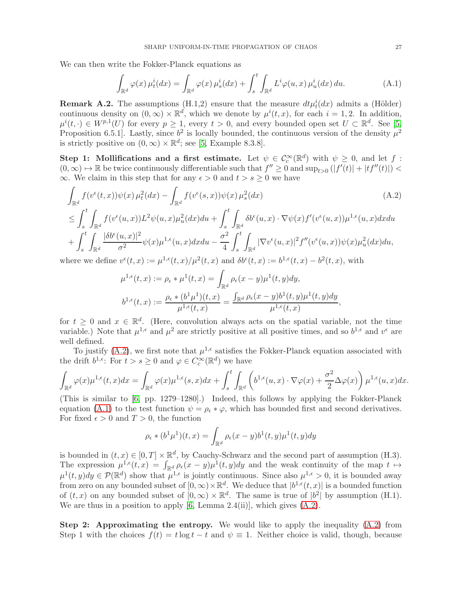We can then write the Fokker-Planck equations as

<span id="page-26-2"></span>
$$
\int_{\mathbb{R}^d} \varphi(x) \,\mu_t^i(dx) = \int_{\mathbb{R}^d} \varphi(x) \,\mu_s^i(dx) + \int_s^t \int_{\mathbb{R}^d} L^i \varphi(u,x) \,\mu_u^i(dx) \, du. \tag{A.1}
$$

<span id="page-26-0"></span>**Remark A.2.** The assumptions (H.1,2) ensure that the measure  $dt\mu_t^i(dx)$  admits a (Hölder) continuous density on  $(0, \infty) \times \mathbb{R}^d$ , which we denote by  $\mu^i(t, x)$ , for each  $i = 1, 2$ . In addition,  $\mu^{i}(t, \cdot) \in W^{p,1}(U)$  for every  $p \geq 1$ , every  $t > 0$ , and every bounded open set  $U \subset \mathbb{R}^{d}$ . See [\[5,](#page-31-10) Proposition 6.5.1. Lastly, since  $b^2$  is locally bounded, the continuous version of the density  $\mu^2$ is strictly positive on  $(0, \infty) \times \mathbb{R}^d$ ; see [\[5,](#page-31-10) Example 8.3.8].

Step 1: Mollifications and a first estimate. Let  $\psi \in C_c^{\infty}(\mathbb{R}^d)$  with  $\psi \geq 0$ , and let f:  $(0, \infty) \mapsto \mathbb{R}$  be twice continuously differentiable such that  $f'' \geq 0$  and  $\sup_{t>0}(|f'(t)| + |tf''(t)|) <$  $\infty$ . We claim in this step that for any  $\epsilon > 0$  and  $t > s \geq 0$  we have

$$
\int_{\mathbb{R}^d} f(v^{\epsilon}(t,x))\psi(x)\,\mu_t^2(dx) - \int_{\mathbb{R}^d} f(v^{\epsilon}(s,x))\psi(x)\,\mu_s^2(dx) \tag{A.2}
$$
\n
$$
\leq \int_s^t \int_{\mathbb{R}^d} f(v^{\epsilon}(u,x))L^2\psi(u,x)\mu_u^2(dx)du + \int_s^t \int_{\mathbb{R}^d} \delta b^{\epsilon}(u,x)\cdot \nabla \psi(x)f'(v^{\epsilon}(u,x))\mu^{1,\epsilon}(u,x)dxdu
$$
\n
$$
+ \int_s^t \int_{\mathbb{R}^d} \frac{|\delta b^{\epsilon}(u,x)|^2}{\sigma^2} \psi(x)\mu^{1,\epsilon}(u,x)dxdu - \frac{\sigma^2}{4} \int_s^t \int_{\mathbb{R}^d} |\nabla v^{\epsilon}(u,x)|^2 f''(v^{\epsilon}(u,x))\psi(x)\mu_u^2(dx)du,
$$

s  $\mathbb{R}^d$ 4 s where we define  $v^{\epsilon}(t,x) := \mu^{1,\epsilon}(t,x)/\mu^2(t,x)$  and  $\delta b^{\epsilon}(t,x) := b^{1,\epsilon}(t,x) - b^2(t,x)$ , with

<span id="page-26-1"></span>
$$
\begin{aligned} \mu^{1,\epsilon}(t,x):&=\rho_\epsilon*\mu^1(t,x)=\int_{\mathbb{R}^d}\rho_\epsilon(x-y)\mu^1(t,y)dy,\\ b^{1,\epsilon}(t,x):&=\frac{\rho_\epsilon*(b^1\mu^1)(t,x)}{\mu^{1,\epsilon}(t,x)}=\frac{\int_{\mathbb{R}^d}\rho_\epsilon(x-y)b^1(t,y)\mu^1(t,y)dy}{\mu^{1,\epsilon}(t,x)}, \end{aligned}
$$

for  $t \geq 0$  and  $x \in \mathbb{R}^d$ . (Here, convolution always acts on the spatial variable, not the time variable.) Note that  $\mu^{1,\epsilon}$  and  $\mu^2$  are strictly positive at all positive times, and so  $b^{1,\epsilon}$  and  $v^{\epsilon}$  are well defined.

To justify [\(A.2\)](#page-26-1), we first note that  $\mu^{1,\epsilon}$  satisfies the Fokker-Planck equation associated with the drift  $b^{1,\epsilon}$ : For  $t > s \geq 0$  and  $\varphi \in C_c^{\infty}(\mathbb{R}^d)$  we have

$$
\int_{\mathbb{R}^d} \varphi(x) \mu^{1,\epsilon}(t,x) dx = \int_{\mathbb{R}^d} \varphi(x) \mu^{1,\epsilon}(s,x) dx + \int_s^t \int_{\mathbb{R}^d} \left( b^{1,\epsilon}(u,x) \cdot \nabla \varphi(x) + \frac{\sigma^2}{2} \Delta \varphi(x) \right) \mu^{1,\epsilon}(u,x) dx.
$$

(This is similar to [\[6,](#page-31-7) pp. 1279–1280].) Indeed, this follows by applying the Fokker-Planck equation [\(A.1\)](#page-26-2) to the test function  $\psi = \rho_{\epsilon} * \varphi$ , which has bounded first and second derivatives. For fixed  $\epsilon > 0$  and  $T > 0$ , the function

$$
\rho_{\epsilon} * (b^1 \mu^1)(t, x) = \int_{\mathbb{R}^d} \rho_{\epsilon}(x - y) b^1(t, y) \mu^1(t, y) dy
$$

is bounded in  $(t, x) \in [0, T] \times \mathbb{R}^d$ , by Cauchy-Schwarz and the second part of assumption (H.3). The expression  $\mu^{1,\epsilon}(t,x) = \int_{\mathbb{R}^d} \rho_{\epsilon}(x-y) \mu^{1}(t,y) dy$  and the weak continuity of the map  $t \mapsto$  $\mu^{1}(t, y)dy \in \mathcal{P}(\mathbb{R}^{d})$  show that  $\mu^{1,\epsilon}$  is jointly continuous. Since also  $\mu^{1,\epsilon} > 0$ , it is bounded away from zero on any bounded subset of  $[0, \infty) \times \mathbb{R}^d$ . We deduce that  $[b^{1,\epsilon}(t, x)]$  is a bounded function of  $(t, x)$  on any bounded subset of  $[0, \infty) \times \mathbb{R}^d$ . The same is true of  $|b^2|$  by assumption (H.1). We are thus in a position to apply  $[6, \text{Lemma } 2.4(i)]$ , which gives  $(A.2)$ .

**Step 2:** Approximating the entropy. We would like to apply the inequality  $(A.2)$  from Step 1 with the choices  $f(t) = t \log t - t$  and  $\psi \equiv 1$ . Neither choice is valid, though, because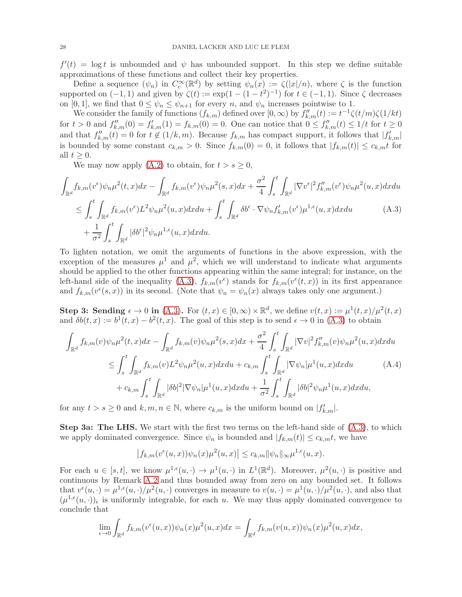$f'(t) = \log t$  is unbounded and  $\psi$  has unbounded support. In this step we define suitable approximations of these functions and collect their key properties.

Define a sequence  $(\psi_n)$  in  $C_c^{\infty}(\mathbb{R}^d)$  by setting  $\psi_n(x) := \zeta(|x|/n)$ , where  $\zeta$  is the function supported on  $(-1,1)$  and given by  $\zeta(t) := \exp(1 - (1 - t^2)^{-1})$  for  $t \in (-1,1)$ . Since  $\zeta$  decreases on [0, 1], we find that  $0 \leq \psi_n \leq \psi_{n+1}$  for every n, and  $\psi_n$  increases pointwise to 1.

We consider the family of functions  $(f_{k,m})$  defined over  $[0,\infty)$  by  $f''_{k,m}(t) := t^{-1}\zeta(t/m)\zeta(1/kt)$ for  $t > 0$  and  $f''_{k,m}(0) = f'_{k,m}(1) = f_{k,m}(0) = 0$ . One can notice that  $0 \le f''_{k,m}(t) \le 1/t$  for  $t \ge 0$ and that  $f''_{k,m}(t) = 0$  for  $t \notin (1/k, m)$ . Because  $f_{k,m}$  has compact support, it follows that  $|f'_{k,m}|$ is bounded by some constant  $c_{k,m} > 0$ . Since  $f_{k,m}(0) = 0$ , it follows that  $|f_{k,m}(t)| \le c_{k,m} t$  for all  $t > 0$ .

<span id="page-27-0"></span>We may now apply  $(A.2)$  to obtain, for  $t > s \geq 0$ ,

$$
\int_{\mathbb{R}^d} f_{k,m}(v^{\epsilon}) \psi_n \mu^2(t,x) dx - \int_{\mathbb{R}^d} f_{k,m}(v^{\epsilon}) \psi_n \mu^2(s,x) dx + \frac{\sigma^2}{4} \int_s^t \int_{\mathbb{R}^d} |\nabla v^{\epsilon}|^2 f_{k,m}''(v^{\epsilon}) \psi_n \mu^2(u,x) dx du \n\leq \int_s^t \int_{\mathbb{R}^d} f_{k,m}(v^{\epsilon}) L^2 \psi_n \mu^2(u,x) dx du + \int_s^t \int_{\mathbb{R}^d} \delta b^{\epsilon} \cdot \nabla \psi_n f_{k,m}'(v^{\epsilon}) \mu^{1,\epsilon}(u,x) dx du \n+ \frac{1}{\sigma^2} \int_s^t \int_{\mathbb{R}^d} |\delta b^{\epsilon}|^2 \psi_n \mu^{1,\epsilon}(u,x) dx du.
$$
\n(A.3)

To lighten notation, we omit the arguments of functions in the above expression, with the exception of the measures  $\mu^1$  and  $\mu^2$ , which we will understand to indicate what arguments should be applied to the other functions appearing within the same integral; for instance, on the left-hand side of the inequality [\(A.3\)](#page-27-0),  $f_{k,m}(v^{\epsilon})$  stands for  $f_{k,m}(v^{\epsilon}(t,x))$  in its first appearance and  $f_{k,m}(v^{\epsilon}(s,x))$  in its second. (Note that  $\psi_n = \psi_n(x)$  always takes only one argument.)

Step 3: Sending  $\epsilon \to 0$  in [\(A.3\)](#page-27-0). For  $(t, x) \in [0, \infty) \times \mathbb{R}^d$ , we define  $v(t, x) := \mu^1(t, x) / \mu^2(t, x)$ and  $\delta b(t, x) := b^{1}(t, x) - b^{2}(t, x)$ . The goal of this step is to send  $\epsilon \to 0$  in [\(A.3\)](#page-27-0) to obtain

$$
\int_{\mathbb{R}^d} f_{k,m}(v)\psi_n\mu^2(t,x)dx - \int_{\mathbb{R}^d} f_{k,m}(v)\psi_n\mu^2(s,x)dx + \frac{\sigma^2}{4} \int_s^t \int_{\mathbb{R}^d} |\nabla v|^2 f''_{k,m}(v)\psi_n\mu^2(u,x)dxdu \n\leq \int_s^t \int_{\mathbb{R}^d} f_{k,m}(v)L^2\psi_n\mu^2(u,x)dxdu + c_{k,m} \int_s^t \int_{\mathbb{R}^d} |\nabla \psi_n|\mu^1(u,x)dxdu \n+ c_{k,m} \int_s^t \int_{\mathbb{R}^d} |\delta b|^2 |\nabla \psi_n|\mu^1(u,x)dxdu + \frac{1}{\sigma^2} \int_s^t \int_{\mathbb{R}^d} |\delta b|^2 \psi_n\mu^1(u,x)dxdu,
$$
\n(A.4)

for any  $t > s \geq 0$  and  $k, m, n \in \mathbb{N}$ , where  $c_{k,m}$  is the uniform bound on  $|f'_{k,m}|$ .

Step 3a: The LHS. We start with the first two terms on the left-hand side of [\(A.3\)](#page-27-0), to which we apply dominated convergence. Since  $\psi_n$  is bounded and  $|f_{k,m}(t)| \leq c_{k,m}t$ , we have

<span id="page-27-1"></span>
$$
\left|f_{k,m}(v^{\epsilon}(u,x))\psi_n(x)\mu^2(u,x)\right| \leq c_{k,m} \|\psi_n\|_{\infty} \mu^{1,\epsilon}(u,x).
$$

For each  $u \in [s, t]$ , we know  $\mu^{1,\epsilon}(u, \cdot) \to \mu^1(u, \cdot)$  in  $L^1(\mathbb{R}^d)$ . Moreover,  $\mu^2(u, \cdot)$  is positive and continuous by Remark [A.2](#page-26-0) and thus bounded away from zero on any bounded set. It follows that  $v^{\epsilon}(u, \cdot) = \mu^{1,\epsilon}(u, \cdot)/\mu^2(u, \cdot)$  converges in measure to  $v(u, \cdot) = \mu^1(u, \cdot)/\mu^2(u, \cdot)$ , and also that  $(\mu^{1,\epsilon}(u, \cdot))_\epsilon$  is uniformly integrable, for each u. We may thus apply dominated convergence to conclude that

$$
\lim_{\epsilon \to 0} \int_{\mathbb{R}^d} f_{k,m}(v^{\epsilon}(u,x))\psi_n(x)\mu^2(u,x)dx = \int_{\mathbb{R}^d} f_{k,m}(v(u,x))\psi_n(x)\mu^2(u,x)dx,
$$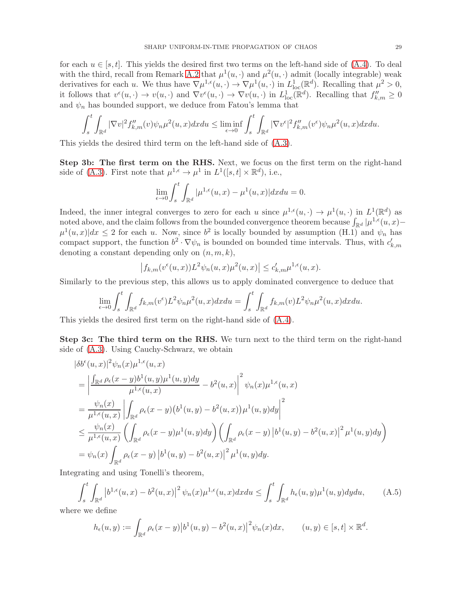for each  $u \in [s, t]$ . This yields the desired first two terms on the left-hand side of  $(A.4)$ . To deal with the third, recall from Remark [A.2](#page-26-0) that  $\mu^1(u, \cdot)$  and  $\mu^2(u, \cdot)$  admit (locally integrable) weak derivatives for each u. We thus have  $\nabla \mu^{1,\epsilon}(u, \cdot) \to \nabla \mu^1(u, \cdot)$  in  $L^1_{loc}(\mathbb{R}^d)$ . Recalling that  $\mu^2 > 0$ , it follows that  $v^{\epsilon}(u, \cdot) \to v(u, \cdot)$  and  $\nabla v^{\epsilon}(u, \cdot) \to \nabla v(u, \cdot)$  in  $L^1_{loc}(\mathbb{R}^d)$ . Recalling that  $f''_{k,m} \geq 0$ and  $\psi_n$  has bounded support, we deduce from Fatou's lemma that

$$
\int_{s}^{t} \int_{\mathbb{R}^{d}} |\nabla v|^{2} f''_{k,m}(v) \psi_{n} \mu^{2}(u,x) dx du \leq \liminf_{\epsilon \to 0} \int_{s}^{t} \int_{\mathbb{R}^{d}} |\nabla v^{\epsilon}|^{2} f''_{k,m}(v^{\epsilon}) \psi_{n} \mu^{2}(u,x) dx du.
$$

This yields the desired third term on the left-hand side of [\(A.3\)](#page-27-0).

Step 3b: The first term on the RHS. Next, we focus on the first term on the right-hand side of [\(A.3\)](#page-27-0). First note that  $\mu^{1,\epsilon} \to \mu^1$  in  $L^1([s,t] \times \mathbb{R}^d)$ , i.e.,

$$
\lim_{\epsilon \to 0} \int_s^t \int_{\mathbb{R}^d} |\mu^{1,\epsilon}(u,x) - \mu^1(u,x)| dx du = 0.
$$

Indeed, the inner integral converges to zero for each u since  $\mu^{1,\epsilon}(u, \cdot) \to \mu^1(u, \cdot)$  in  $L^1(\mathbb{R}^d)$  as noted above, and the claim follows from the bounded convergence theorem because  $\int_{\mathbb{R}^d} |\mu^{1,\epsilon}(u,x) \mu^{1}(u,x)|dx \leq 2$  for each u. Now, since  $b^{2}$  is locally bounded by assumption (H.1) and  $\psi_{n}$  has compact support, the function  $b^2 \cdot \nabla \psi_n$  is bounded on bounded time intervals. Thus, with  $c'_{k,m}$ denoting a constant depending only on  $(n, m, k)$ ,

$$
\left|f_{k,m}(v^{\epsilon}(u,x))L^{2}\psi_{n}(u,x)\mu^{2}(u,x)\right| \leq c'_{k,m}\mu^{1,\epsilon}(u,x).
$$

Similarly to the previous step, this allows us to apply dominated convergence to deduce that

$$
\lim_{\epsilon \to 0} \int_s^t \int_{\mathbb{R}^d} f_{k,m}(v^{\epsilon}) L^2 \psi_n \mu^2(u,x) dx du = \int_s^t \int_{\mathbb{R}^d} f_{k,m}(v) L^2 \psi_n \mu^2(u,x) dx du.
$$

This yields the desired first term on the right-hand side of [\(A.4\)](#page-27-1).

Step 3c: The third term on the RHS. We turn next to the third term on the right-hand side of [\(A.3\)](#page-27-0). Using Cauchy-Schwarz, we obtain

$$
\begin{split}\n&|\delta b^{\epsilon}(u,x)|^{2}\psi_{n}(x)\mu^{1,\epsilon}(u,x) \\
&= \left|\frac{\int_{\mathbb{R}^{d}}\rho_{\epsilon}(x-y)b^{1}(u,y)\mu^{1}(u,y)dy}{\mu^{1,\epsilon}(u,x)} - b^{2}(u,x)\right|^{2}\psi_{n}(x)\mu^{1,\epsilon}(u,x) \\
&= \frac{\psi_{n}(x)}{\mu^{1,\epsilon}(u,x)}\left|\int_{\mathbb{R}^{d}}\rho_{\epsilon}(x-y)\left(b^{1}(u,y) - b^{2}(u,x)\right)\mu^{1}(u,y)dy\right|^{2} \\
&\leq \frac{\psi_{n}(x)}{\mu^{1,\epsilon}(u,x)}\left(\int_{\mathbb{R}^{d}}\rho_{\epsilon}(x-y)\mu^{1}(u,y)dy\right)\left(\int_{\mathbb{R}^{d}}\rho_{\epsilon}(x-y)\left(b^{1}(u,y) - b^{2}(u,x)\right)^{2}\mu^{1}(u,y)dy\right) \\
&= \psi_{n}(x)\int_{\mathbb{R}^{d}}\rho_{\epsilon}(x-y)\left|b^{1}(u,y) - b^{2}(u,x)\right|^{2}\mu^{1}(u,y)dy.\n\end{split}
$$

Integrating and using Tonelli's theorem,

$$
\int_{s}^{t} \int_{\mathbb{R}^{d}} \left| b^{1,\epsilon}(u,x) - b^{2}(u,x) \right|^{2} \psi_{n}(x) \mu^{1,\epsilon}(u,x) dx du \le \int_{s}^{t} \int_{\mathbb{R}^{d}} h_{\epsilon}(u,y) \mu^{1}(u,y) dy du, \tag{A.5}
$$

where we define

$$
h_{\epsilon}(u, y) := \int_{\mathbb{R}^d} \rho_{\epsilon}(x - y) |b^1(u, y) - b^2(u, x)|^2 \psi_n(x) dx, \qquad (u, y) \in [s, t] \times \mathbb{R}^d.
$$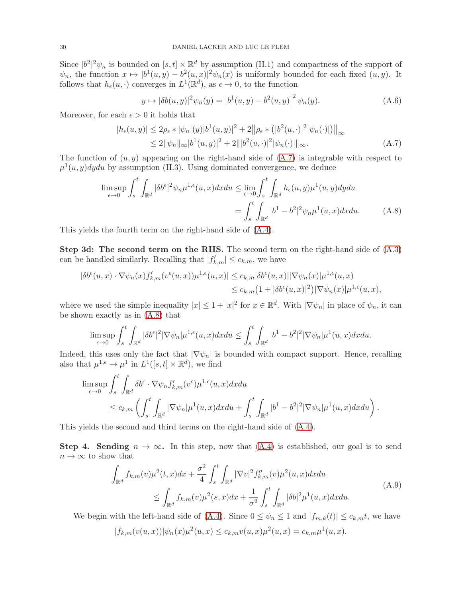Since  $|b^2|^2 \psi_n$  is bounded on  $[s, t] \times \mathbb{R}^d$  by assumption (H.1) and compactness of the support of  $\psi_n$ , the function  $x \mapsto |b^1(u, y) - b^2(u, x)|^2 \psi_n(x)$  is uniformly bounded for each fixed  $(u, y)$ . It follows that  $h_{\epsilon}(u, \cdot)$  converges in  $L^{1}(\mathbb{R}^{d}),$  as  $\epsilon \to 0$ , to the function

<span id="page-29-1"></span><span id="page-29-0"></span>
$$
y \mapsto |\delta b(u, y)|^2 \psi_n(y) = |b^1(u, y) - b^2(u, y)|^2 \psi_n(y).
$$
 (A.6)

Moreover, for each  $\epsilon > 0$  it holds that

$$
|h_{\epsilon}(u, y)| \le 2\rho_{\epsilon} * |\psi_n|(y)|b^1(u, y)|^2 + 2||\rho_{\epsilon} * (|b^2(u, \cdot)|^2 |\psi_n(\cdot)|)||_{\infty}
$$
  
\n
$$
\le 2||\psi_n||_{\infty}|b^1(u, y)|^2 + 2||b^2(u, \cdot)|^2 |\psi_n(\cdot)||_{\infty}.
$$
 (A.7)

The function of  $(u, y)$  appearing on the right-hand side of  $(A.7)$  is integrable with respect to  $\mu^1(u, y)$ dydu by assumption (H.3). Using dominated convergence, we deduce

$$
\limsup_{\epsilon \to 0} \int_s^t \int_{\mathbb{R}^d} |\delta b^{\epsilon}|^2 \psi_n \mu^{1,\epsilon}(u,x) dx du \le \lim_{\epsilon \to 0} \int_s^t \int_{\mathbb{R}^d} h_{\epsilon}(u,y) \mu^1(u,y) dy du
$$

$$
= \int_s^t \int_{\mathbb{R}^d} |b^1 - b^2|^2 \psi_n \mu^1(u,x) dx du. \tag{A.8}
$$

This yields the fourth term on the right-hand side of [\(A.4\)](#page-27-1).

Step 3d: The second term on the RHS. The second term on the right-hand side of [\(A.3\)](#page-27-0) can be handled similarly. Recalling that  $|f'_{k,m}| \leq c_{k,m}$ , we have

$$
\begin{aligned} |\delta b^{\epsilon}(u,x) \cdot \nabla \psi_n(x) f'_{k,m}(v^{\epsilon}(u,x)) \mu^{1,\epsilon}(u,x)| &\leq c_{k,m} |\delta b^{\epsilon}(u,x)||\nabla \psi_n(x)|\mu^{1,\epsilon}(u,x) \\ &\leq c_{k,m} \big(1 + |\delta b^{\epsilon}(u,x)|^2\big) |\nabla \psi_n(x)|\mu^{1,\epsilon}(u,x), \end{aligned}
$$

where we used the simple inequality  $|x| \leq 1 + |x|^2$  for  $x \in \mathbb{R}^d$ . With  $|\nabla \psi_n|$  in place of  $\psi_n$ , it can be shown exactly as in [\(A.8\)](#page-29-1) that

$$
\limsup_{\epsilon \to 0} \int_s^t \int_{\mathbb{R}^d} |\delta b^{\epsilon}|^2 |\nabla \psi_n| \mu^{1,\epsilon}(u,x) dx du \le \int_s^t \int_{\mathbb{R}^d} |b^1 - b^2|^2 |\nabla \psi_n| \mu^1(u,x) dx du.
$$

Indeed, this uses only the fact that  $|\nabla \psi_n|$  is bounded with compact support. Hence, recalling also that  $\mu^{1,\epsilon} \to \mu^1$  in  $L^1([s,t] \times \mathbb{R}^d)$ , we find

$$
\limsup_{\epsilon \to 0} \int_s^t \int_{\mathbb{R}^d} \delta b^{\epsilon} \cdot \nabla \psi_n f'_{k,m}(v^{\epsilon}) \mu^{1,\epsilon}(u, x) dx du
$$
\n
$$
\leq c_{k,m} \left( \int_s^t \int_{\mathbb{R}^d} |\nabla \psi_n| \mu^1(u, x) dx du + \int_s^t \int_{\mathbb{R}^d} |b^1 - b^2|^2 |\nabla \psi_n| \mu^1(u, x) dx du \right).
$$

This yields the second and third terms on the right-hand side of [\(A.4\)](#page-27-1).

Step 4. Sending  $n \to \infty$ . In this step, now that  $(A.4)$  is established, our goal is to send  $n \to \infty$  to show that

<span id="page-29-2"></span>
$$
\int_{\mathbb{R}^d} f_{k,m}(v) \mu^2(t,x) dx + \frac{\sigma^2}{4} \int_s^t \int_{\mathbb{R}^d} |\nabla v|^2 f_{k,m}''(v) \mu^2(u,x) dx du
$$
\n
$$
\leq \int_{\mathbb{R}^d} f_{k,m}(v) \mu^2(s,x) dx + \frac{1}{\sigma^2} \int_s^t \int_{\mathbb{R}^d} |\delta b|^2 \mu^1(u,x) dx du.
$$
\n(A.9)

We begin with the left-hand side of [\(A.4\)](#page-27-1). Since  $0 \leq \psi_n \leq 1$  and  $|f_{m,k}(t)| \leq c_{k,m}t$ , we have

$$
|f_{k,m}(v(u,x))|\psi_n(x)\mu^2(u,x) \leq c_{k,m}v(u,x)\mu^2(u,x) = c_{k,m}\mu^1(u,x).
$$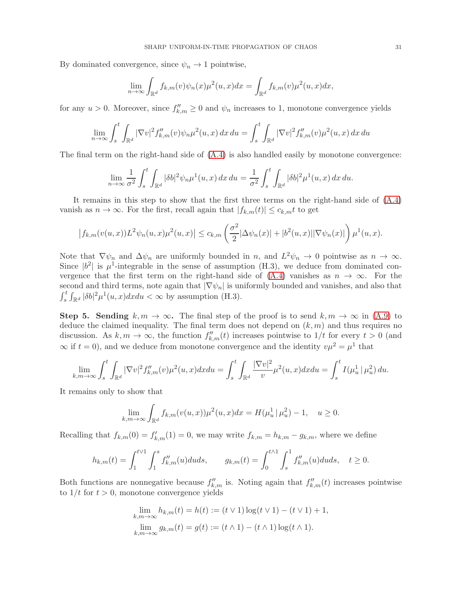By dominated convergence, since  $\psi_n \to 1$  pointwise,

$$
\lim_{n \to \infty} \int_{\mathbb{R}^d} f_{k,m}(v)\psi_n(x)\mu^2(u,x)dx = \int_{\mathbb{R}^d} f_{k,m}(v)\mu^2(u,x)dx,
$$

for any  $u > 0$ . Moreover, since  $f''_{k,m} \geq 0$  and  $\psi_n$  increases to 1, monotone convergence yields

$$
\lim_{n \to \infty} \int_s^t \int_{\mathbb{R}^d} |\nabla v|^2 f''_{k,m}(v) \psi_n \mu^2(u, x) \, dx \, du = \int_s^t \int_{\mathbb{R}^d} |\nabla v|^2 f''_{k,m}(v) \mu^2(u, x) \, dx \, du
$$

The final term on the right-hand side of [\(A.4\)](#page-27-1) is also handled easily by monotone convergence:

$$
\lim_{n \to \infty} \frac{1}{\sigma^2} \int_s^t \int_{\mathbb{R}^d} |\delta b|^2 \psi_n \mu^1(u, x) \, dx \, du = \frac{1}{\sigma^2} \int_s^t \int_{\mathbb{R}^d} |\delta b|^2 \mu^1(u, x) \, dx \, du.
$$

It remains in this step to show that the first three terms on the right-hand side of [\(A.4\)](#page-27-1) vanish as  $n \to \infty$ . For the first, recall again that  $|f_{k,m}(t)| \leq c_{k,m} t$  to get

$$
\left| f_{k,m}(v(u,x)) L^2 \psi_n(u,x) \mu^2(u,x) \right| \leq c_{k,m} \left( \frac{\sigma^2}{2} |\Delta \psi_n(x)| + |b^2(u,x)| |\nabla \psi_n(x)| \right) \mu^1(u,x).
$$

Note that  $\nabla \psi_n$  and  $\Delta \psi_n$  are uniformly bounded in n, and  $L^2 \psi_n \to 0$  pointwise as  $n \to \infty$ . Since  $|b^2|$  is  $\mu^1$ -integrable in the sense of assumption (H.3), we deduce from dominated convergence that the first term on the right-hand side of  $(A.4)$  vanishes as  $n \to \infty$ . For the second and third terms, note again that  $|\nabla \psi_n|$  is uniformly bounded and vanishes, and also that  $\int_s^t \int_{\mathbb{R}^d} |\delta b|^2 \mu^1(u, x) dx du < \infty$  by assumption (H.3).

**Step 5. Sending**  $k, m \to \infty$ . The final step of the proof is to send  $k, m \to \infty$  in [\(A.9\)](#page-29-2) to deduce the claimed inequality. The final term does not depend on  $(k, m)$  and thus requires no discussion. As  $k, m \to \infty$ , the function  $f''_{k,m}(t)$  increases pointwise to  $1/t$  for every  $t > 0$  (and  $\infty$  if  $t = 0$ ), and we deduce from monotone convergence and the identity  $v\mu^2 = \mu^1$  that

$$
\lim_{k,m \to \infty} \int_s^t \int_{\mathbb{R}^d} |\nabla v|^2 f_{k,m}''(v) \mu^2(u,x) dx du = \int_s^t \int_{\mathbb{R}^d} \frac{|\nabla v|^2}{v} \mu^2(u,x) dx du = \int_s^t I(\mu^1_u | \mu^2_u) du.
$$

It remains only to show that

$$
\lim_{k,m \to \infty} \int_{\mathbb{R}^d} f_{k,m}(v(u,x)) \mu^2(u,x) dx = H(\mu^1_u | \mu^2_u) - 1, \quad u \ge 0.
$$

Recalling that  $f_{k,m}(0) = f'_{k,m}(1) = 0$ , we may write  $f_{k,m} = h_{k,m} - g_{k,m}$ , where we define

$$
h_{k,m}(t) = \int_1^{t \vee 1} \int_1^s f_{k,m}''(u) du ds, \qquad g_{k,m}(t) = \int_0^{t \wedge 1} \int_s^1 f_{k,m}''(u) du ds, \quad t \ge 0.
$$

Both functions are nonnegative because  $f''_{k,m}$  is. Noting again that  $f''_{k,m}(t)$  increases pointwise to  $1/t$  for  $t > 0$ , monotone convergence yields

$$
\lim_{k,m \to \infty} h_{k,m}(t) = h(t) := (t \vee 1) \log(t \vee 1) - (t \vee 1) + 1,
$$
  

$$
\lim_{k,m \to \infty} g_{k,m}(t) = g(t) := (t \wedge 1) - (t \wedge 1) \log(t \wedge 1).
$$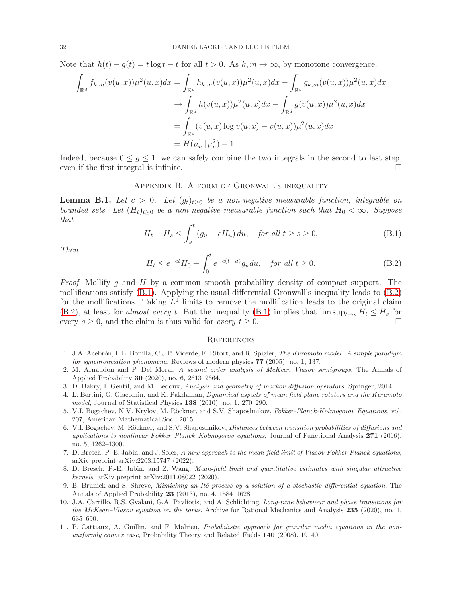Note that  $h(t) - g(t) = t \log t - t$  for all  $t > 0$ . As  $k, m \to \infty$ , by monotone convergence,

$$
\int_{\mathbb{R}^d} f_{k,m}(v(u,x))\mu^2(u,x)dx = \int_{\mathbb{R}^d} h_{k,m}(v(u,x))\mu^2(u,x)dx - \int_{\mathbb{R}^d} g_{k,m}(v(u,x))\mu^2(u,x)dx \n\to \int_{\mathbb{R}^d} h(v(u,x))\mu^2(u,x)dx - \int_{\mathbb{R}^d} g(v(u,x))\mu^2(u,x)dx \n= \int_{\mathbb{R}^d} (v(u,x)\log v(u,x) - v(u,x))\mu^2(u,x)dx \n= H(\mu^1_u | \mu^2_u) - 1.
$$

Indeed, because  $0 \le g \le 1$ , we can safely combine the two integrals in the second to last step, even if the first integral is infinite. even if the first integral is infinite.

## Appendix B. A form of Gronwall's inequality

<span id="page-31-9"></span>**Lemma B.1.** Let  $c > 0$ . Let  $(g_t)_{t\geq 0}$  be a non-negative measurable function, integrable on *bounded sets. Let*  $(H_t)_{t\geq 0}$  *be a non-negative measurable function such that*  $H_0 < \infty$ *. Suppose that*

<span id="page-31-12"></span>
$$
H_t - H_s \le \int_s^t (g_u - cH_u) du, \quad \text{for all } t \ge s \ge 0.
$$
 (B.1)

*Then*

<span id="page-31-13"></span>
$$
H_t \le e^{-ct} H_0 + \int_0^t e^{-c(t-u)} g_u du, \quad \text{for all } t \ge 0.
$$
 (B.2)

*Proof.* Mollify g and H by a common smooth probability density of compact support. The mollifications satisfy [\(B.1\)](#page-31-12). Applying the usual differential Gronwall's inequality leads to [\(B.2\)](#page-31-13) for the mollifications. Taking  $L^1$  limits to remove the mollification leads to the original claim [\(B.2\)](#page-31-13), at least for *almost every* t. But the inequality [\(B.1\)](#page-31-12) implies that  $\limsup_{t\to s} H_t \leq H_s$  for every  $s > 0$  and the claim is thus valid for every  $t > 0$ every  $s \geq 0$ , and the claim is thus valid for *every*  $t \geq 0$ .

#### **REFERENCES**

- <span id="page-31-6"></span>1. J.A. Acebrón, L.L. Bonilla, C.J.P. Vicente, F. Ritort, and R. Spigler, The Kuramoto model: A simple paradigm for synchronization phenomena, Reviews of modern physics 77 (2005), no. 1, 137.
- <span id="page-31-5"></span>2. M. Arnaudon and P. Del Moral, A second order analysis of McKean–Vlasov semigroups, The Annals of Applied Probability 30 (2020), no. 6, 2613–2664.
- <span id="page-31-4"></span><span id="page-31-3"></span>3. D. Bakry, I. Gentil, and M. Ledoux, Analysis and geometry of markov diffusion operators, Springer, 2014.
- 4. L. Bertini, G. Giacomin, and K. Pakdaman, Dynamical aspects of mean field plane rotators and the Kuramoto model, Journal of Statistical Physics 138 (2010), no. 1, 270–290.
- <span id="page-31-10"></span>5. V.I. Bogachev, N.V. Krylov, M. Röckner, and S.V. Shaposhnikov, Fokker-Planck-Kolmogorov Equations, vol. 207, American Mathematical Soc., 2015.
- <span id="page-31-7"></span>6. V.I. Bogachev, M. Röckner, and S.V. Shaposhnikov, *Distances between transition probabilities of diffusions and* applications to nonlinear Fokker–Planck–Kolmogorov equations, Journal of Functional Analysis  $271$  (2016), no. 5, 1262–1300.
- <span id="page-31-2"></span>7. D. Bresch, P.-E. Jabin, and J. Soler, A new approach to the mean-field limit of Vlasov-Fokker-Planck equations, arXiv preprint arXiv:2203.15747 (2022).
- <span id="page-31-0"></span>8. D. Bresch, P.-E. Jabin, and Z. Wang, Mean-field limit and quantitative estimates with singular attractive kernels, arXiv preprint arXiv:2011.08022 (2020).
- <span id="page-31-8"></span>9. B. Brunick and S. Shreve, Mimicking an Itô process by a solution of a stochastic differential equation, The Annals of Applied Probability 23 (2013), no. 4, 1584–1628.
- <span id="page-31-11"></span>10. J.A. Carrillo, R.S. Gvalani, G.A. Pavliotis, and A. Schlichting, Long-time behaviour and phase transitions for the McKean–Vlasov equation on the torus, Archive for Rational Mechanics and Analysis 235 (2020), no. 1, 635–690.
- <span id="page-31-1"></span>11. P. Cattiaux, A. Guillin, and F. Malrieu, Probabilistic approach for granular media equations in the nonuniformly convex case, Probability Theory and Related Fields 140 (2008), 19–40.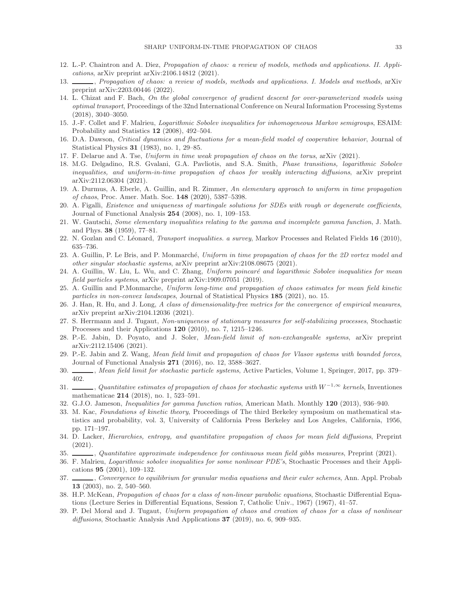- <span id="page-32-3"></span><span id="page-32-2"></span>12. L.-P. Chaintron and A. Diez, Propagation of chaos: a review of models, methods and applications. II. Applications, arXiv preprint arXiv:2106.14812 (2021).
- 13.  $\_\_\_\_\_\$ gation of chaos: a review of models, methods and applications. I. Models and methods, arXiv preprint arXiv:2203.00446 (2022).
- <span id="page-32-17"></span>14. L. Chizat and F. Bach, On the global convergence of gradient descent for over-parameterized models using optimal transport, Proceedings of the 32nd International Conference on Neural Information Processing Systems (2018), 3040–3050.
- <span id="page-32-26"></span><span id="page-32-9"></span>15. J.-F. Collet and F. Malrieu, Logarithmic Sobolev inequalities for inhomogeneous Markov semigroups, ESAIM: Probability and Statistics 12 (2008), 492–504.
- <span id="page-32-15"></span>16. D.A. Dawson, Critical dynamics and fluctuations for a mean-field model of cooperative behavior, Journal of Statistical Physics 31 (1983), no. 1, 29–85.
- <span id="page-32-18"></span>17. F. Delarue and A. Tse, Uniform in time weak propagation of chaos on the torus, arXiv (2021).
- 18. M.G. Delgadino, R.S. Gvalani, G.A. Pavliotis, and S.A. Smith, Phase transitions, logarithmic Sobolev inequalities, and uniform-in-time propagation of chaos for weakly interacting diffusions, arXiv preprint arXiv:2112.06304 (2021).
- <span id="page-32-13"></span>19. A. Durmus, A. Eberle, A. Guillin, and R. Zimmer, An elementary approach to uniform in time propagation of chaos, Proc. Amer. Math. Soc. 148 (2020), 5387–5398.
- <span id="page-32-27"></span>20. A. Figalli, Existence and uniqueness of martingale solutions for SDEs with rough or degenerate coefficients, Journal of Functional Analysis 254 (2008), no. 1, 109–153.
- <span id="page-32-25"></span><span id="page-32-23"></span>21. W. Gautschi, Some elementary inequalities relating to the gamma and incomplete gamma function, J. Math. and Phys. 38 (1959), 77–81.
- <span id="page-32-16"></span>22. N. Gozlan and C. Léonard, *Transport inequalities. a survey*, Markov Processes and Related Fields 16 (2010), 635–736.
- 23. A. Guillin, P. Le Bris, and P. Monmarché, Uniform in time propagation of chaos for the 2D vortex model and other singular stochastic systems, arXiv preprint arXiv:2108.08675 (2021).
- <span id="page-32-20"></span>24. A. Guillin, W. Liu, L. Wu, and C. Zhang, Uniform poincaré and logarithmic Sobolev inequalities for mean field particles systems, arXiv preprint arXiv:1909.07051 (2019).
- <span id="page-32-19"></span>25. A. Guillin and P.Monmarche, Uniform long-time and propagation of chaos estimates for mean field kinetic particles in non-convex landscapes, Journal of Statistical Physics 185 (2021), no. 15.
- <span id="page-32-5"></span>26. J. Han, R. Hu, and J. Long, A class of dimensionality-free metrics for the convergence of empirical measures, arXiv preprint arXiv:2104.12036 (2021).
- <span id="page-32-10"></span>27. S. Herrmann and J. Tugaut, Non-uniqueness of stationary measures for self-stabilizing processes, Stochastic Processes and their Applications 120 (2010), no. 7, 1215–1246.
- <span id="page-32-21"></span>28. P.-E. Jabin, D. Poyato, and J. Soler, Mean-field limit of non-exchangeable systems, arXiv preprint arXiv:2112.15406 (2021).
- <span id="page-32-6"></span>29. P.-E. Jabin and Z. Wang, Mean field limit and propagation of chaos for Vlasov systems with bounded forces, Journal of Functional Analysis 271 (2016), no. 12, 3588–3627.
- <span id="page-32-7"></span><span id="page-32-4"></span>30. , Mean field limit for stochastic particle systems, Active Particles, Volume 1, Springer, 2017, pp. 379– 402.
- 31.  $\_\_\_\_$ , Quantitative estimates of propagation of chaos for stochastic systems with W<sup>-1,∞</sup> kernels, Inventiones mathematicae 214 (2018), no. 1, 523–591.
- <span id="page-32-24"></span><span id="page-32-0"></span>32. G.J.O. Jameson, Inequalities for gamma function ratios, American Math. Monthly 120 (2013), 936–940.
- 33. M. Kac, Foundations of kinetic theory, Proceedings of The third Berkeley symposium on mathematical statistics and probability, vol. 3, University of California Press Berkeley and Los Angeles, California, 1956, pp. 171–197.
- <span id="page-32-8"></span>34. D. Lacker, Hierarchies, entropy, and quantitative propagation of chaos for mean field diffusions, Preprint (2021).
- <span id="page-32-22"></span><span id="page-32-11"></span>35. , Quantitative approximate independence for continuous mean field gibbs measures, Preprint (2021).
- 36. F. Malrieu, Logarithmic sobolev inequalities for some nonlinear PDE's, Stochastic Processes and their Applications 95 (2001), 109–132.
- <span id="page-32-12"></span>37. Convergence to equilibrium for granular media equations and their euler schemes, Ann. Appl. Probab 13 (2003), no. 2, 540–560.
- <span id="page-32-1"></span>38. H.P. McKean, Propagation of chaos for a class of non-linear parabolic equations, Stochastic Differential Equations (Lecture Series in Differential Equations, Session 7, Catholic Univ., 1967) (1967), 41–57.
- <span id="page-32-14"></span>39. P. Del Moral and J. Tugaut, Uniform propagation of chaos and creation of chaos for a class of nonlinear diffusions, Stochastic Analysis And Applications 37 (2019), no. 6, 909–935.